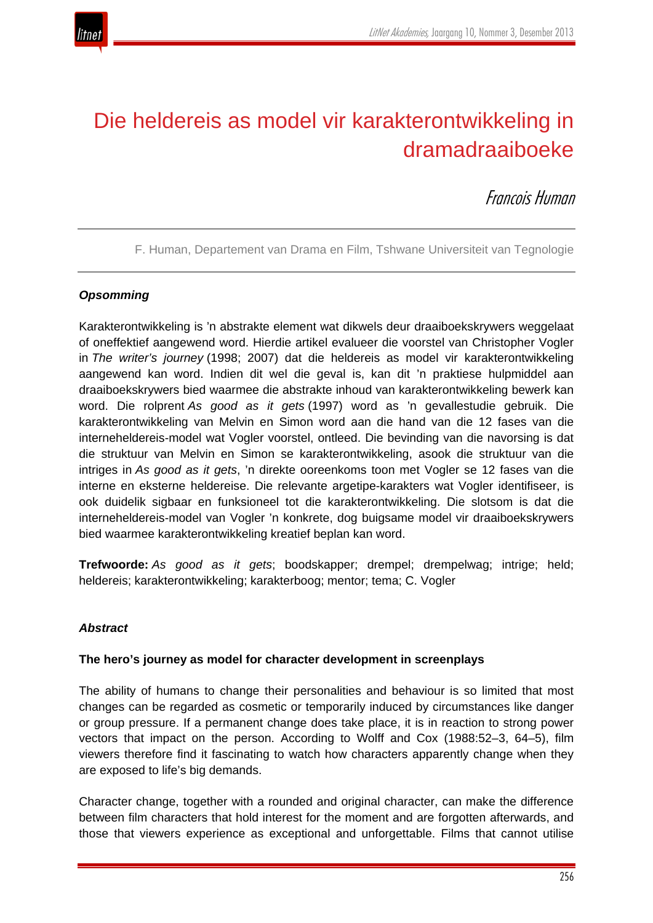

# Die heldereis as model vir karakterontwikkeling in dramadraaiboeke

Francois Human

F. Human, Departement van Drama en Film, Tshwane Universiteit van Tegnologie

## *Opsomming*

Karakterontwikkeling is 'n abstrakte element wat dikwels deur draaiboekskrywers weggelaat of oneffektief aangewend word. Hierdie artikel evalueer die voorstel van Christopher Vogler in *The writer's journey* (1998; 2007) dat die heldereis as model vir karakterontwikkeling aangewend kan word. Indien dit wel die geval is, kan dit 'n praktiese hulpmiddel aan draaiboekskrywers bied waarmee die abstrakte inhoud van karakterontwikkeling bewerk kan word. Die rolprent *As good as it gets* (1997) word as 'n gevallestudie gebruik. Die karakterontwikkeling van Melvin en Simon word aan die hand van die 12 fases van die interneheldereis-model wat Vogler voorstel, ontleed. Die bevinding van die navorsing is dat die struktuur van Melvin en Simon se karakterontwikkeling, asook die struktuur van die intriges in *As good as it gets*, 'n direkte ooreenkoms toon met Vogler se 12 fases van die interne en eksterne heldereise. Die relevante argetipe-karakters wat Vogler identifiseer, is ook duidelik sigbaar en funksioneel tot die karakterontwikkeling. Die slotsom is dat die interneheldereis-model van Vogler 'n konkrete, dog buigsame model vir draaiboekskrywers bied waarmee karakterontwikkeling kreatief beplan kan word.

**Trefwoorde:** *As good as it gets*; boodskapper; drempel; drempelwag; intrige; held; heldereis; karakterontwikkeling; karakterboog; mentor; tema; C. Vogler

## *Abstract*

## **The hero's journey as model for character development in screenplays**

The ability of humans to change their personalities and behaviour is so limited that most changes can be regarded as cosmetic or temporarily induced by circumstances like danger or group pressure. If a permanent change does take place, it is in reaction to strong power vectors that impact on the person. According to Wolff and Cox (1988:52–3, 64–5), film viewers therefore find it fascinating to watch how characters apparently change when they are exposed to life's big demands.

Character change, together with a rounded and original character, can make the difference between film characters that hold interest for the moment and are forgotten afterwards, and those that viewers experience as exceptional and unforgettable. Films that cannot utilise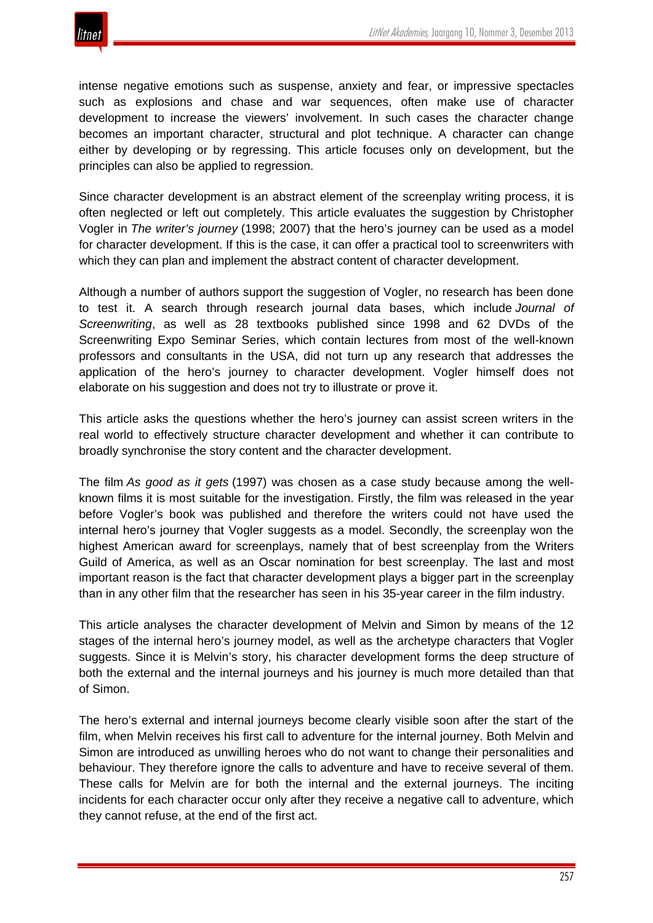

intense negative emotions such as suspense, anxiety and fear, or impressive spectacles such as explosions and chase and war sequences, often make use of character development to increase the viewers' involvement. In such cases the character change becomes an important character, structural and plot technique. A character can change either by developing or by regressing. This article focuses only on development, but the principles can also be applied to regression.

Since character development is an abstract element of the screenplay writing process, it is often neglected or left out completely. This article evaluates the suggestion by Christopher Vogler in *The writer's journey* (1998; 2007) that the hero's journey can be used as a model for character development. If this is the case, it can offer a practical tool to screenwriters with which they can plan and implement the abstract content of character development.

Although a number of authors support the suggestion of Vogler, no research has been done to test it. A search through research journal data bases, which include *Journal of Screenwriting*, as well as 28 textbooks published since 1998 and 62 DVDs of the Screenwriting Expo Seminar Series, which contain lectures from most of the well-known professors and consultants in the USA, did not turn up any research that addresses the application of the hero's journey to character development. Vogler himself does not elaborate on his suggestion and does not try to illustrate or prove it.

This article asks the questions whether the hero's journey can assist screen writers in the real world to effectively structure character development and whether it can contribute to broadly synchronise the story content and the character development.

The film *As good as it gets* (1997) was chosen as a case study because among the wellknown films it is most suitable for the investigation. Firstly, the film was released in the year before Vogler's book was published and therefore the writers could not have used the internal hero's journey that Vogler suggests as a model. Secondly, the screenplay won the highest American award for screenplays, namely that of best screenplay from the Writers Guild of America, as well as an Oscar nomination for best screenplay. The last and most important reason is the fact that character development plays a bigger part in the screenplay than in any other film that the researcher has seen in his 35-year career in the film industry.

This article analyses the character development of Melvin and Simon by means of the 12 stages of the internal hero's journey model, as well as the archetype characters that Vogler suggests. Since it is Melvin's story, his character development forms the deep structure of both the external and the internal journeys and his journey is much more detailed than that of Simon.

The hero's external and internal journeys become clearly visible soon after the start of the film, when Melvin receives his first call to adventure for the internal journey. Both Melvin and Simon are introduced as unwilling heroes who do not want to change their personalities and behaviour. They therefore ignore the calls to adventure and have to receive several of them. These calls for Melvin are for both the internal and the external journeys. The inciting incidents for each character occur only after they receive a negative call to adventure, which they cannot refuse, at the end of the first act.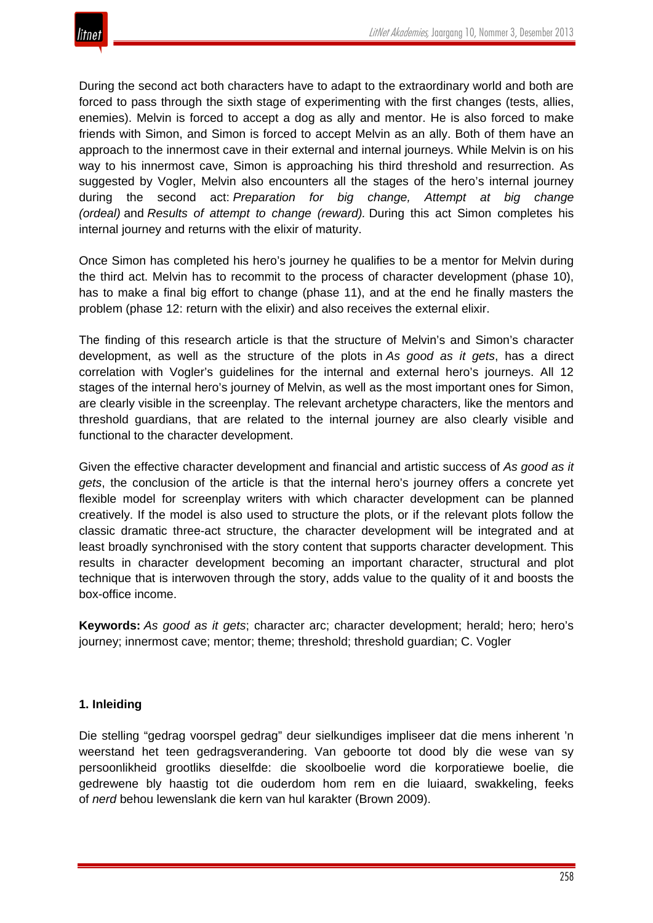During the second act both characters have to adapt to the extraordinary world and both are forced to pass through the sixth stage of experimenting with the first changes (tests, allies, enemies). Melvin is forced to accept a dog as ally and mentor. He is also forced to make friends with Simon, and Simon is forced to accept Melvin as an ally. Both of them have an approach to the innermost cave in their external and internal journeys. While Melvin is on his way to his innermost cave, Simon is approaching his third threshold and resurrection. As suggested by Vogler, Melvin also encounters all the stages of the hero's internal journey during the second act: *Preparation for big change, Attempt at big change (ordeal)* and *Results of attempt to change (reward).* During this act Simon completes his internal journey and returns with the elixir of maturity.

Once Simon has completed his hero's journey he qualifies to be a mentor for Melvin during the third act. Melvin has to recommit to the process of character development (phase 10), has to make a final big effort to change (phase 11), and at the end he finally masters the problem (phase 12: return with the elixir) and also receives the external elixir.

The finding of this research article is that the structure of Melvin's and Simon's character development, as well as the structure of the plots in *As good as it gets*, has a direct correlation with Vogler's guidelines for the internal and external hero's journeys. All 12 stages of the internal hero's journey of Melvin, as well as the most important ones for Simon, are clearly visible in the screenplay. The relevant archetype characters, like the mentors and threshold guardians, that are related to the internal journey are also clearly visible and functional to the character development.

Given the effective character development and financial and artistic success of *As good as it gets*, the conclusion of the article is that the internal hero's journey offers a concrete yet flexible model for screenplay writers with which character development can be planned creatively. If the model is also used to structure the plots, or if the relevant plots follow the classic dramatic three-act structure, the character development will be integrated and at least broadly synchronised with the story content that supports character development. This results in character development becoming an important character, structural and plot technique that is interwoven through the story, adds value to the quality of it and boosts the box-office income.

**Keywords:** *As good as it gets*; character arc; character development; herald; hero; hero's journey; innermost cave; mentor; theme; threshold; threshold guardian; C. Vogler

# **1. Inleiding**

Die stelling "gedrag voorspel gedrag" deur sielkundiges impliseer dat die mens inherent 'n weerstand het teen gedragsverandering. Van geboorte tot dood bly die wese van sy persoonlikheid grootliks dieselfde: die skoolboelie word die korporatiewe boelie, die gedrewene bly haastig tot die ouderdom hom rem en die luiaard, swakkeling, feeks of *nerd* behou lewenslank die kern van hul karakter (Brown 2009).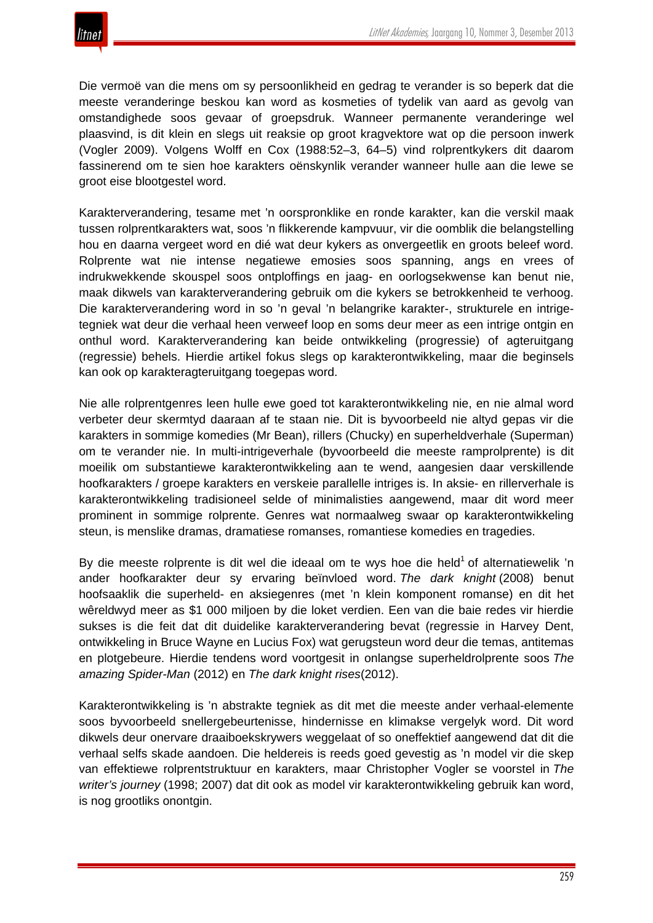Die vermoë van die mens om sy persoonlikheid en gedrag te verander is so beperk dat die meeste veranderinge beskou kan word as kosmeties of tydelik van aard as gevolg van omstandighede soos gevaar of groepsdruk. Wanneer permanente veranderinge wel plaasvind, is dit klein en slegs uit reaksie op groot kragvektore wat op die persoon inwerk (Vogler 2009). Volgens Wolff en Cox (1988:52–3, 64–5) vind rolprentkykers dit daarom fassinerend om te sien hoe karakters oënskynlik verander wanneer hulle aan die lewe se groot eise blootgestel word.

Karakterverandering, tesame met 'n oorspronklike en ronde karakter, kan die verskil maak tussen rolprentkarakters wat, soos 'n flikkerende kampvuur, vir die oomblik die belangstelling hou en daarna vergeet word en dié wat deur kykers as onvergeetlik en groots beleef word. Rolprente wat nie intense negatiewe emosies soos spanning, angs en vrees of indrukwekkende skouspel soos ontploffings en jaag- en oorlogsekwense kan benut nie, maak dikwels van karakterverandering gebruik om die kykers se betrokkenheid te verhoog. Die karakterverandering word in so 'n geval 'n belangrike karakter-, strukturele en intrigetegniek wat deur die verhaal heen verweef loop en soms deur meer as een intrige ontgin en onthul word. Karakterverandering kan beide ontwikkeling (progressie) of agteruitgang (regressie) behels. Hierdie artikel fokus slegs op karakterontwikkeling, maar die beginsels kan ook op karakteragteruitgang toegepas word.

Nie alle rolprentgenres leen hulle ewe goed tot karakterontwikkeling nie, en nie almal word verbeter deur skermtyd daaraan af te staan nie. Dit is byvoorbeeld nie altyd gepas vir die karakters in sommige komedies (Mr Bean), rillers (Chucky) en superheldverhale (Superman) om te verander nie. In multi-intrigeverhale (byvoorbeeld die meeste ramprolprente) is dit moeilik om substantiewe karakterontwikkeling aan te wend, aangesien daar verskillende hoofkarakters / groepe karakters en verskeie parallelle intriges is. In aksie- en rillerverhale is karakterontwikkeling tradisioneel selde of minimalisties aangewend, maar dit word meer prominent in sommige rolprente. Genres wat normaalweg swaar op karakterontwikkeling steun, is menslike dramas, dramatiese romanses, romantiese komedies en tragedies.

By die meeste rolprente is dit wel die ideaal om te wys hoe die held<sup>1</sup> of alternatiewelik 'n ander hoofkarakter deur sy ervaring beïnvloed word. *The dark knight* (2008) benut hoofsaaklik die superheld- en aksiegenres (met 'n klein komponent romanse) en dit het wêreldwyd meer as \$1 000 miljoen by die loket verdien. Een van die baie redes vir hierdie sukses is die feit dat dit duidelike karakterverandering bevat (regressie in Harvey Dent, ontwikkeling in Bruce Wayne en Lucius Fox) wat gerugsteun word deur die temas, antitemas en plotgebeure. Hierdie tendens word voortgesit in onlangse superheldrolprente soos *The amazing Spider-Man* (2012) en *The dark knight rises*(2012).

Karakterontwikkeling is 'n abstrakte tegniek as dit met die meeste ander verhaal-elemente soos byvoorbeeld snellergebeurtenisse, hindernisse en klimakse vergelyk word. Dit word dikwels deur onervare draaiboekskrywers weggelaat of so oneffektief aangewend dat dit die verhaal selfs skade aandoen. Die heldereis is reeds goed gevestig as 'n model vir die skep van effektiewe rolprentstruktuur en karakters, maar Christopher Vogler se voorstel in *The writer's journey* (1998; 2007) dat dit ook as model vir karakterontwikkeling gebruik kan word, is nog grootliks onontgin.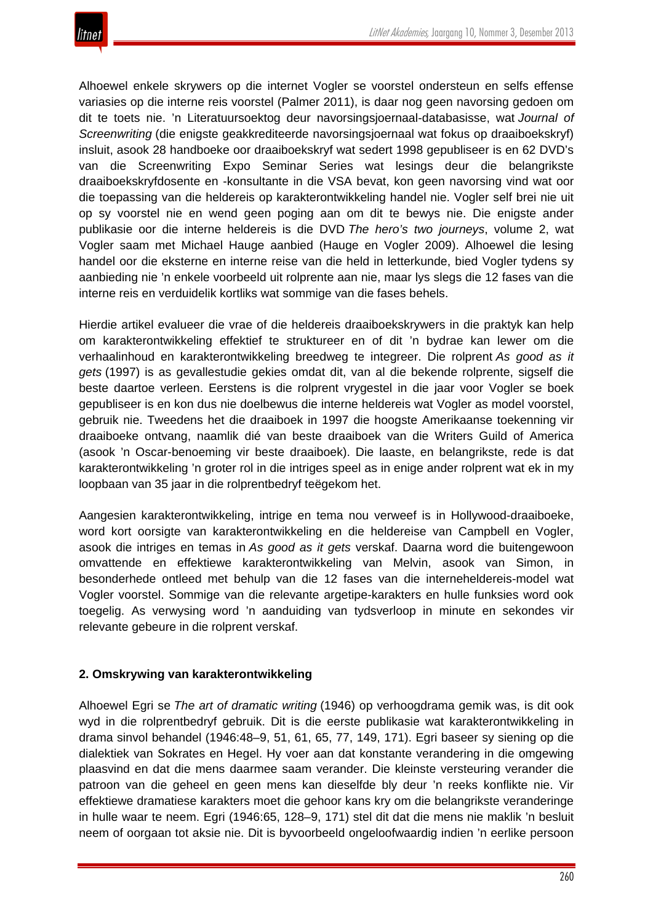Alhoewel enkele skrywers op die internet Vogler se voorstel ondersteun en selfs effense variasies op die interne reis voorstel (Palmer 2011), is daar nog geen navorsing gedoen om dit te toets nie. 'n Literatuursoektog deur navorsingsjoernaal-databasisse, wat *Journal of Screenwriting* (die enigste geakkrediteerde navorsingsjoernaal wat fokus op draaiboekskryf) insluit, asook 28 handboeke oor draaiboekskryf wat sedert 1998 gepubliseer is en 62 DVD's van die Screenwriting Expo Seminar Series wat lesings deur die belangrikste draaiboekskryfdosente en -konsultante in die VSA bevat, kon geen navorsing vind wat oor die toepassing van die heldereis op karakterontwikkeling handel nie. Vogler self brei nie uit op sy voorstel nie en wend geen poging aan om dit te bewys nie. Die enigste ander publikasie oor die interne heldereis is die DVD *The hero's two journeys*, volume 2, wat Vogler saam met Michael Hauge aanbied (Hauge en Vogler 2009). Alhoewel die lesing handel oor die eksterne en interne reise van die held in letterkunde, bied Vogler tydens sy aanbieding nie 'n enkele voorbeeld uit rolprente aan nie, maar lys slegs die 12 fases van die interne reis en verduidelik kortliks wat sommige van die fases behels.

Hierdie artikel evalueer die vrae of die heldereis draaiboekskrywers in die praktyk kan help om karakterontwikkeling effektief te struktureer en of dit 'n bydrae kan lewer om die verhaalinhoud en karakterontwikkeling breedweg te integreer. Die rolprent *As good as it gets* (1997) is as gevallestudie gekies omdat dit, van al die bekende rolprente, sigself die beste daartoe verleen. Eerstens is die rolprent vrygestel in die jaar voor Vogler se boek gepubliseer is en kon dus nie doelbewus die interne heldereis wat Vogler as model voorstel, gebruik nie. Tweedens het die draaiboek in 1997 die hoogste Amerikaanse toekenning vir draaiboeke ontvang, naamlik dié van beste draaiboek van die Writers Guild of America (asook 'n Oscar-benoeming vir beste draaiboek). Die laaste, en belangrikste, rede is dat karakterontwikkeling 'n groter rol in die intriges speel as in enige ander rolprent wat ek in my loopbaan van 35 jaar in die rolprentbedryf teëgekom het.

Aangesien karakterontwikkeling, intrige en tema nou verweef is in Hollywood-draaiboeke, word kort oorsigte van karakterontwikkeling en die heldereise van Campbell en Vogler, asook die intriges en temas in *As good as it gets* verskaf. Daarna word die buitengewoon omvattende en effektiewe karakterontwikkeling van Melvin, asook van Simon, in besonderhede ontleed met behulp van die 12 fases van die interneheldereis-model wat Vogler voorstel. Sommige van die relevante argetipe-karakters en hulle funksies word ook toegelig. As verwysing word 'n aanduiding van tydsverloop in minute en sekondes vir relevante gebeure in die rolprent verskaf.

## **2. Omskrywing van karakterontwikkeling**

Alhoewel Egri se *The art of dramatic writing* (1946) op verhoogdrama gemik was, is dit ook wyd in die rolprentbedryf gebruik. Dit is die eerste publikasie wat karakterontwikkeling in drama sinvol behandel (1946:48–9, 51, 61, 65, 77, 149, 171). Egri baseer sy siening op die dialektiek van Sokrates en Hegel. Hy voer aan dat konstante verandering in die omgewing plaasvind en dat die mens daarmee saam verander. Die kleinste versteuring verander die patroon van die geheel en geen mens kan dieselfde bly deur 'n reeks konflikte nie. Vir effektiewe dramatiese karakters moet die gehoor kans kry om die belangrikste veranderinge in hulle waar te neem. Egri (1946:65, 128–9, 171) stel dit dat die mens nie maklik 'n besluit neem of oorgaan tot aksie nie. Dit is byvoorbeeld ongeloofwaardig indien 'n eerlike persoon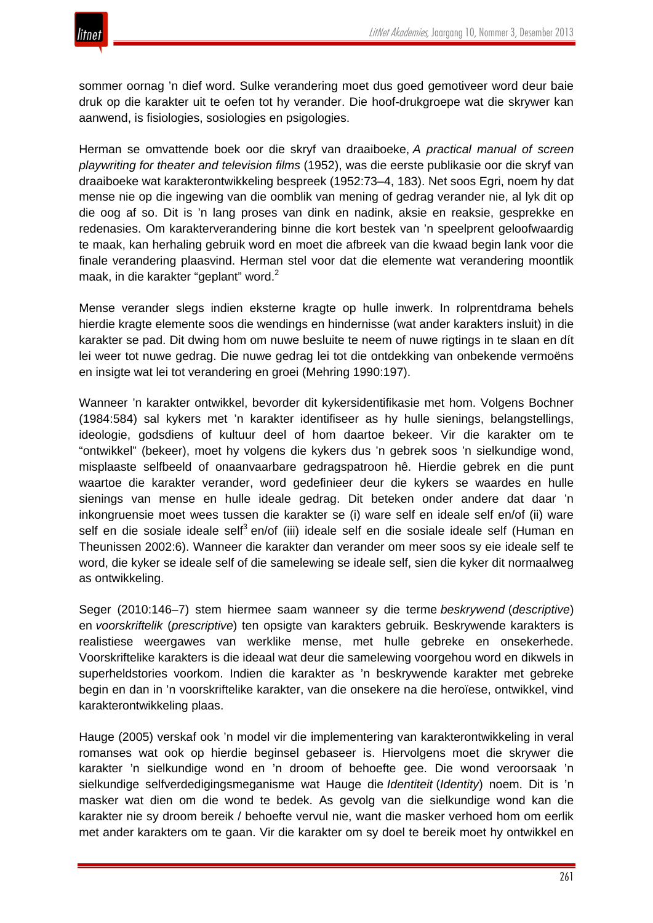

sommer oornag 'n dief word. Sulke verandering moet dus goed gemotiveer word deur baie druk op die karakter uit te oefen tot hy verander. Die hoof-drukgroepe wat die skrywer kan aanwend, is fisiologies, sosiologies en psigologies.

Herman se omvattende boek oor die skryf van draaiboeke, *A practical manual of screen playwriting for theater and television films* (1952), was die eerste publikasie oor die skryf van draaiboeke wat karakterontwikkeling bespreek (1952:73–4, 183). Net soos Egri, noem hy dat mense nie op die ingewing van die oomblik van mening of gedrag verander nie, al lyk dit op die oog af so. Dit is 'n lang proses van dink en nadink, aksie en reaksie, gesprekke en redenasies. Om karakterverandering binne die kort bestek van 'n speelprent geloofwaardig te maak, kan herhaling gebruik word en moet die afbreek van die kwaad begin lank voor die finale verandering plaasvind. Herman stel voor dat die elemente wat verandering moontlik maak, in die karakter "geplant" word.<sup>2</sup>

Mense verander slegs indien eksterne kragte op hulle inwerk. In rolprentdrama behels hierdie kragte elemente soos die wendings en hindernisse (wat ander karakters insluit) in die karakter se pad. Dit dwing hom om nuwe besluite te neem of nuwe rigtings in te slaan en dít lei weer tot nuwe gedrag. Die nuwe gedrag lei tot die ontdekking van onbekende vermoëns en insigte wat lei tot verandering en groei (Mehring 1990:197).

Wanneer 'n karakter ontwikkel, bevorder dit kykersidentifikasie met hom. Volgens Bochner (1984:584) sal kykers met 'n karakter identifiseer as hy hulle sienings, belangstellings, ideologie, godsdiens of kultuur deel of hom daartoe bekeer. Vir die karakter om te "ontwikkel" (bekeer), moet hy volgens die kykers dus 'n gebrek soos 'n sielkundige wond, misplaaste selfbeeld of onaanvaarbare gedragspatroon hê. Hierdie gebrek en die punt waartoe die karakter verander, word gedefinieer deur die kykers se waardes en hulle sienings van mense en hulle ideale gedrag. Dit beteken onder andere dat daar 'n inkongruensie moet wees tussen die karakter se (i) ware self en ideale self en/of (ii) ware self en die sosiale ideale self<sup>3</sup> en/of (iii) ideale self en die sosiale ideale self (Human en Theunissen 2002:6). Wanneer die karakter dan verander om meer soos sy eie ideale self te word, die kyker se ideale self of die samelewing se ideale self, sien die kyker dit normaalweg as ontwikkeling.

Seger (2010:146–7) stem hiermee saam wanneer sy die terme *beskrywend* (*descriptive*) en *voorskriftelik* (*prescriptive*) ten opsigte van karakters gebruik. Beskrywende karakters is realistiese weergawes van werklike mense, met hulle gebreke en onsekerhede. Voorskriftelike karakters is die ideaal wat deur die samelewing voorgehou word en dikwels in superheldstories voorkom. Indien die karakter as 'n beskrywende karakter met gebreke begin en dan in 'n voorskriftelike karakter, van die onsekere na die heroïese, ontwikkel, vind karakterontwikkeling plaas.

Hauge (2005) verskaf ook 'n model vir die implementering van karakterontwikkeling in veral romanses wat ook op hierdie beginsel gebaseer is. Hiervolgens moet die skrywer die karakter 'n sielkundige wond en 'n droom of behoefte gee. Die wond veroorsaak 'n sielkundige selfverdedigingsmeganisme wat Hauge die *Identiteit* (*Identity*) noem. Dit is 'n masker wat dien om die wond te bedek. As gevolg van die sielkundige wond kan die karakter nie sy droom bereik / behoefte vervul nie, want die masker verhoed hom om eerlik met ander karakters om te gaan. Vir die karakter om sy doel te bereik moet hy ontwikkel en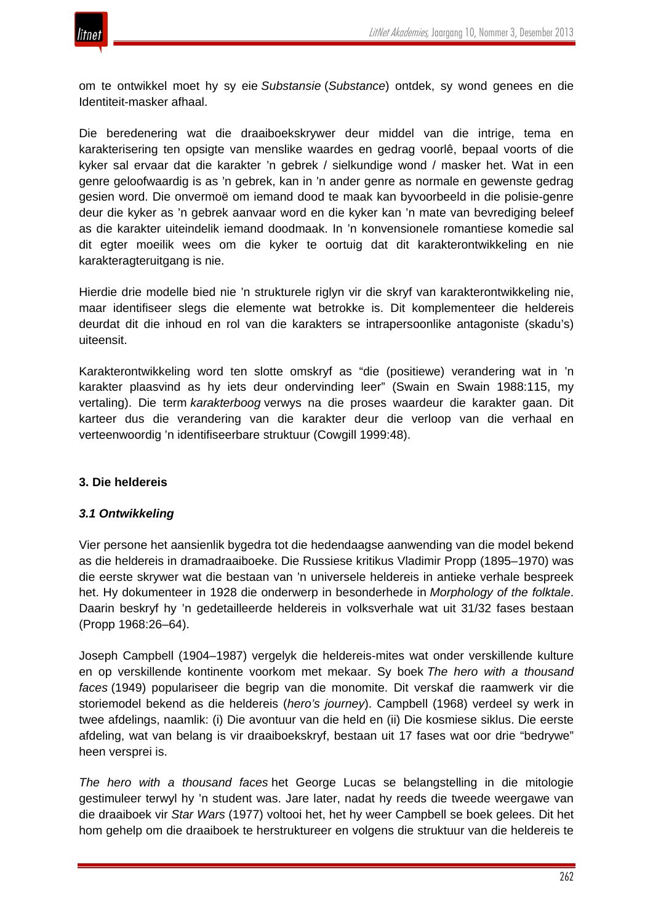

om te ontwikkel moet hy sy eie *Substansie* (*Substance*) ontdek, sy wond genees en die Identiteit-masker afhaal.

Die beredenering wat die draaiboekskrywer deur middel van die intrige, tema en karakterisering ten opsigte van menslike waardes en gedrag voorlê, bepaal voorts of die kyker sal ervaar dat die karakter 'n gebrek / sielkundige wond / masker het. Wat in een genre geloofwaardig is as 'n gebrek, kan in 'n ander genre as normale en gewenste gedrag gesien word. Die onvermoë om iemand dood te maak kan byvoorbeeld in die polisie-genre deur die kyker as 'n gebrek aanvaar word en die kyker kan 'n mate van bevrediging beleef as die karakter uiteindelik iemand doodmaak. In 'n konvensionele romantiese komedie sal dit egter moeilik wees om die kyker te oortuig dat dit karakterontwikkeling en nie karakteragteruitgang is nie.

Hierdie drie modelle bied nie 'n strukturele riglyn vir die skryf van karakterontwikkeling nie, maar identifiseer slegs die elemente wat betrokke is. Dit komplementeer die heldereis deurdat dit die inhoud en rol van die karakters se intrapersoonlike antagoniste (skadu's) uiteensit.

Karakterontwikkeling word ten slotte omskryf as "die (positiewe) verandering wat in 'n karakter plaasvind as hy iets deur ondervinding leer" (Swain en Swain 1988:115, my vertaling). Die term *karakterboog* verwys na die proses waardeur die karakter gaan. Dit karteer dus die verandering van die karakter deur die verloop van die verhaal en verteenwoordig 'n identifiseerbare struktuur (Cowgill 1999:48).

## **3. Die heldereis**

## *3.1 Ontwikkeling*

Vier persone het aansienlik bygedra tot die hedendaagse aanwending van die model bekend as die heldereis in dramadraaiboeke. Die Russiese kritikus Vladimir Propp (1895–1970) was die eerste skrywer wat die bestaan van 'n universele heldereis in antieke verhale bespreek het. Hy dokumenteer in 1928 die onderwerp in besonderhede in *Morphology of the folktale*. Daarin beskryf hy 'n gedetailleerde heldereis in volksverhale wat uit 31/32 fases bestaan (Propp 1968:26–64).

Joseph Campbell (1904–1987) vergelyk die heldereis-mites wat onder verskillende kulture en op verskillende kontinente voorkom met mekaar. Sy boek *The hero with a thousand faces* (1949) populariseer die begrip van die monomite. Dit verskaf die raamwerk vir die storiemodel bekend as die heldereis (*hero's journey*). Campbell (1968) verdeel sy werk in twee afdelings, naamlik: (i) Die avontuur van die held en (ii) Die kosmiese siklus. Die eerste afdeling, wat van belang is vir draaiboekskryf, bestaan uit 17 fases wat oor drie "bedrywe" heen versprei is.

*The hero with a thousand faces* het George Lucas se belangstelling in die mitologie gestimuleer terwyl hy 'n student was. Jare later, nadat hy reeds die tweede weergawe van die draaiboek vir *Star Wars* (1977) voltooi het, het hy weer Campbell se boek gelees. Dit het hom gehelp om die draaiboek te herstruktureer en volgens die struktuur van die heldereis te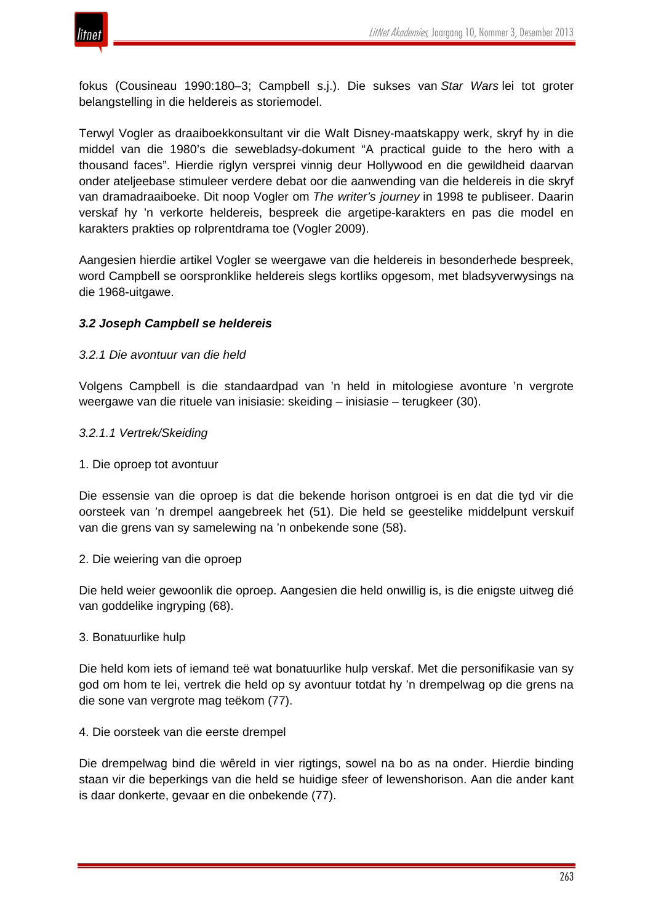

fokus (Cousineau 1990:180–3; Campbell s.j.). Die sukses van *Star Wars* lei tot groter belangstelling in die heldereis as storiemodel.

Terwyl Vogler as draaiboekkonsultant vir die Walt Disney-maatskappy werk, skryf hy in die middel van die 1980's die sewebladsy-dokument "A practical guide to the hero with a thousand faces". Hierdie riglyn versprei vinnig deur Hollywood en die gewildheid daarvan onder ateljeebase stimuleer verdere debat oor die aanwending van die heldereis in die skryf van dramadraaiboeke. Dit noop Vogler om *The writer's journey* in 1998 te publiseer. Daarin verskaf hy 'n verkorte heldereis, bespreek die argetipe-karakters en pas die model en karakters prakties op rolprentdrama toe (Vogler 2009).

Aangesien hierdie artikel Vogler se weergawe van die heldereis in besonderhede bespreek, word Campbell se oorspronklike heldereis slegs kortliks opgesom, met bladsyverwysings na die 1968-uitgawe.

## *3.2 Joseph Campbell se heldereis*

## *3.2.1 Die avontuur van die held*

Volgens Campbell is die standaardpad van 'n held in mitologiese avonture 'n vergrote weergawe van die rituele van inisiasie: skeiding – inisiasie – terugkeer (30).

- *3.2.1.1 Vertrek/Skeiding*
- 1. Die oproep tot avontuur

Die essensie van die oproep is dat die bekende horison ontgroei is en dat die tyd vir die oorsteek van 'n drempel aangebreek het (51). Die held se geestelike middelpunt verskuif van die grens van sy samelewing na 'n onbekende sone (58).

2. Die weiering van die oproep

Die held weier gewoonlik die oproep. Aangesien die held onwillig is, is die enigste uitweg dié van goddelike ingryping (68).

3. Bonatuurlike hulp

Die held kom iets of iemand teë wat bonatuurlike hulp verskaf. Met die personifikasie van sy god om hom te lei, vertrek die held op sy avontuur totdat hy 'n drempelwag op die grens na die sone van vergrote mag teëkom (77).

4. Die oorsteek van die eerste drempel

Die drempelwag bind die wêreld in vier rigtings, sowel na bo as na onder. Hierdie binding staan vir die beperkings van die held se huidige sfeer of lewenshorison. Aan die ander kant is daar donkerte, gevaar en die onbekende (77).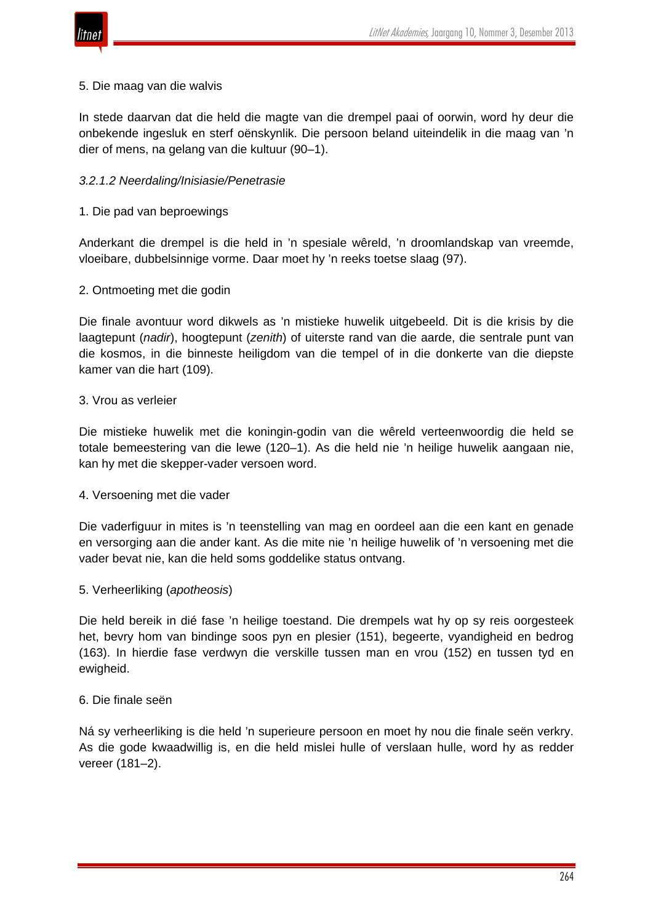

#### 5. Die maag van die walvis

In stede daarvan dat die held die magte van die drempel paai of oorwin, word hy deur die onbekende ingesluk en sterf oënskynlik. Die persoon beland uiteindelik in die maag van 'n dier of mens, na gelang van die kultuur (90–1).

## *3.2.1.2 Neerdaling/Inisiasie/Penetrasie*

1. Die pad van beproewings

Anderkant die drempel is die held in 'n spesiale wêreld, 'n droomlandskap van vreemde, vloeibare, dubbelsinnige vorme. Daar moet hy 'n reeks toetse slaag (97).

2. Ontmoeting met die godin

Die finale avontuur word dikwels as 'n mistieke huwelik uitgebeeld. Dit is die krisis by die laagtepunt (*nadir*), hoogtepunt (*zenith*) of uiterste rand van die aarde, die sentrale punt van die kosmos, in die binneste heiligdom van die tempel of in die donkerte van die diepste kamer van die hart (109).

## 3. Vrou as verleier

Die mistieke huwelik met die koningin-godin van die wêreld verteenwoordig die held se totale bemeestering van die lewe (120–1). As die held nie 'n heilige huwelik aangaan nie, kan hy met die skepper-vader versoen word.

## 4. Versoening met die vader

Die vaderfiguur in mites is 'n teenstelling van mag en oordeel aan die een kant en genade en versorging aan die ander kant. As die mite nie 'n heilige huwelik of 'n versoening met die vader bevat nie, kan die held soms goddelike status ontvang.

## 5. Verheerliking (*apotheosis*)

Die held bereik in dié fase 'n heilige toestand. Die drempels wat hy op sy reis oorgesteek het, bevry hom van bindinge soos pyn en plesier (151), begeerte, vyandigheid en bedrog (163). In hierdie fase verdwyn die verskille tussen man en vrou (152) en tussen tyd en ewigheid.

## 6. Die finale seën

Ná sy verheerliking is die held 'n superieure persoon en moet hy nou die finale seën verkry. As die gode kwaadwillig is, en die held mislei hulle of verslaan hulle, word hy as redder vereer (181–2).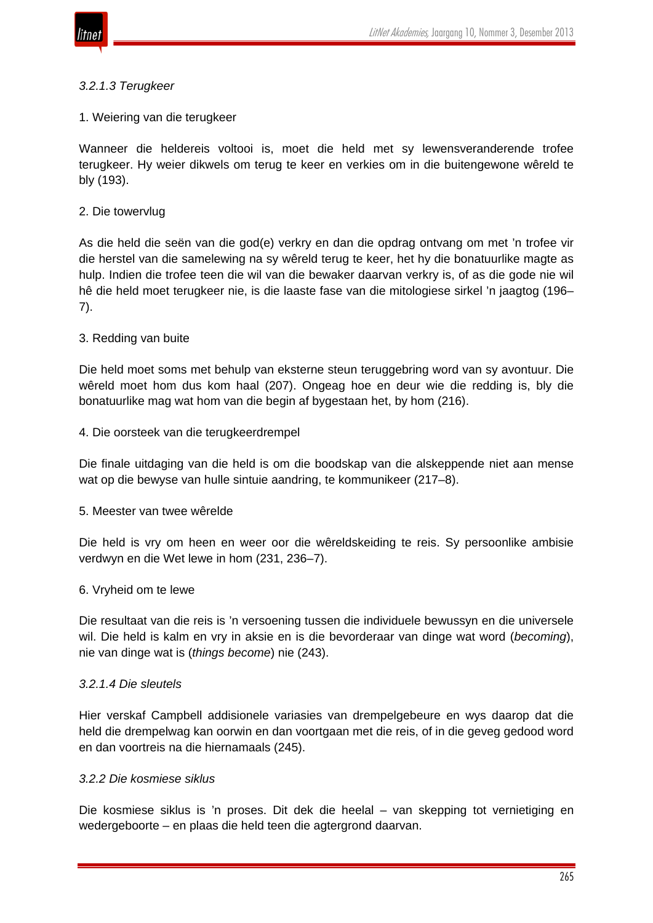

#### *3.2.1.3 Terugkeer*

#### 1. Weiering van die terugkeer

Wanneer die heldereis voltooi is, moet die held met sy lewensveranderende trofee terugkeer. Hy weier dikwels om terug te keer en verkies om in die buitengewone wêreld te bly (193).

#### 2. Die towervlug

As die held die seën van die god(e) verkry en dan die opdrag ontvang om met 'n trofee vir die herstel van die samelewing na sy wêreld terug te keer, het hy die bonatuurlike magte as hulp. Indien die trofee teen die wil van die bewaker daarvan verkry is, of as die gode nie wil hê die held moet terugkeer nie, is die laaste fase van die mitologiese sirkel 'n jaagtog (196– 7).

## 3. Redding van buite

Die held moet soms met behulp van eksterne steun teruggebring word van sy avontuur. Die wêreld moet hom dus kom haal (207). Ongeag hoe en deur wie die redding is, bly die bonatuurlike mag wat hom van die begin af bygestaan het, by hom (216).

#### 4. Die oorsteek van die terugkeerdrempel

Die finale uitdaging van die held is om die boodskap van die alskeppende niet aan mense wat op die bewyse van hulle sintuie aandring, te kommunikeer (217–8).

#### 5. Meester van twee wêrelde

Die held is vry om heen en weer oor die wêreldskeiding te reis. Sy persoonlike ambisie verdwyn en die Wet lewe in hom (231, 236–7).

#### 6. Vryheid om te lewe

Die resultaat van die reis is 'n versoening tussen die individuele bewussyn en die universele wil. Die held is kalm en vry in aksie en is die bevorderaar van dinge wat word (*becoming*), nie van dinge wat is (*things become*) nie (243).

#### *3.2.1.4 Die sleutels*

Hier verskaf Campbell addisionele variasies van drempelgebeure en wys daarop dat die held die drempelwag kan oorwin en dan voortgaan met die reis, of in die geveg gedood word en dan voortreis na die hiernamaals (245).

#### *3.2.2 Die kosmiese siklus*

Die kosmiese siklus is 'n proses. Dit dek die heelal – van skepping tot vernietiging en wedergeboorte – en plaas die held teen die agtergrond daarvan.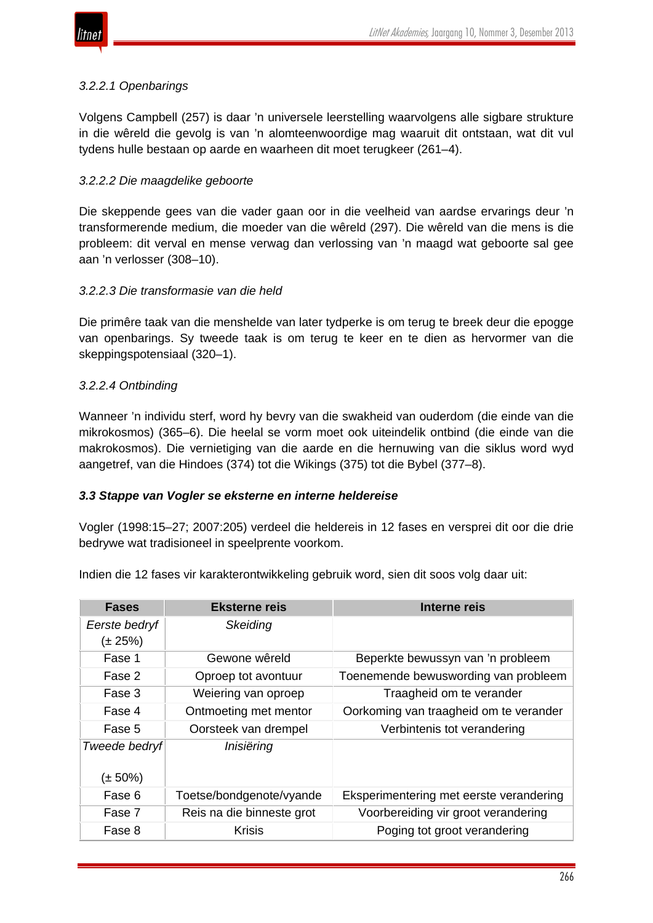

## *3.2.2.1 Openbarings*

Volgens Campbell (257) is daar 'n universele leerstelling waarvolgens alle sigbare strukture in die wêreld die gevolg is van 'n alomteenwoordige mag waaruit dit ontstaan, wat dit vul tydens hulle bestaan op aarde en waarheen dit moet terugkeer (261–4).

## *3.2.2.2 Die maagdelike geboorte*

Die skeppende gees van die vader gaan oor in die veelheid van aardse ervarings deur 'n transformerende medium, die moeder van die wêreld (297). Die wêreld van die mens is die probleem: dit verval en mense verwag dan verlossing van 'n maagd wat geboorte sal gee aan 'n verlosser (308–10).

## *3.2.2.3 Die transformasie van die held*

Die primêre taak van die menshelde van later tydperke is om terug te breek deur die epogge van openbarings. Sy tweede taak is om terug te keer en te dien as hervormer van die skeppingspotensiaal (320–1).

## *3.2.2.4 Ontbinding*

Wanneer 'n individu sterf, word hy bevry van die swakheid van ouderdom (die einde van die mikrokosmos) (365–6). Die heelal se vorm moet ook uiteindelik ontbind (die einde van die makrokosmos). Die vernietiging van die aarde en die hernuwing van die siklus word wyd aangetref, van die Hindoes (374) tot die Wikings (375) tot die Bybel (377–8).

## *3.3 Stappe van Vogler se eksterne en interne heldereise*

Vogler (1998:15–27; 2007:205) verdeel die heldereis in 12 fases en versprei dit oor die drie bedrywe wat tradisioneel in speelprente voorkom.

Indien die 12 fases vir karakterontwikkeling gebruik word, sien dit soos volg daar uit:

| <b>Fases</b>  | <b>Eksterne reis</b>      | Interne reis                            |
|---------------|---------------------------|-----------------------------------------|
| Eerste bedryf | Skeiding                  |                                         |
| (± 25%)       |                           |                                         |
| Fase 1        | Gewone wêreld             | Beperkte bewussyn van 'n probleem       |
| Fase 2        | Oproep tot avontuur       | Toenemende bewuswording van probleem    |
| Fase 3        | Weiering van oproep       | Traagheid om te verander                |
| Fase 4        | Ontmoeting met mentor     | Oorkoming van traagheid om te verander  |
| Fase 5        | Oorsteek van drempel      | Verbintenis tot verandering             |
| Tweede bedryf | Inisiëring                |                                         |
|               |                           |                                         |
| (± 50%)       |                           |                                         |
| Fase 6        | Toetse/bondgenote/vyande  | Eksperimentering met eerste verandering |
| Fase 7        | Reis na die binneste grot | Voorbereiding vir groot verandering     |
| Fase 8        | <b>Krisis</b>             | Poging tot groot verandering            |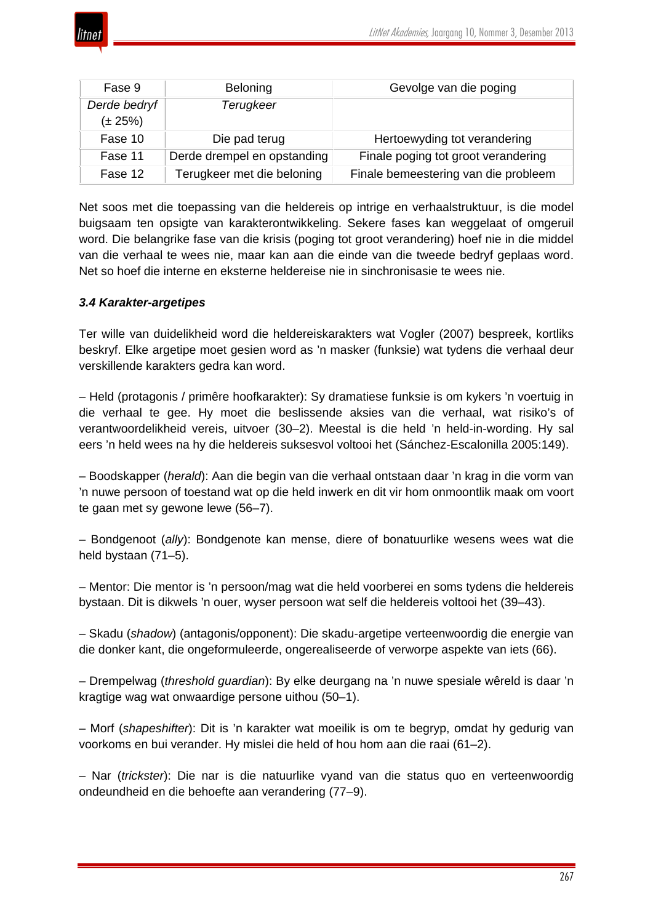| Fase 9       | <b>Beloning</b>             | Gevolge van die poging               |
|--------------|-----------------------------|--------------------------------------|
| Derde bedryf | Terugkeer                   |                                      |
| $(\pm 25%)$  |                             |                                      |
| Fase 10      | Die pad terug               | Hertoewyding tot verandering         |
| Fase 11      | Derde drempel en opstanding | Finale poging tot groot verandering  |
| Fase 12      | Terugkeer met die beloning  | Finale bemeestering van die probleem |

Net soos met die toepassing van die heldereis op intrige en verhaalstruktuur, is die model buigsaam ten opsigte van karakterontwikkeling. Sekere fases kan weggelaat of omgeruil word. Die belangrike fase van die krisis (poging tot groot verandering) hoef nie in die middel van die verhaal te wees nie, maar kan aan die einde van die tweede bedryf geplaas word. Net so hoef die interne en eksterne heldereise nie in sinchronisasie te wees nie.

# *3.4 Karakter-argetipes*

Ter wille van duidelikheid word die heldereiskarakters wat Vogler (2007) bespreek, kortliks beskryf. Elke argetipe moet gesien word as 'n masker (funksie) wat tydens die verhaal deur verskillende karakters gedra kan word.

– Held (protagonis / primêre hoofkarakter): Sy dramatiese funksie is om kykers 'n voertuig in die verhaal te gee. Hy moet die beslissende aksies van die verhaal, wat risiko's of verantwoordelikheid vereis, uitvoer (30–2). Meestal is die held 'n held-in-wording. Hy sal eers 'n held wees na hy die heldereis suksesvol voltooi het (Sánchez-Escalonilla 2005:149).

– Boodskapper (*herald*): Aan die begin van die verhaal ontstaan daar 'n krag in die vorm van 'n nuwe persoon of toestand wat op die held inwerk en dit vir hom onmoontlik maak om voort te gaan met sy gewone lewe (56–7).

– Bondgenoot (*ally*): Bondgenote kan mense, diere of bonatuurlike wesens wees wat die held bystaan (71–5).

– Mentor: Die mentor is 'n persoon/mag wat die held voorberei en soms tydens die heldereis bystaan. Dit is dikwels 'n ouer, wyser persoon wat self die heldereis voltooi het (39–43).

– Skadu (*shadow*) (antagonis/opponent): Die skadu-argetipe verteenwoordig die energie van die donker kant, die ongeformuleerde, ongerealiseerde of verworpe aspekte van iets (66).

– Drempelwag (*threshold guardian*): By elke deurgang na 'n nuwe spesiale wêreld is daar 'n kragtige wag wat onwaardige persone uithou (50–1).

– Morf (*shapeshifter*): Dit is 'n karakter wat moeilik is om te begryp, omdat hy gedurig van voorkoms en bui verander. Hy mislei die held of hou hom aan die raai (61–2).

– Nar (*trickster*): Die nar is die natuurlike vyand van die status quo en verteenwoordig ondeundheid en die behoefte aan verandering (77–9).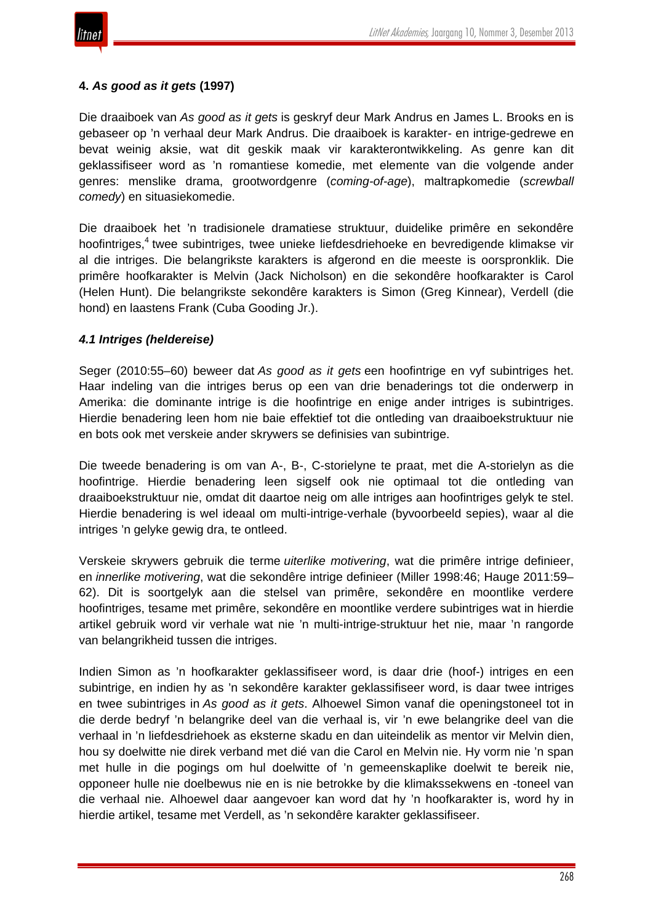

## **4.** *As good as it gets* **(1997)**

Die draaiboek van *As good as it gets* is geskryf deur Mark Andrus en James L. Brooks en is gebaseer op 'n verhaal deur Mark Andrus. Die draaiboek is karakter- en intrige-gedrewe en bevat weinig aksie, wat dit geskik maak vir karakterontwikkeling. As genre kan dit geklassifiseer word as 'n romantiese komedie, met elemente van die volgende ander genres: menslike drama, grootwordgenre (*coming-of-age*), maltrapkomedie (*screwball comedy*) en situasiekomedie.

Die draaiboek het 'n tradisionele dramatiese struktuur, duidelike primêre en sekondêre hoofintriges,<sup>4</sup> twee subintriges, twee unieke liefdesdriehoeke en bevredigende klimakse vir al die intriges. Die belangrikste karakters is afgerond en die meeste is oorspronklik. Die primêre hoofkarakter is Melvin (Jack Nicholson) en die sekondêre hoofkarakter is Carol (Helen Hunt). Die belangrikste sekondêre karakters is Simon (Greg Kinnear), Verdell (die hond) en laastens Frank (Cuba Gooding Jr.).

## *4.1 Intriges (heldereise)*

Seger (2010:55–60) beweer dat *As good as it gets* een hoofintrige en vyf subintriges het. Haar indeling van die intriges berus op een van drie benaderings tot die onderwerp in Amerika: die dominante intrige is die hoofintrige en enige ander intriges is subintriges. Hierdie benadering leen hom nie baie effektief tot die ontleding van draaiboekstruktuur nie en bots ook met verskeie ander skrywers se definisies van subintrige.

Die tweede benadering is om van A-, B-, C-storielyne te praat, met die A-storielyn as die hoofintrige. Hierdie benadering leen sigself ook nie optimaal tot die ontleding van draaiboekstruktuur nie, omdat dit daartoe neig om alle intriges aan hoofintriges gelyk te stel. Hierdie benadering is wel ideaal om multi-intrige-verhale (byvoorbeeld sepies), waar al die intriges 'n gelyke gewig dra, te ontleed.

Verskeie skrywers gebruik die terme *uiterlike motivering*, wat die primêre intrige definieer, en *innerlike motivering*, wat die sekondêre intrige definieer (Miller 1998:46; Hauge 2011:59– 62). Dit is soortgelyk aan die stelsel van primêre, sekondêre en moontlike verdere hoofintriges, tesame met primêre, sekondêre en moontlike verdere subintriges wat in hierdie artikel gebruik word vir verhale wat nie 'n multi-intrige-struktuur het nie, maar 'n rangorde van belangrikheid tussen die intriges.

Indien Simon as 'n hoofkarakter geklassifiseer word, is daar drie (hoof-) intriges en een subintrige, en indien hy as 'n sekondêre karakter geklassifiseer word, is daar twee intriges en twee subintriges in *As good as it gets*. Alhoewel Simon vanaf die openingstoneel tot in die derde bedryf 'n belangrike deel van die verhaal is, vir 'n ewe belangrike deel van die verhaal in 'n liefdesdriehoek as eksterne skadu en dan uiteindelik as mentor vir Melvin dien, hou sy doelwitte nie direk verband met dié van die Carol en Melvin nie. Hy vorm nie 'n span met hulle in die pogings om hul doelwitte of 'n gemeenskaplike doelwit te bereik nie, opponeer hulle nie doelbewus nie en is nie betrokke by die klimakssekwens en -toneel van die verhaal nie. Alhoewel daar aangevoer kan word dat hy 'n hoofkarakter is, word hy in hierdie artikel, tesame met Verdell, as 'n sekondêre karakter geklassifiseer.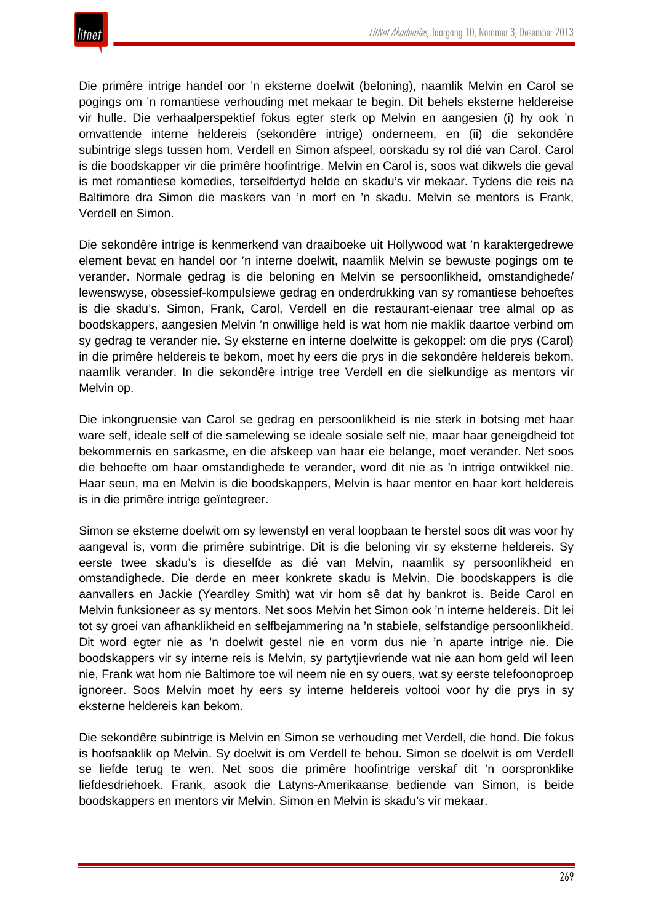

Die primêre intrige handel oor 'n eksterne doelwit (beloning), naamlik Melvin en Carol se pogings om 'n romantiese verhouding met mekaar te begin. Dit behels eksterne heldereise vir hulle. Die verhaalperspektief fokus egter sterk op Melvin en aangesien (i) hy ook 'n omvattende interne heldereis (sekondêre intrige) onderneem, en (ii) die sekondêre subintrige slegs tussen hom, Verdell en Simon afspeel, oorskadu sy rol dié van Carol. Carol is die boodskapper vir die primêre hoofintrige. Melvin en Carol is, soos wat dikwels die geval is met romantiese komedies, terselfdertyd helde en skadu's vir mekaar. Tydens die reis na Baltimore dra Simon die maskers van 'n morf en 'n skadu. Melvin se mentors is Frank, Verdell en Simon.

Die sekondêre intrige is kenmerkend van draaiboeke uit Hollywood wat 'n karaktergedrewe element bevat en handel oor 'n interne doelwit, naamlik Melvin se bewuste pogings om te verander. Normale gedrag is die beloning en Melvin se persoonlikheid, omstandighede/ lewenswyse, obsessief-kompulsiewe gedrag en onderdrukking van sy romantiese behoeftes is die skadu's. Simon, Frank, Carol, Verdell en die restaurant-eienaar tree almal op as boodskappers, aangesien Melvin 'n onwillige held is wat hom nie maklik daartoe verbind om sy gedrag te verander nie. Sy eksterne en interne doelwitte is gekoppel: om die prys (Carol) in die primêre heldereis te bekom, moet hy eers die prys in die sekondêre heldereis bekom, naamlik verander. In die sekondêre intrige tree Verdell en die sielkundige as mentors vir Melvin op.

Die inkongruensie van Carol se gedrag en persoonlikheid is nie sterk in botsing met haar ware self, ideale self of die samelewing se ideale sosiale self nie, maar haar geneigdheid tot bekommernis en sarkasme, en die afskeep van haar eie belange, moet verander. Net soos die behoefte om haar omstandighede te verander, word dit nie as 'n intrige ontwikkel nie. Haar seun, ma en Melvin is die boodskappers, Melvin is haar mentor en haar kort heldereis is in die primêre intrige geïntegreer.

Simon se eksterne doelwit om sy lewenstyl en veral loopbaan te herstel soos dit was voor hy aangeval is, vorm die primêre subintrige. Dit is die beloning vir sy eksterne heldereis. Sy eerste twee skadu's is dieselfde as dié van Melvin, naamlik sy persoonlikheid en omstandighede. Die derde en meer konkrete skadu is Melvin. Die boodskappers is die aanvallers en Jackie (Yeardley Smith) wat vir hom sê dat hy bankrot is. Beide Carol en Melvin funksioneer as sy mentors. Net soos Melvin het Simon ook 'n interne heldereis. Dit lei tot sy groei van afhanklikheid en selfbejammering na 'n stabiele, selfstandige persoonlikheid. Dit word egter nie as 'n doelwit gestel nie en vorm dus nie 'n aparte intrige nie. Die boodskappers vir sy interne reis is Melvin, sy partytjievriende wat nie aan hom geld wil leen nie, Frank wat hom nie Baltimore toe wil neem nie en sy ouers, wat sy eerste telefoonoproep ignoreer. Soos Melvin moet hy eers sy interne heldereis voltooi voor hy die prys in sy eksterne heldereis kan bekom.

Die sekondêre subintrige is Melvin en Simon se verhouding met Verdell, die hond. Die fokus is hoofsaaklik op Melvin. Sy doelwit is om Verdell te behou. Simon se doelwit is om Verdell se liefde terug te wen. Net soos die primêre hoofintrige verskaf dit 'n oorspronklike liefdesdriehoek. Frank, asook die Latyns-Amerikaanse bediende van Simon, is beide boodskappers en mentors vir Melvin. Simon en Melvin is skadu's vir mekaar.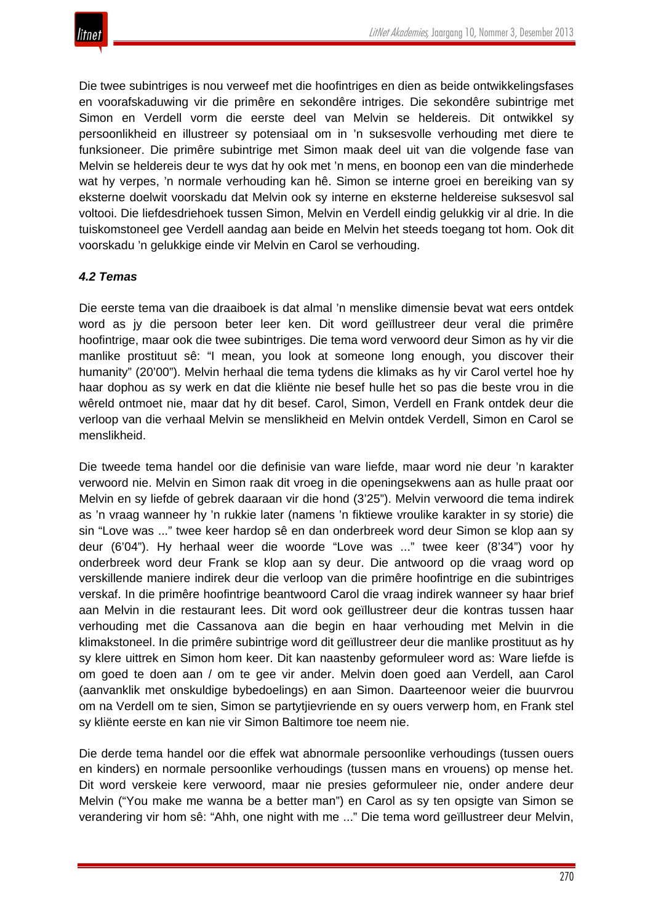Die twee subintriges is nou verweef met die hoofintriges en dien as beide ontwikkelingsfases en voorafskaduwing vir die primêre en sekondêre intriges. Die sekondêre subintrige met Simon en Verdell vorm die eerste deel van Melvin se heldereis. Dit ontwikkel sy persoonlikheid en illustreer sy potensiaal om in 'n suksesvolle verhouding met diere te funksioneer. Die primêre subintrige met Simon maak deel uit van die volgende fase van Melvin se heldereis deur te wys dat hy ook met 'n mens, en boonop een van die minderhede wat hy verpes, 'n normale verhouding kan hê. Simon se interne groei en bereiking van sy eksterne doelwit voorskadu dat Melvin ook sy interne en eksterne heldereise suksesvol sal voltooi. Die liefdesdriehoek tussen Simon, Melvin en Verdell eindig gelukkig vir al drie. In die tuiskomstoneel gee Verdell aandag aan beide en Melvin het steeds toegang tot hom. Ook dit voorskadu 'n gelukkige einde vir Melvin en Carol se verhouding.

# *4.2 Temas*

Die eerste tema van die draaiboek is dat almal 'n menslike dimensie bevat wat eers ontdek word as jy die persoon beter leer ken. Dit word geïllustreer deur veral die primêre hoofintrige, maar ook die twee subintriges. Die tema word verwoord deur Simon as hy vir die manlike prostituut sê: "I mean, you look at someone long enough, you discover their humanity" (20'00"). Melvin herhaal die tema tydens die klimaks as hy vir Carol vertel hoe hy haar dophou as sy werk en dat die kliënte nie besef hulle het so pas die beste vrou in die wêreld ontmoet nie, maar dat hy dit besef. Carol, Simon, Verdell en Frank ontdek deur die verloop van die verhaal Melvin se menslikheid en Melvin ontdek Verdell, Simon en Carol se menslikheid.

Die tweede tema handel oor die definisie van ware liefde, maar word nie deur 'n karakter verwoord nie. Melvin en Simon raak dit vroeg in die openingsekwens aan as hulle praat oor Melvin en sy liefde of gebrek daaraan vir die hond (3'25"). Melvin verwoord die tema indirek as 'n vraag wanneer hy 'n rukkie later (namens 'n fiktiewe vroulike karakter in sy storie) die sin "Love was ..." twee keer hardop sê en dan onderbreek word deur Simon se klop aan sy deur (6'04"). Hy herhaal weer die woorde "Love was ..." twee keer (8'34") voor hy onderbreek word deur Frank se klop aan sy deur. Die antwoord op die vraag word op verskillende maniere indirek deur die verloop van die primêre hoofintrige en die subintriges verskaf. In die primêre hoofintrige beantwoord Carol die vraag indirek wanneer sy haar brief aan Melvin in die restaurant lees. Dit word ook geïllustreer deur die kontras tussen haar verhouding met die Cassanova aan die begin en haar verhouding met Melvin in die klimakstoneel. In die primêre subintrige word dit geïllustreer deur die manlike prostituut as hy sy klere uittrek en Simon hom keer. Dit kan naastenby geformuleer word as: Ware liefde is om goed te doen aan / om te gee vir ander. Melvin doen goed aan Verdell, aan Carol (aanvanklik met onskuldige bybedoelings) en aan Simon. Daarteenoor weier die buurvrou om na Verdell om te sien, Simon se partytjievriende en sy ouers verwerp hom, en Frank stel sy kliënte eerste en kan nie vir Simon Baltimore toe neem nie.

Die derde tema handel oor die effek wat abnormale persoonlike verhoudings (tussen ouers en kinders) en normale persoonlike verhoudings (tussen mans en vrouens) op mense het. Dit word verskeie kere verwoord, maar nie presies geformuleer nie, onder andere deur Melvin ("You make me wanna be a better man") en Carol as sy ten opsigte van Simon se verandering vir hom sê: "Ahh, one night with me ..." Die tema word geïllustreer deur Melvin,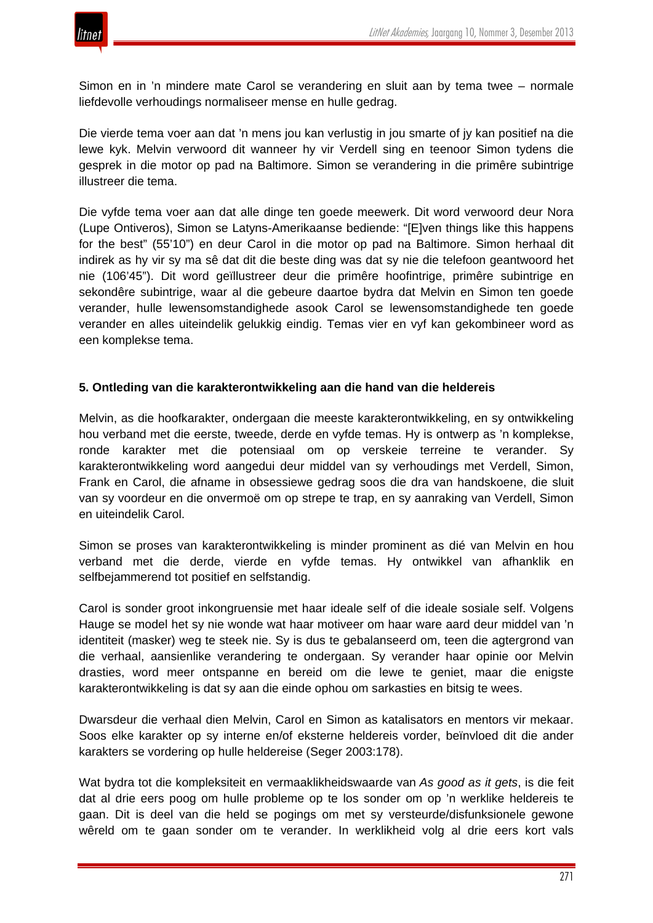

Simon en in 'n mindere mate Carol se verandering en sluit aan by tema twee – normale liefdevolle verhoudings normaliseer mense en hulle gedrag.

Die vierde tema voer aan dat 'n mens jou kan verlustig in jou smarte of jy kan positief na die lewe kyk. Melvin verwoord dit wanneer hy vir Verdell sing en teenoor Simon tydens die gesprek in die motor op pad na Baltimore. Simon se verandering in die primêre subintrige illustreer die tema.

Die vyfde tema voer aan dat alle dinge ten goede meewerk. Dit word verwoord deur Nora (Lupe Ontiveros), Simon se Latyns-Amerikaanse bediende: "[E]ven things like this happens for the best" (55'10") en deur Carol in die motor op pad na Baltimore. Simon herhaal dit indirek as hy vir sy ma sê dat dit die beste ding was dat sy nie die telefoon geantwoord het nie (106'45"). Dit word geïllustreer deur die primêre hoofintrige, primêre subintrige en sekondêre subintrige, waar al die gebeure daartoe bydra dat Melvin en Simon ten goede verander, hulle lewensomstandighede asook Carol se lewensomstandighede ten goede verander en alles uiteindelik gelukkig eindig. Temas vier en vyf kan gekombineer word as een komplekse tema.

## **5. Ontleding van die karakterontwikkeling aan die hand van die heldereis**

Melvin, as die hoofkarakter, ondergaan die meeste karakterontwikkeling, en sy ontwikkeling hou verband met die eerste, tweede, derde en vyfde temas. Hy is ontwerp as 'n komplekse, ronde karakter met die potensiaal om op verskeie terreine te verander. Sy karakterontwikkeling word aangedui deur middel van sy verhoudings met Verdell, Simon, Frank en Carol, die afname in obsessiewe gedrag soos die dra van handskoene, die sluit van sy voordeur en die onvermoë om op strepe te trap, en sy aanraking van Verdell, Simon en uiteindelik Carol.

Simon se proses van karakterontwikkeling is minder prominent as dié van Melvin en hou verband met die derde, vierde en vyfde temas. Hy ontwikkel van afhanklik en selfbejammerend tot positief en selfstandig.

Carol is sonder groot inkongruensie met haar ideale self of die ideale sosiale self. Volgens Hauge se model het sy nie wonde wat haar motiveer om haar ware aard deur middel van 'n identiteit (masker) weg te steek nie. Sy is dus te gebalanseerd om, teen die agtergrond van die verhaal, aansienlike verandering te ondergaan. Sy verander haar opinie oor Melvin drasties, word meer ontspanne en bereid om die lewe te geniet, maar die enigste karakterontwikkeling is dat sy aan die einde ophou om sarkasties en bitsig te wees.

Dwarsdeur die verhaal dien Melvin, Carol en Simon as katalisators en mentors vir mekaar. Soos elke karakter op sy interne en/of eksterne heldereis vorder, beïnvloed dit die ander karakters se vordering op hulle heldereise (Seger 2003:178).

Wat bydra tot die kompleksiteit en vermaaklikheidswaarde van *As good as it gets*, is die feit dat al drie eers poog om hulle probleme op te los sonder om op 'n werklike heldereis te gaan. Dit is deel van die held se pogings om met sy versteurde/disfunksionele gewone wêreld om te gaan sonder om te verander. In werklikheid volg al drie eers kort vals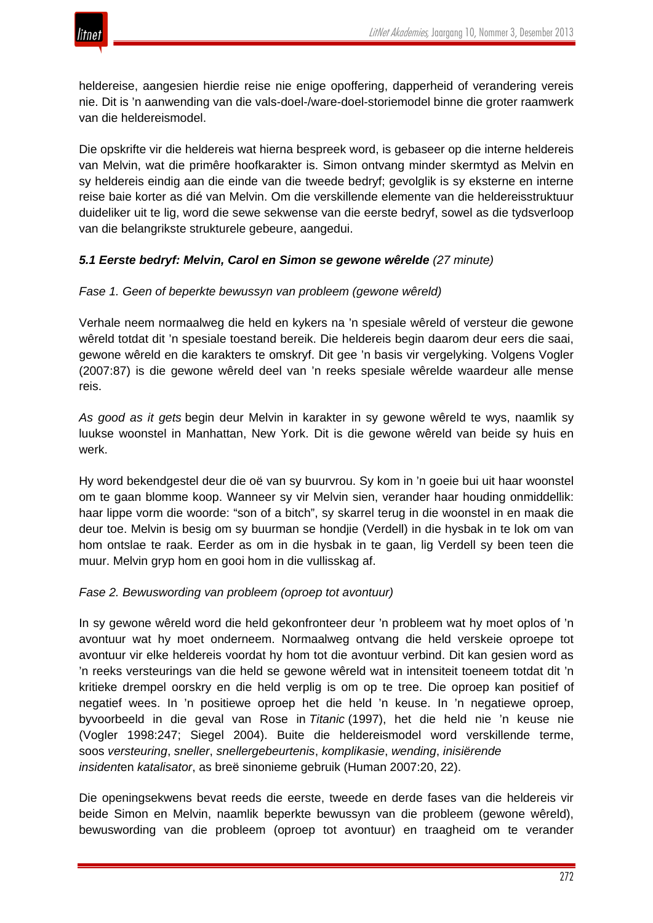

heldereise, aangesien hierdie reise nie enige opoffering, dapperheid of verandering vereis nie. Dit is 'n aanwending van die vals-doel-/ware-doel-storiemodel binne die groter raamwerk van die heldereismodel.

Die opskrifte vir die heldereis wat hierna bespreek word, is gebaseer op die interne heldereis van Melvin, wat die primêre hoofkarakter is. Simon ontvang minder skermtyd as Melvin en sy heldereis eindig aan die einde van die tweede bedryf; gevolglik is sy eksterne en interne reise baie korter as dié van Melvin. Om die verskillende elemente van die heldereisstruktuur duideliker uit te lig, word die sewe sekwense van die eerste bedryf, sowel as die tydsverloop van die belangrikste strukturele gebeure, aangedui.

## *5.1 Eerste bedryf: Melvin, Carol en Simon se gewone wêrelde (27 minute)*

## *Fase 1. Geen of beperkte bewussyn van probleem (gewone wêreld)*

Verhale neem normaalweg die held en kykers na 'n spesiale wêreld of versteur die gewone wêreld totdat dit 'n spesiale toestand bereik. Die heldereis begin daarom deur eers die saai, gewone wêreld en die karakters te omskryf. Dit gee 'n basis vir vergelyking. Volgens Vogler (2007:87) is die gewone wêreld deel van 'n reeks spesiale wêrelde waardeur alle mense reis.

*As good as it gets* begin deur Melvin in karakter in sy gewone wêreld te wys, naamlik sy luukse woonstel in Manhattan, New York. Dit is die gewone wêreld van beide sy huis en werk.

Hy word bekendgestel deur die oë van sy buurvrou. Sy kom in 'n goeie bui uit haar woonstel om te gaan blomme koop. Wanneer sy vir Melvin sien, verander haar houding onmiddellik: haar lippe vorm die woorde: "son of a bitch", sy skarrel terug in die woonstel in en maak die deur toe. Melvin is besig om sy buurman se hondjie (Verdell) in die hysbak in te lok om van hom ontslae te raak. Eerder as om in die hysbak in te gaan, lig Verdell sy been teen die muur. Melvin gryp hom en gooi hom in die vullisskag af.

## *Fase 2. Bewuswording van probleem (oproep tot avontuur)*

In sy gewone wêreld word die held gekonfronteer deur 'n probleem wat hy moet oplos of 'n avontuur wat hy moet onderneem. Normaalweg ontvang die held verskeie oproepe tot avontuur vir elke heldereis voordat hy hom tot die avontuur verbind. Dit kan gesien word as 'n reeks versteurings van die held se gewone wêreld wat in intensiteit toeneem totdat dit 'n kritieke drempel oorskry en die held verplig is om op te tree. Die oproep kan positief of negatief wees. In 'n positiewe oproep het die held 'n keuse. In 'n negatiewe oproep, byvoorbeeld in die geval van Rose in *Titanic* (1997), het die held nie 'n keuse nie (Vogler 1998:247; Siegel 2004). Buite die heldereismodel word verskillende terme, soos *versteuring*, *sneller*, *snellergebeurtenis*, *komplikasie*, *wending*, *inisiërende insident*en *katalisator*, as breë sinonieme gebruik (Human 2007:20, 22).

Die openingsekwens bevat reeds die eerste, tweede en derde fases van die heldereis vir beide Simon en Melvin, naamlik beperkte bewussyn van die probleem (gewone wêreld), bewuswording van die probleem (oproep tot avontuur) en traagheid om te verander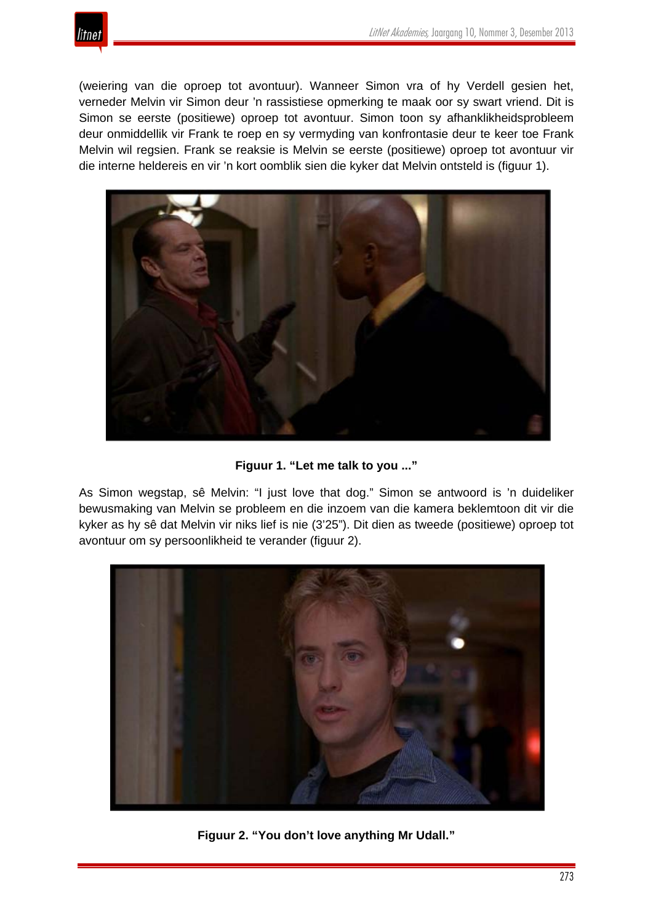

(weiering van die oproep tot avontuur). Wanneer Simon vra of hy Verdell gesien het, verneder Melvin vir Simon deur 'n rassistiese opmerking te maak oor sy swart vriend. Dit is Simon se eerste (positiewe) oproep tot avontuur. Simon toon sy afhanklikheidsprobleem deur onmiddellik vir Frank te roep en sy vermyding van konfrontasie deur te keer toe Frank Melvin wil regsien. Frank se reaksie is Melvin se eerste (positiewe) oproep tot avontuur vir die interne heldereis en vir 'n kort oomblik sien die kyker dat Melvin ontsteld is (figuur 1).



**Figuur 1. "Let me talk to you ..."**

As Simon wegstap, sê Melvin: "I just love that dog." Simon se antwoord is 'n duideliker bewusmaking van Melvin se probleem en die inzoem van die kamera beklemtoon dit vir die kyker as hy sê dat Melvin vir niks lief is nie (3'25"). Dit dien as tweede (positiewe) oproep tot avontuur om sy persoonlikheid te verander (figuur 2).



**Figuur 2. "You don't love anything Mr Udall."**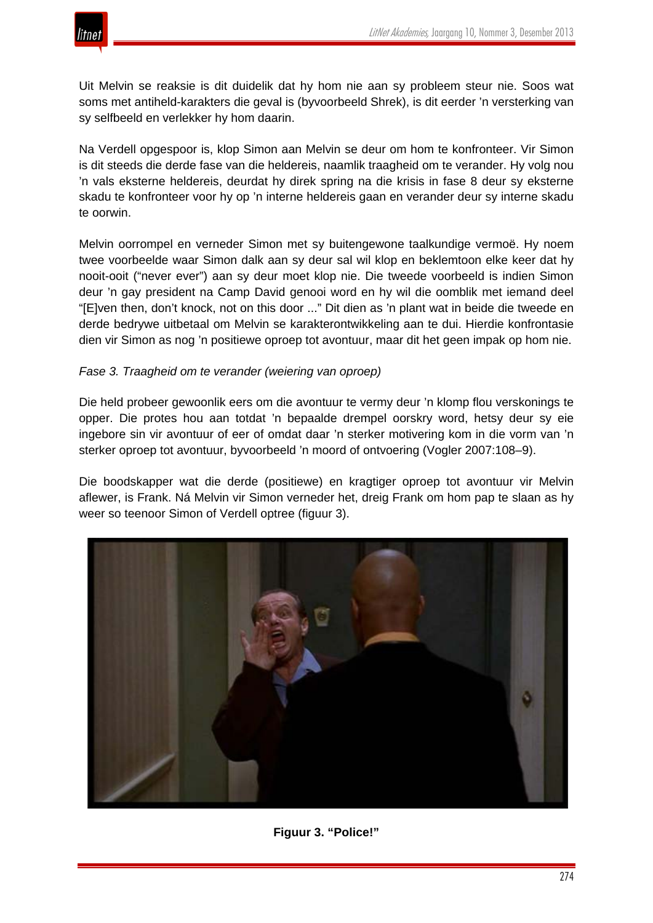

Uit Melvin se reaksie is dit duidelik dat hy hom nie aan sy probleem steur nie. Soos wat soms met antiheld-karakters die geval is (byvoorbeeld Shrek), is dit eerder 'n versterking van sy selfbeeld en verlekker hy hom daarin.

Na Verdell opgespoor is, klop Simon aan Melvin se deur om hom te konfronteer. Vir Simon is dit steeds die derde fase van die heldereis, naamlik traagheid om te verander. Hy volg nou 'n vals eksterne heldereis, deurdat hy direk spring na die krisis in fase 8 deur sy eksterne skadu te konfronteer voor hy op 'n interne heldereis gaan en verander deur sy interne skadu te oorwin.

Melvin oorrompel en verneder Simon met sy buitengewone taalkundige vermoë. Hy noem twee voorbeelde waar Simon dalk aan sy deur sal wil klop en beklemtoon elke keer dat hy nooit-ooit ("never ever") aan sy deur moet klop nie. Die tweede voorbeeld is indien Simon deur 'n gay president na Camp David genooi word en hy wil die oomblik met iemand deel "[E]ven then, don't knock, not on this door ..." Dit dien as 'n plant wat in beide die tweede en derde bedrywe uitbetaal om Melvin se karakterontwikkeling aan te dui. Hierdie konfrontasie dien vir Simon as nog 'n positiewe oproep tot avontuur, maar dit het geen impak op hom nie.

## *Fase 3. Traagheid om te verander (weiering van oproep)*

Die held probeer gewoonlik eers om die avontuur te vermy deur 'n klomp flou verskonings te opper. Die protes hou aan totdat 'n bepaalde drempel oorskry word, hetsy deur sy eie ingebore sin vir avontuur of eer of omdat daar 'n sterker motivering kom in die vorm van 'n sterker oproep tot avontuur, byvoorbeeld 'n moord of ontvoering (Vogler 2007:108–9).

Die boodskapper wat die derde (positiewe) en kragtiger oproep tot avontuur vir Melvin aflewer, is Frank. Ná Melvin vir Simon verneder het, dreig Frank om hom pap te slaan as hy weer so teenoor Simon of Verdell optree (figuur 3).



**Figuur 3. "Police!"**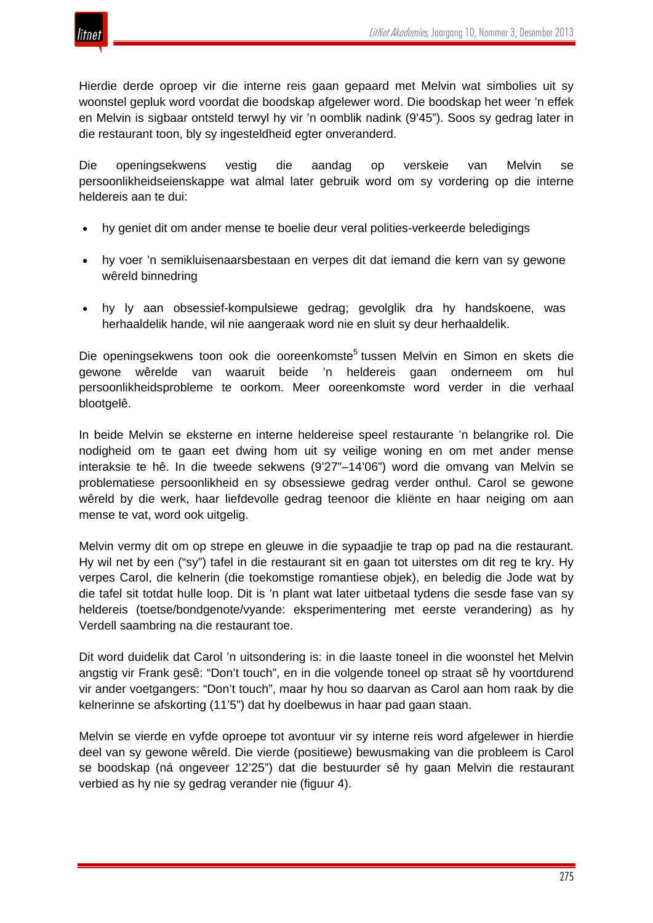

Hierdie derde oproep vir die interne reis gaan gepaard met Melvin wat simbolies uit sy woonstel gepluk word voordat die boodskap afgelewer word. Die boodskap het weer 'n effek en Melvin is sigbaar ontsteld terwyl hy vir 'n oomblik nadink (9'45"). Soos sy gedrag later in die restaurant toon, bly sy ingesteldheid egter onveranderd.

Die openingsekwens vestig die aandag op verskeie van Melvin se persoonlikheidseienskappe wat almal later gebruik word om sy vordering op die interne heldereis aan te dui:

- hy geniet dit om ander mense te boelie deur veral polities-verkeerde beledigings
- hy voer 'n semikluisenaarsbestaan en verpes dit dat iemand die kern van sy gewone wêreld binnedring
- hy ly aan obsessief-kompulsiewe gedrag; gevolglik dra hy handskoene, was herhaaldelik hande, wil nie aangeraak word nie en sluit sy deur herhaaldelik.

Die openingsekwens toon ook die ooreenkomste<sup>5</sup> tussen Melvin en Simon en skets die gewone wêrelde van waaruit beide 'n heldereis gaan onderneem om hul persoonlikheidsprobleme te oorkom. Meer ooreenkomste word verder in die verhaal blootgelê.

In beide Melvin se eksterne en interne heldereise speel restaurante 'n belangrike rol. Die nodigheid om te gaan eet dwing hom uit sy veilige woning en om met ander mense interaksie te hê. In die tweede sekwens (9'27"–14'06") word die omvang van Melvin se problematiese persoonlikheid en sy obsessiewe gedrag verder onthul. Carol se gewone wêreld by die werk, haar liefdevolle gedrag teenoor die kliënte en haar neiging om aan mense te vat, word ook uitgelig.

Melvin vermy dit om op strepe en gleuwe in die sypaadjie te trap op pad na die restaurant. Hy wil net by een ("sy") tafel in die restaurant sit en gaan tot uiterstes om dit reg te kry. Hy verpes Carol, die kelnerin (die toekomstige romantiese objek), en beledig die Jode wat by die tafel sit totdat hulle loop. Dit is 'n plant wat later uitbetaal tydens die sesde fase van sy heldereis (toetse/bondgenote/vyande: eksperimentering met eerste verandering) as hy Verdell saambring na die restaurant toe.

Dit word duidelik dat Carol 'n uitsondering is: in die laaste toneel in die woonstel het Melvin angstig vir Frank gesê: "Don't touch", en in die volgende toneel op straat sê hy voortdurend vir ander voetgangers: "Don't touch", maar hy hou so daarvan as Carol aan hom raak by die kelnerinne se afskorting (11'5") dat hy doelbewus in haar pad gaan staan.

Melvin se vierde en vyfde oproepe tot avontuur vir sy interne reis word afgelewer in hierdie deel van sy gewone wêreld. Die vierde (positiewe) bewusmaking van die probleem is Carol se boodskap (ná ongeveer 12'25") dat die bestuurder sê hy gaan Melvin die restaurant verbied as hy nie sy gedrag verander nie (figuur 4).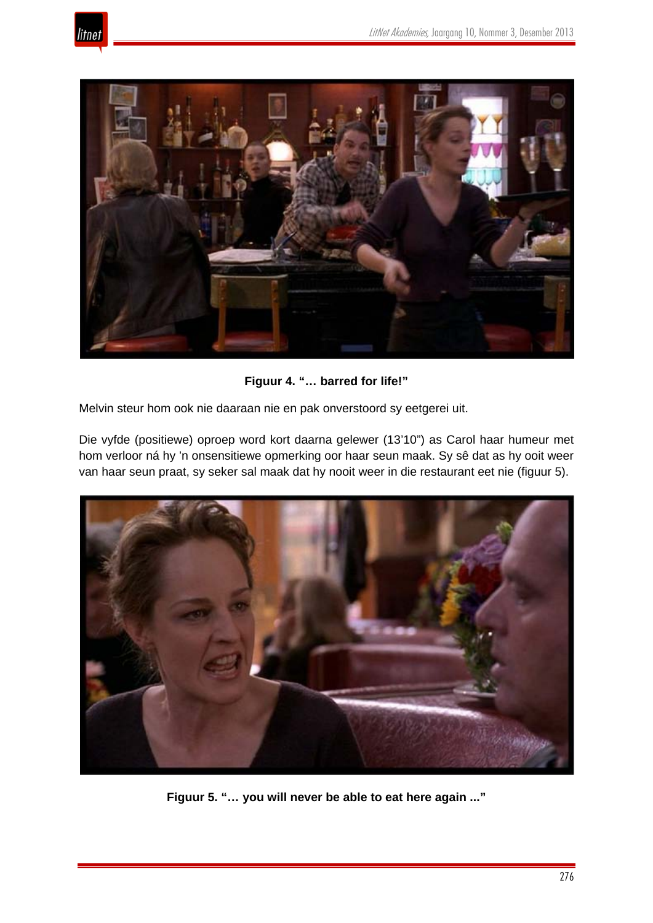



**Figuur 4. "… barred for life!"**

Melvin steur hom ook nie daaraan nie en pak onverstoord sy eetgerei uit.

Die vyfde (positiewe) oproep word kort daarna gelewer (13'10") as Carol haar humeur met hom verloor ná hy 'n onsensitiewe opmerking oor haar seun maak. Sy sê dat as hy ooit weer van haar seun praat, sy seker sal maak dat hy nooit weer in die restaurant eet nie (figuur 5).



**Figuur 5. "… you will never be able to eat here again ..."**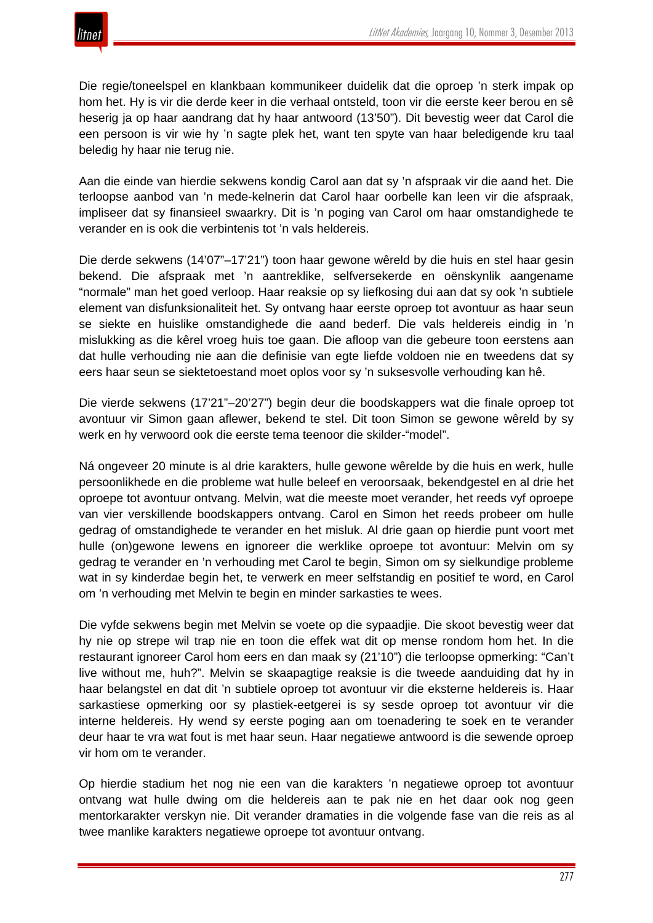

Die regie/toneelspel en klankbaan kommunikeer duidelik dat die oproep 'n sterk impak op hom het. Hy is vir die derde keer in die verhaal ontsteld, toon vir die eerste keer berou en sê heserig ja op haar aandrang dat hy haar antwoord (13'50"). Dit bevestig weer dat Carol die een persoon is vir wie hy 'n sagte plek het, want ten spyte van haar beledigende kru taal beledig hy haar nie terug nie.

Aan die einde van hierdie sekwens kondig Carol aan dat sy 'n afspraak vir die aand het. Die terloopse aanbod van 'n mede-kelnerin dat Carol haar oorbelle kan leen vir die afspraak, impliseer dat sy finansieel swaarkry. Dit is 'n poging van Carol om haar omstandighede te verander en is ook die verbintenis tot 'n vals heldereis.

Die derde sekwens (14'07"–17'21") toon haar gewone wêreld by die huis en stel haar gesin bekend. Die afspraak met 'n aantreklike, selfversekerde en oënskynlik aangename "normale" man het goed verloop. Haar reaksie op sy liefkosing dui aan dat sy ook 'n subtiele element van disfunksionaliteit het. Sy ontvang haar eerste oproep tot avontuur as haar seun se siekte en huislike omstandighede die aand bederf. Die vals heldereis eindig in 'n mislukking as die kêrel vroeg huis toe gaan. Die afloop van die gebeure toon eerstens aan dat hulle verhouding nie aan die definisie van egte liefde voldoen nie en tweedens dat sy eers haar seun se siektetoestand moet oplos voor sy 'n suksesvolle verhouding kan hê.

Die vierde sekwens (17'21"–20'27") begin deur die boodskappers wat die finale oproep tot avontuur vir Simon gaan aflewer, bekend te stel. Dit toon Simon se gewone wêreld by sy werk en hy verwoord ook die eerste tema teenoor die skilder-"model".

Ná ongeveer 20 minute is al drie karakters, hulle gewone wêrelde by die huis en werk, hulle persoonlikhede en die probleme wat hulle beleef en veroorsaak, bekendgestel en al drie het oproepe tot avontuur ontvang. Melvin, wat die meeste moet verander, het reeds vyf oproepe van vier verskillende boodskappers ontvang. Carol en Simon het reeds probeer om hulle gedrag of omstandighede te verander en het misluk. Al drie gaan op hierdie punt voort met hulle (on)gewone lewens en ignoreer die werklike oproepe tot avontuur: Melvin om sy gedrag te verander en 'n verhouding met Carol te begin, Simon om sy sielkundige probleme wat in sy kinderdae begin het, te verwerk en meer selfstandig en positief te word, en Carol om 'n verhouding met Melvin te begin en minder sarkasties te wees.

Die vyfde sekwens begin met Melvin se voete op die sypaadjie. Die skoot bevestig weer dat hy nie op strepe wil trap nie en toon die effek wat dit op mense rondom hom het. In die restaurant ignoreer Carol hom eers en dan maak sy (21'10") die terloopse opmerking: "Can't live without me, huh?". Melvin se skaapagtige reaksie is die tweede aanduiding dat hy in haar belangstel en dat dit 'n subtiele oproep tot avontuur vir die eksterne heldereis is. Haar sarkastiese opmerking oor sy plastiek-eetgerei is sy sesde oproep tot avontuur vir die interne heldereis. Hy wend sy eerste poging aan om toenadering te soek en te verander deur haar te vra wat fout is met haar seun. Haar negatiewe antwoord is die sewende oproep vir hom om te verander.

Op hierdie stadium het nog nie een van die karakters 'n negatiewe oproep tot avontuur ontvang wat hulle dwing om die heldereis aan te pak nie en het daar ook nog geen mentorkarakter verskyn nie. Dit verander dramaties in die volgende fase van die reis as al twee manlike karakters negatiewe oproepe tot avontuur ontvang.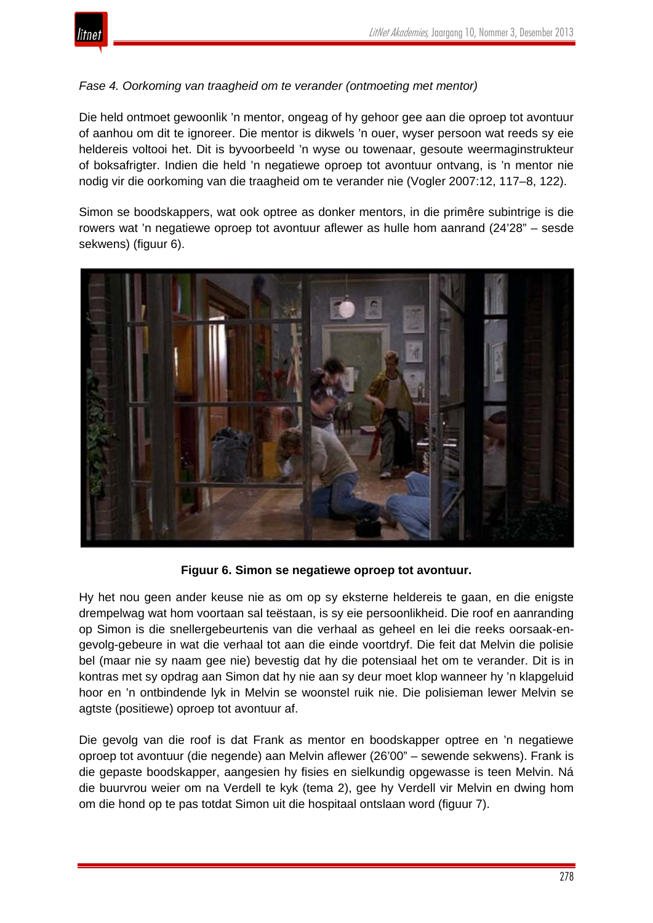

## *Fase 4. Oorkoming van traagheid om te verander (ontmoeting met mentor)*

Die held ontmoet gewoonlik 'n mentor, ongeag of hy gehoor gee aan die oproep tot avontuur of aanhou om dit te ignoreer. Die mentor is dikwels 'n ouer, wyser persoon wat reeds sy eie heldereis voltooi het. Dit is byvoorbeeld 'n wyse ou towenaar, gesoute weermaginstrukteur of boksafrigter. Indien die held 'n negatiewe oproep tot avontuur ontvang, is 'n mentor nie nodig vir die oorkoming van die traagheid om te verander nie (Vogler 2007:12, 117–8, 122).

Simon se boodskappers, wat ook optree as donker mentors, in die primêre subintrige is die rowers wat 'n negatiewe oproep tot avontuur aflewer as hulle hom aanrand (24'28" – sesde sekwens) (figuur 6).



**Figuur 6. Simon se negatiewe oproep tot avontuur.**

Hy het nou geen ander keuse nie as om op sy eksterne heldereis te gaan, en die enigste drempelwag wat hom voortaan sal teëstaan, is sy eie persoonlikheid. Die roof en aanranding op Simon is die snellergebeurtenis van die verhaal as geheel en lei die reeks oorsaak-engevolg-gebeure in wat die verhaal tot aan die einde voortdryf. Die feit dat Melvin die polisie bel (maar nie sy naam gee nie) bevestig dat hy die potensiaal het om te verander. Dit is in kontras met sy opdrag aan Simon dat hy nie aan sy deur moet klop wanneer hy 'n klapgeluid hoor en 'n ontbindende lyk in Melvin se woonstel ruik nie. Die polisieman lewer Melvin se agtste (positiewe) oproep tot avontuur af.

Die gevolg van die roof is dat Frank as mentor en boodskapper optree en 'n negatiewe oproep tot avontuur (die negende) aan Melvin aflewer (26'00" – sewende sekwens). Frank is die gepaste boodskapper, aangesien hy fisies en sielkundig opgewasse is teen Melvin. Ná die buurvrou weier om na Verdell te kyk (tema 2), gee hy Verdell vir Melvin en dwing hom om die hond op te pas totdat Simon uit die hospitaal ontslaan word (figuur 7).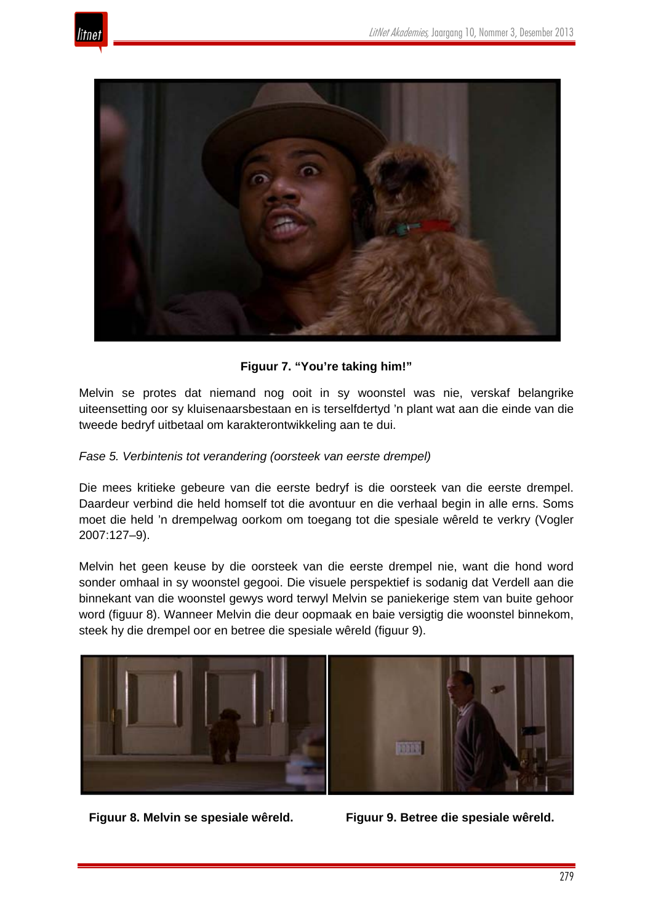



**Figuur 7. "You're taking him!"**

Melvin se protes dat niemand nog ooit in sy woonstel was nie, verskaf belangrike uiteensetting oor sy kluisenaarsbestaan en is terselfdertyd 'n plant wat aan die einde van die tweede bedryf uitbetaal om karakterontwikkeling aan te dui.

## *Fase 5. Verbintenis tot verandering (oorsteek van eerste drempel)*

Die mees kritieke gebeure van die eerste bedryf is die oorsteek van die eerste drempel. Daardeur verbind die held homself tot die avontuur en die verhaal begin in alle erns. Soms moet die held 'n drempelwag oorkom om toegang tot die spesiale wêreld te verkry (Vogler 2007:127–9).

Melvin het geen keuse by die oorsteek van die eerste drempel nie, want die hond word sonder omhaal in sy woonstel gegooi. Die visuele perspektief is sodanig dat Verdell aan die binnekant van die woonstel gewys word terwyl Melvin se paniekerige stem van buite gehoor word (figuur 8). Wanneer Melvin die deur oopmaak en baie versigtig die woonstel binnekom, steek hy die drempel oor en betree die spesiale wêreld (figuur 9).



**Figuur 8. Melvin se spesiale wêreld. Figuur 9. Betree die spesiale wêreld.**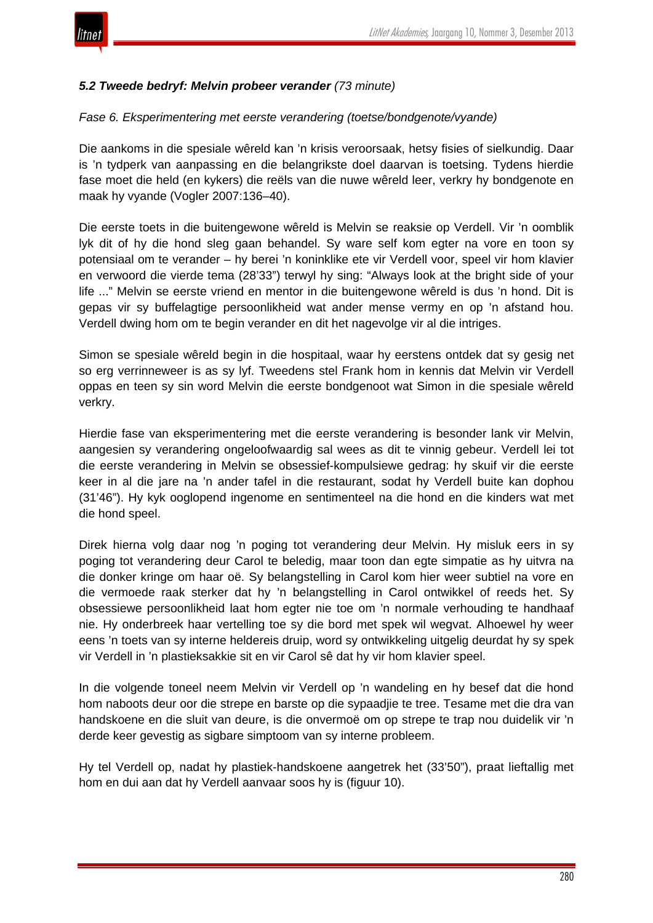

## *5.2 Tweede bedryf: Melvin probeer verander (73 minute)*

#### *Fase 6. Eksperimentering met eerste verandering (toetse/bondgenote/vyande)*

Die aankoms in die spesiale wêreld kan 'n krisis veroorsaak, hetsy fisies of sielkundig. Daar is 'n tydperk van aanpassing en die belangrikste doel daarvan is toetsing. Tydens hierdie fase moet die held (en kykers) die reëls van die nuwe wêreld leer, verkry hy bondgenote en maak hy vyande (Vogler 2007:136–40).

Die eerste toets in die buitengewone wêreld is Melvin se reaksie op Verdell. Vir 'n oomblik lyk dit of hy die hond sleg gaan behandel. Sy ware self kom egter na vore en toon sy potensiaal om te verander – hy berei 'n koninklike ete vir Verdell voor, speel vir hom klavier en verwoord die vierde tema (28'33") terwyl hy sing: "Always look at the bright side of your life ..." Melvin se eerste vriend en mentor in die buitengewone wêreld is dus 'n hond. Dit is gepas vir sy buffelagtige persoonlikheid wat ander mense vermy en op 'n afstand hou. Verdell dwing hom om te begin verander en dit het nagevolge vir al die intriges.

Simon se spesiale wêreld begin in die hospitaal, waar hy eerstens ontdek dat sy gesig net so erg verrinneweer is as sy lyf. Tweedens stel Frank hom in kennis dat Melvin vir Verdell oppas en teen sy sin word Melvin die eerste bondgenoot wat Simon in die spesiale wêreld verkry.

Hierdie fase van eksperimentering met die eerste verandering is besonder lank vir Melvin, aangesien sy verandering ongeloofwaardig sal wees as dit te vinnig gebeur. Verdell lei tot die eerste verandering in Melvin se obsessief-kompulsiewe gedrag: hy skuif vir die eerste keer in al die jare na 'n ander tafel in die restaurant, sodat hy Verdell buite kan dophou (31'46"). Hy kyk ooglopend ingenome en sentimenteel na die hond en die kinders wat met die hond speel.

Direk hierna volg daar nog 'n poging tot verandering deur Melvin. Hy misluk eers in sy poging tot verandering deur Carol te beledig, maar toon dan egte simpatie as hy uitvra na die donker kringe om haar oë. Sy belangstelling in Carol kom hier weer subtiel na vore en die vermoede raak sterker dat hy 'n belangstelling in Carol ontwikkel of reeds het. Sy obsessiewe persoonlikheid laat hom egter nie toe om 'n normale verhouding te handhaaf nie. Hy onderbreek haar vertelling toe sy die bord met spek wil wegvat. Alhoewel hy weer eens 'n toets van sy interne heldereis druip, word sy ontwikkeling uitgelig deurdat hy sy spek vir Verdell in 'n plastieksakkie sit en vir Carol sê dat hy vir hom klavier speel.

In die volgende toneel neem Melvin vir Verdell op 'n wandeling en hy besef dat die hond hom naboots deur oor die strepe en barste op die sypaadjie te tree. Tesame met die dra van handskoene en die sluit van deure, is die onvermoë om op strepe te trap nou duidelik vir 'n derde keer gevestig as sigbare simptoom van sy interne probleem.

Hy tel Verdell op, nadat hy plastiek-handskoene aangetrek het (33'50"), praat lieftallig met hom en dui aan dat hy Verdell aanvaar soos hy is (figuur 10).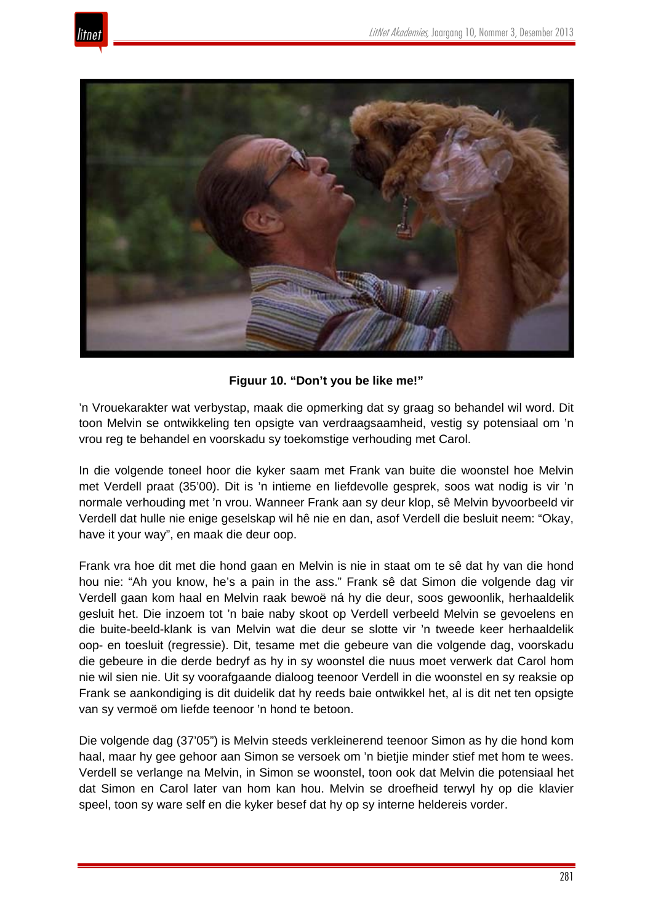



**Figuur 10. "Don't you be like me!"**

'n Vrouekarakter wat verbystap, maak die opmerking dat sy graag so behandel wil word. Dit toon Melvin se ontwikkeling ten opsigte van verdraagsaamheid, vestig sy potensiaal om 'n vrou reg te behandel en voorskadu sy toekomstige verhouding met Carol.

In die volgende toneel hoor die kyker saam met Frank van buite die woonstel hoe Melvin met Verdell praat (35'00). Dit is 'n intieme en liefdevolle gesprek, soos wat nodig is vir 'n normale verhouding met 'n vrou. Wanneer Frank aan sy deur klop, sê Melvin byvoorbeeld vir Verdell dat hulle nie enige geselskap wil hê nie en dan, asof Verdell die besluit neem: "Okay, have it your way", en maak die deur oop.

Frank vra hoe dit met die hond gaan en Melvin is nie in staat om te sê dat hy van die hond hou nie: "Ah you know, he's a pain in the ass." Frank sê dat Simon die volgende dag vir Verdell gaan kom haal en Melvin raak bewoë ná hy die deur, soos gewoonlik, herhaaldelik gesluit het. Die inzoem tot 'n baie naby skoot op Verdell verbeeld Melvin se gevoelens en die buite-beeld-klank is van Melvin wat die deur se slotte vir 'n tweede keer herhaaldelik oop- en toesluit (regressie). Dit, tesame met die gebeure van die volgende dag, voorskadu die gebeure in die derde bedryf as hy in sy woonstel die nuus moet verwerk dat Carol hom nie wil sien nie. Uit sy voorafgaande dialoog teenoor Verdell in die woonstel en sy reaksie op Frank se aankondiging is dit duidelik dat hy reeds baie ontwikkel het, al is dit net ten opsigte van sy vermoë om liefde teenoor 'n hond te betoon.

Die volgende dag (37'05") is Melvin steeds verkleinerend teenoor Simon as hy die hond kom haal, maar hy gee gehoor aan Simon se versoek om 'n bietjie minder stief met hom te wees. Verdell se verlange na Melvin, in Simon se woonstel, toon ook dat Melvin die potensiaal het dat Simon en Carol later van hom kan hou. Melvin se droefheid terwyl hy op die klavier speel, toon sy ware self en die kyker besef dat hy op sy interne heldereis vorder.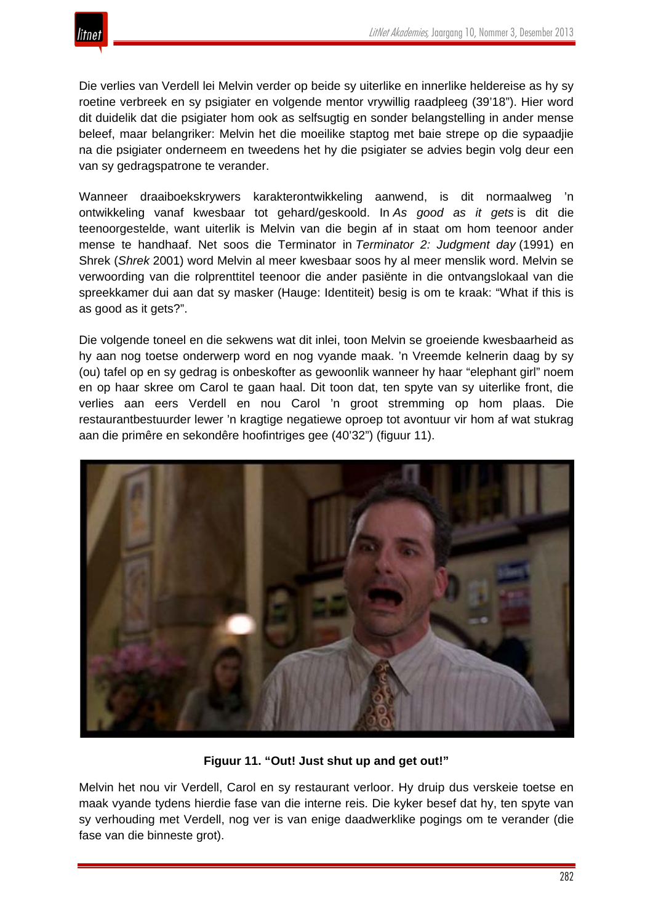Die verlies van Verdell lei Melvin verder op beide sy uiterlike en innerlike heldereise as hy sy roetine verbreek en sy psigiater en volgende mentor vrywillig raadpleeg (39'18"). Hier word dit duidelik dat die psigiater hom ook as selfsugtig en sonder belangstelling in ander mense beleef, maar belangriker: Melvin het die moeilike staptog met baie strepe op die sypaadjie na die psigiater onderneem en tweedens het hy die psigiater se advies begin volg deur een van sy gedragspatrone te verander.

Wanneer draaiboekskrywers karakterontwikkeling aanwend, is dit normaalweg 'n ontwikkeling vanaf kwesbaar tot gehard/geskoold. In *As good as it gets* is dit die teenoorgestelde, want uiterlik is Melvin van die begin af in staat om hom teenoor ander mense te handhaaf. Net soos die Terminator in *Terminator 2: Judgment day* (1991) en Shrek (*Shrek* 2001) word Melvin al meer kwesbaar soos hy al meer menslik word. Melvin se verwoording van die rolprenttitel teenoor die ander pasiënte in die ontvangslokaal van die spreekkamer dui aan dat sy masker (Hauge: Identiteit) besig is om te kraak: "What if this is as good as it gets?".

Die volgende toneel en die sekwens wat dit inlei, toon Melvin se groeiende kwesbaarheid as hy aan nog toetse onderwerp word en nog vyande maak. 'n Vreemde kelnerin daag by sy (ou) tafel op en sy gedrag is onbeskofter as gewoonlik wanneer hy haar "elephant girl" noem en op haar skree om Carol te gaan haal. Dit toon dat, ten spyte van sy uiterlike front, die verlies aan eers Verdell en nou Carol 'n groot stremming op hom plaas. Die restaurantbestuurder lewer 'n kragtige negatiewe oproep tot avontuur vir hom af wat stukrag aan die primêre en sekondêre hoofintriges gee (40'32") (figuur 11).



## **Figuur 11. "Out! Just shut up and get out!"**

Melvin het nou vir Verdell, Carol en sy restaurant verloor. Hy druip dus verskeie toetse en maak vyande tydens hierdie fase van die interne reis. Die kyker besef dat hy, ten spyte van sy verhouding met Verdell, nog ver is van enige daadwerklike pogings om te verander (die fase van die binneste grot).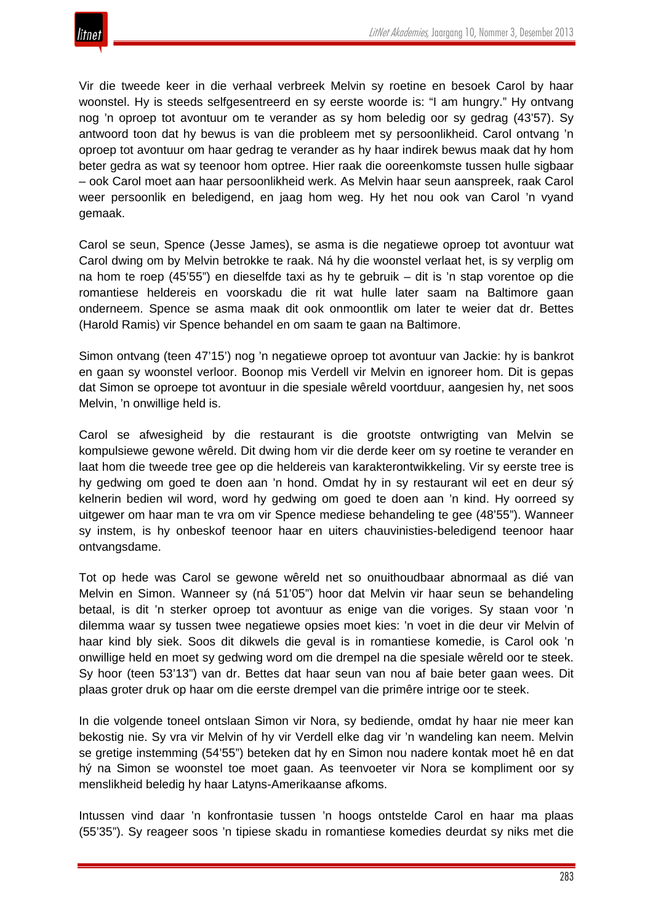

Vir die tweede keer in die verhaal verbreek Melvin sy roetine en besoek Carol by haar woonstel. Hy is steeds selfgesentreerd en sy eerste woorde is: "I am hungry." Hy ontvang nog 'n oproep tot avontuur om te verander as sy hom beledig oor sy gedrag (43'57). Sy antwoord toon dat hy bewus is van die probleem met sy persoonlikheid. Carol ontvang 'n oproep tot avontuur om haar gedrag te verander as hy haar indirek bewus maak dat hy hom beter gedra as wat sy teenoor hom optree. Hier raak die ooreenkomste tussen hulle sigbaar – ook Carol moet aan haar persoonlikheid werk. As Melvin haar seun aanspreek, raak Carol weer persoonlik en beledigend, en jaag hom weg. Hy het nou ook van Carol 'n vyand gemaak.

Carol se seun, Spence (Jesse James), se asma is die negatiewe oproep tot avontuur wat Carol dwing om by Melvin betrokke te raak. Ná hy die woonstel verlaat het, is sy verplig om na hom te roep (45'55") en dieselfde taxi as hy te gebruik – dit is 'n stap vorentoe op die romantiese heldereis en voorskadu die rit wat hulle later saam na Baltimore gaan onderneem. Spence se asma maak dit ook onmoontlik om later te weier dat dr. Bettes (Harold Ramis) vir Spence behandel en om saam te gaan na Baltimore.

Simon ontvang (teen 47'15') nog 'n negatiewe oproep tot avontuur van Jackie: hy is bankrot en gaan sy woonstel verloor. Boonop mis Verdell vir Melvin en ignoreer hom. Dit is gepas dat Simon se oproepe tot avontuur in die spesiale wêreld voortduur, aangesien hy, net soos Melvin, 'n onwillige held is.

Carol se afwesigheid by die restaurant is die grootste ontwrigting van Melvin se kompulsiewe gewone wêreld. Dit dwing hom vir die derde keer om sy roetine te verander en laat hom die tweede tree gee op die heldereis van karakterontwikkeling. Vir sy eerste tree is hy gedwing om goed te doen aan 'n hond. Omdat hy in sy restaurant wil eet en deur sý kelnerin bedien wil word, word hy gedwing om goed te doen aan 'n kind. Hy oorreed sy uitgewer om haar man te vra om vir Spence mediese behandeling te gee (48'55"). Wanneer sy instem, is hy onbeskof teenoor haar en uiters chauvinisties-beledigend teenoor haar ontvangsdame.

Tot op hede was Carol se gewone wêreld net so onuithoudbaar abnormaal as dié van Melvin en Simon. Wanneer sy (ná 51'05") hoor dat Melvin vir haar seun se behandeling betaal, is dit 'n sterker oproep tot avontuur as enige van die voriges. Sy staan voor 'n dilemma waar sy tussen twee negatiewe opsies moet kies: 'n voet in die deur vir Melvin of haar kind bly siek. Soos dit dikwels die geval is in romantiese komedie, is Carol ook 'n onwillige held en moet sy gedwing word om die drempel na die spesiale wêreld oor te steek. Sy hoor (teen 53'13") van dr. Bettes dat haar seun van nou af baie beter gaan wees. Dit plaas groter druk op haar om die eerste drempel van die primêre intrige oor te steek.

In die volgende toneel ontslaan Simon vir Nora, sy bediende, omdat hy haar nie meer kan bekostig nie. Sy vra vir Melvin of hy vir Verdell elke dag vir 'n wandeling kan neem. Melvin se gretige instemming (54'55") beteken dat hy en Simon nou nadere kontak moet hê en dat hý na Simon se woonstel toe moet gaan. As teenvoeter vir Nora se kompliment oor sy menslikheid beledig hy haar Latyns-Amerikaanse afkoms.

Intussen vind daar 'n konfrontasie tussen 'n hoogs ontstelde Carol en haar ma plaas (55'35"). Sy reageer soos 'n tipiese skadu in romantiese komedies deurdat sy niks met die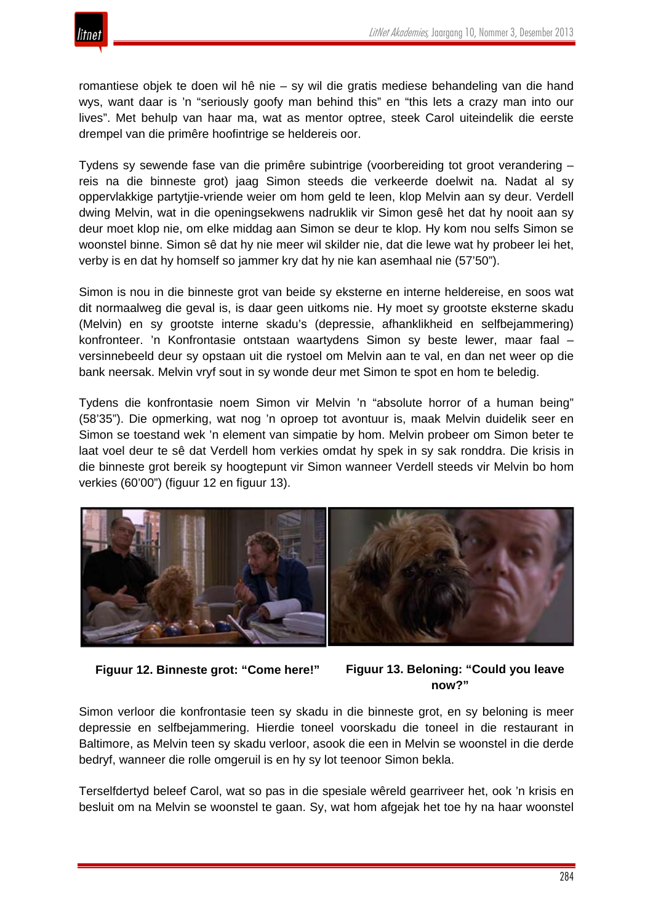![](_page_28_Picture_1.jpeg)

romantiese objek te doen wil hê nie – sy wil die gratis mediese behandeling van die hand wys, want daar is 'n "seriously goofy man behind this" en "this lets a crazy man into our lives". Met behulp van haar ma, wat as mentor optree, steek Carol uiteindelik die eerste drempel van die primêre hoofintrige se heldereis oor.

Tydens sy sewende fase van die primêre subintrige (voorbereiding tot groot verandering – reis na die binneste grot) jaag Simon steeds die verkeerde doelwit na. Nadat al sy oppervlakkige partytjie-vriende weier om hom geld te leen, klop Melvin aan sy deur. Verdell dwing Melvin, wat in die openingsekwens nadruklik vir Simon gesê het dat hy nooit aan sy deur moet klop nie, om elke middag aan Simon se deur te klop. Hy kom nou selfs Simon se woonstel binne. Simon sê dat hy nie meer wil skilder nie, dat die lewe wat hy probeer lei het, verby is en dat hy homself so jammer kry dat hy nie kan asemhaal nie (57'50").

Simon is nou in die binneste grot van beide sy eksterne en interne heldereise, en soos wat dit normaalweg die geval is, is daar geen uitkoms nie. Hy moet sy grootste eksterne skadu (Melvin) en sy grootste interne skadu's (depressie, afhanklikheid en selfbejammering) konfronteer. 'n Konfrontasie ontstaan waartydens Simon sy beste lewer, maar faal – versinnebeeld deur sy opstaan uit die rystoel om Melvin aan te val, en dan net weer op die bank neersak. Melvin vryf sout in sy wonde deur met Simon te spot en hom te beledig.

Tydens die konfrontasie noem Simon vir Melvin 'n "absolute horror of a human being" (58'35"). Die opmerking, wat nog 'n oproep tot avontuur is, maak Melvin duidelik seer en Simon se toestand wek 'n element van simpatie by hom. Melvin probeer om Simon beter te laat voel deur te sê dat Verdell hom verkies omdat hy spek in sy sak ronddra. Die krisis in die binneste grot bereik sy hoogtepunt vir Simon wanneer Verdell steeds vir Melvin bo hom verkies (60'00") (figuur 12 en figuur 13).

![](_page_28_Picture_6.jpeg)

![](_page_28_Figure_7.jpeg)

```
now?"
```
Simon verloor die konfrontasie teen sy skadu in die binneste grot, en sy beloning is meer depressie en selfbejammering. Hierdie toneel voorskadu die toneel in die restaurant in Baltimore, as Melvin teen sy skadu verloor, asook die een in Melvin se woonstel in die derde bedryf, wanneer die rolle omgeruil is en hy sy lot teenoor Simon bekla.

Terselfdertyd beleef Carol, wat so pas in die spesiale wêreld gearriveer het, ook 'n krisis en besluit om na Melvin se woonstel te gaan. Sy, wat hom afgejak het toe hy na haar woonstel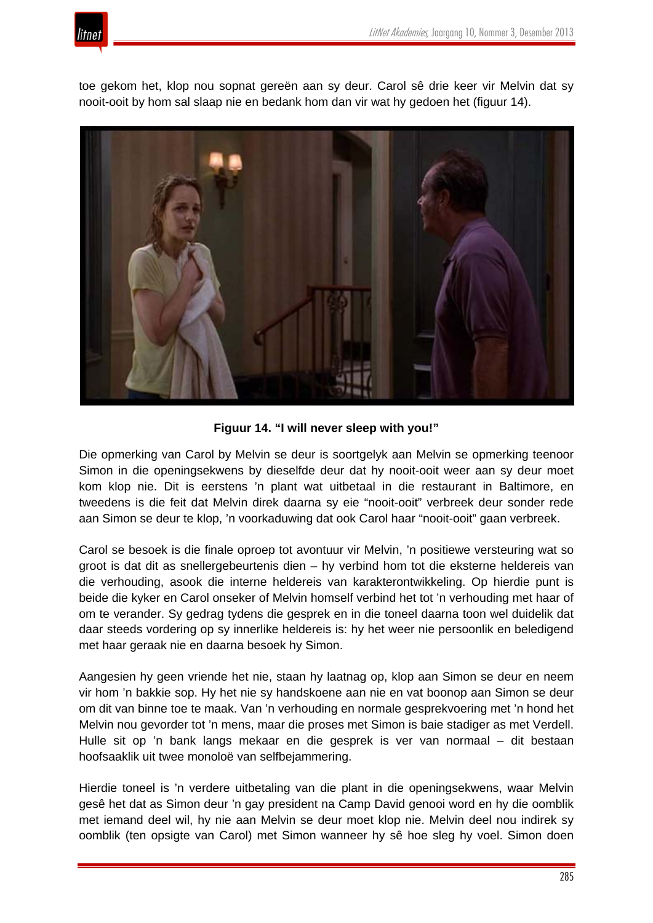![](_page_29_Picture_0.jpeg)

toe gekom het, klop nou sopnat gereën aan sy deur. Carol sê drie keer vir Melvin dat sy nooit-ooit by hom sal slaap nie en bedank hom dan vir wat hy gedoen het (figuur 14).

![](_page_29_Picture_3.jpeg)

**Figuur 14. "I will never sleep with you!"**

Die opmerking van Carol by Melvin se deur is soortgelyk aan Melvin se opmerking teenoor Simon in die openingsekwens by dieselfde deur dat hy nooit-ooit weer aan sy deur moet kom klop nie. Dit is eerstens 'n plant wat uitbetaal in die restaurant in Baltimore, en tweedens is die feit dat Melvin direk daarna sy eie "nooit-ooit" verbreek deur sonder rede aan Simon se deur te klop, 'n voorkaduwing dat ook Carol haar "nooit-ooit" gaan verbreek.

Carol se besoek is die finale oproep tot avontuur vir Melvin, 'n positiewe versteuring wat so groot is dat dit as snellergebeurtenis dien – hy verbind hom tot die eksterne heldereis van die verhouding, asook die interne heldereis van karakterontwikkeling. Op hierdie punt is beide die kyker en Carol onseker of Melvin homself verbind het tot 'n verhouding met haar of om te verander. Sy gedrag tydens die gesprek en in die toneel daarna toon wel duidelik dat daar steeds vordering op sy innerlike heldereis is: hy het weer nie persoonlik en beledigend met haar geraak nie en daarna besoek hy Simon.

Aangesien hy geen vriende het nie, staan hy laatnag op, klop aan Simon se deur en neem vir hom 'n bakkie sop. Hy het nie sy handskoene aan nie en vat boonop aan Simon se deur om dit van binne toe te maak. Van 'n verhouding en normale gesprekvoering met 'n hond het Melvin nou gevorder tot 'n mens, maar die proses met Simon is baie stadiger as met Verdell. Hulle sit op 'n bank langs mekaar en die gesprek is ver van normaal – dit bestaan hoofsaaklik uit twee monoloë van selfbejammering.

Hierdie toneel is 'n verdere uitbetaling van die plant in die openingsekwens, waar Melvin gesê het dat as Simon deur 'n gay president na Camp David genooi word en hy die oomblik met iemand deel wil, hy nie aan Melvin se deur moet klop nie. Melvin deel nou indirek sy oomblik (ten opsigte van Carol) met Simon wanneer hy sê hoe sleg hy voel. Simon doen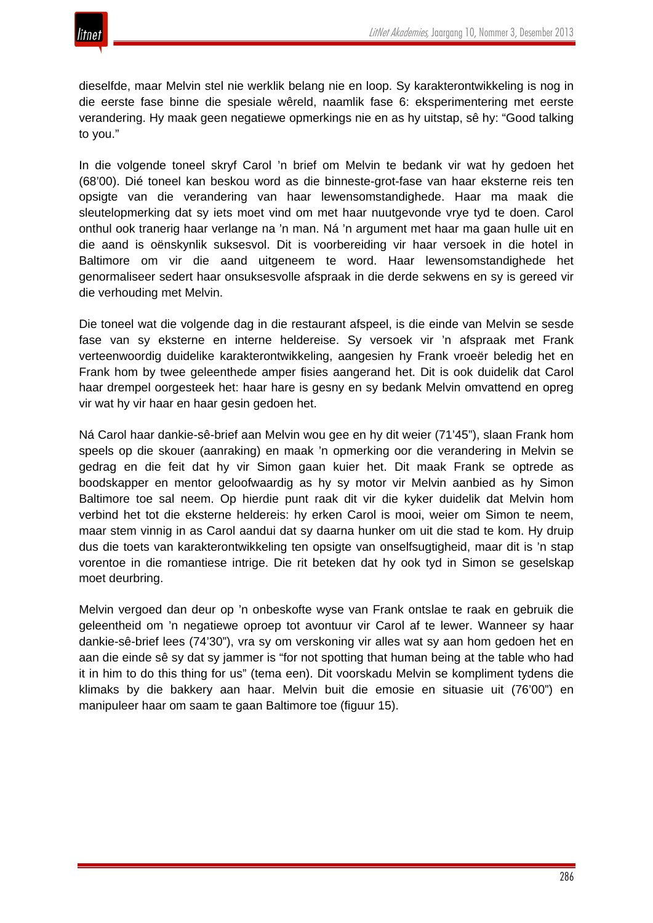![](_page_30_Picture_0.jpeg)

dieselfde, maar Melvin stel nie werklik belang nie en loop. Sy karakterontwikkeling is nog in die eerste fase binne die spesiale wêreld, naamlik fase 6: eksperimentering met eerste verandering. Hy maak geen negatiewe opmerkings nie en as hy uitstap, sê hy: "Good talking to you."

In die volgende toneel skryf Carol 'n brief om Melvin te bedank vir wat hy gedoen het (68'00). Dié toneel kan beskou word as die binneste-grot-fase van haar eksterne reis ten opsigte van die verandering van haar lewensomstandighede. Haar ma maak die sleutelopmerking dat sy iets moet vind om met haar nuutgevonde vrye tyd te doen. Carol onthul ook tranerig haar verlange na 'n man. Ná 'n argument met haar ma gaan hulle uit en die aand is oënskynlik suksesvol. Dit is voorbereiding vir haar versoek in die hotel in Baltimore om vir die aand uitgeneem te word. Haar lewensomstandighede het genormaliseer sedert haar onsuksesvolle afspraak in die derde sekwens en sy is gereed vir die verhouding met Melvin.

Die toneel wat die volgende dag in die restaurant afspeel, is die einde van Melvin se sesde fase van sy eksterne en interne heldereise. Sy versoek vir 'n afspraak met Frank verteenwoordig duidelike karakterontwikkeling, aangesien hy Frank vroeër beledig het en Frank hom by twee geleenthede amper fisies aangerand het. Dit is ook duidelik dat Carol haar drempel oorgesteek het: haar hare is gesny en sy bedank Melvin omvattend en opreg vir wat hy vir haar en haar gesin gedoen het.

Ná Carol haar dankie-sê-brief aan Melvin wou gee en hy dit weier (71'45"), slaan Frank hom speels op die skouer (aanraking) en maak 'n opmerking oor die verandering in Melvin se gedrag en die feit dat hy vir Simon gaan kuier het. Dit maak Frank se optrede as boodskapper en mentor geloofwaardig as hy sy motor vir Melvin aanbied as hy Simon Baltimore toe sal neem. Op hierdie punt raak dit vir die kyker duidelik dat Melvin hom verbind het tot die eksterne heldereis: hy erken Carol is mooi, weier om Simon te neem, maar stem vinnig in as Carol aandui dat sy daarna hunker om uit die stad te kom. Hy druip dus die toets van karakterontwikkeling ten opsigte van onselfsugtigheid, maar dit is 'n stap vorentoe in die romantiese intrige. Die rit beteken dat hy ook tyd in Simon se geselskap moet deurbring.

Melvin vergoed dan deur op 'n onbeskofte wyse van Frank ontslae te raak en gebruik die geleentheid om 'n negatiewe oproep tot avontuur vir Carol af te lewer. Wanneer sy haar dankie-sê-brief lees (74'30"), vra sy om verskoning vir alles wat sy aan hom gedoen het en aan die einde sê sy dat sy jammer is "for not spotting that human being at the table who had it in him to do this thing for us" (tema een). Dit voorskadu Melvin se kompliment tydens die klimaks by die bakkery aan haar. Melvin buit die emosie en situasie uit (76'00") en manipuleer haar om saam te gaan Baltimore toe (figuur 15).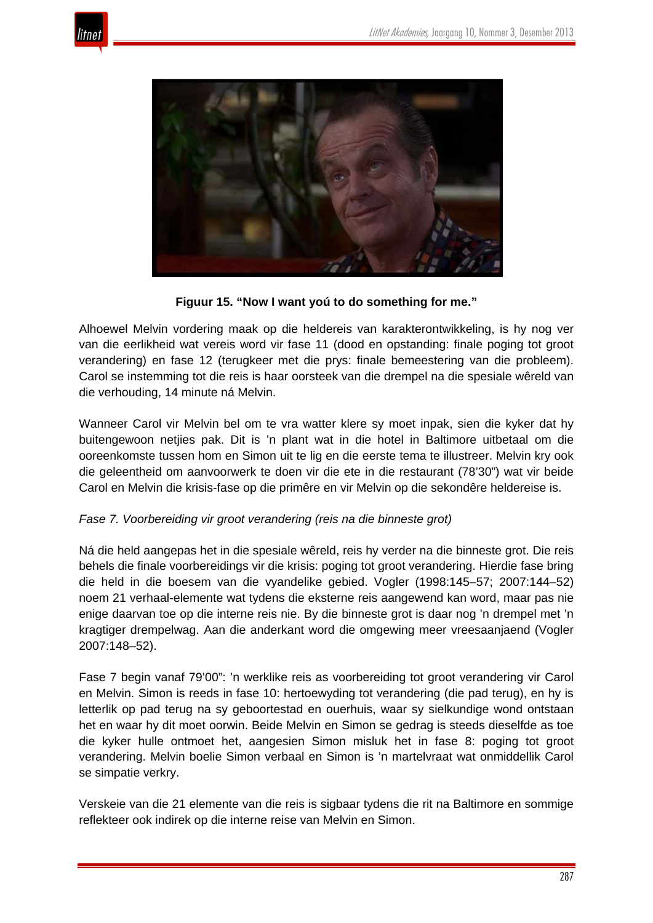![](_page_31_Picture_1.jpeg)

![](_page_31_Picture_2.jpeg)

**Figuur 15. "Now I want yoú to do something for me."**

Alhoewel Melvin vordering maak op die heldereis van karakterontwikkeling, is hy nog ver van die eerlikheid wat vereis word vir fase 11 (dood en opstanding: finale poging tot groot verandering) en fase 12 (terugkeer met die prys: finale bemeestering van die probleem). Carol se instemming tot die reis is haar oorsteek van die drempel na die spesiale wêreld van die verhouding, 14 minute ná Melvin.

Wanneer Carol vir Melvin bel om te vra watter klere sy moet inpak, sien die kyker dat hy buitengewoon netjies pak. Dit is 'n plant wat in die hotel in Baltimore uitbetaal om die ooreenkomste tussen hom en Simon uit te lig en die eerste tema te illustreer. Melvin kry ook die geleentheid om aanvoorwerk te doen vir die ete in die restaurant (78'30") wat vir beide Carol en Melvin die krisis-fase op die primêre en vir Melvin op die sekondêre heldereise is.

## *Fase 7. Voorbereiding vir groot verandering (reis na die binneste grot)*

Ná die held aangepas het in die spesiale wêreld, reis hy verder na die binneste grot. Die reis behels die finale voorbereidings vir die krisis: poging tot groot verandering. Hierdie fase bring die held in die boesem van die vyandelike gebied. Vogler (1998:145–57; 2007:144–52) noem 21 verhaal-elemente wat tydens die eksterne reis aangewend kan word, maar pas nie enige daarvan toe op die interne reis nie. By die binneste grot is daar nog 'n drempel met 'n kragtiger drempelwag. Aan die anderkant word die omgewing meer vreesaanjaend (Vogler 2007:148–52).

Fase 7 begin vanaf 79'00": 'n werklike reis as voorbereiding tot groot verandering vir Carol en Melvin. Simon is reeds in fase 10: hertoewyding tot verandering (die pad terug), en hy is letterlik op pad terug na sy geboortestad en ouerhuis, waar sy sielkundige wond ontstaan het en waar hy dit moet oorwin. Beide Melvin en Simon se gedrag is steeds dieselfde as toe die kyker hulle ontmoet het, aangesien Simon misluk het in fase 8: poging tot groot verandering. Melvin boelie Simon verbaal en Simon is 'n martelvraat wat onmiddellik Carol se simpatie verkry.

Verskeie van die 21 elemente van die reis is sigbaar tydens die rit na Baltimore en sommige reflekteer ook indirek op die interne reise van Melvin en Simon.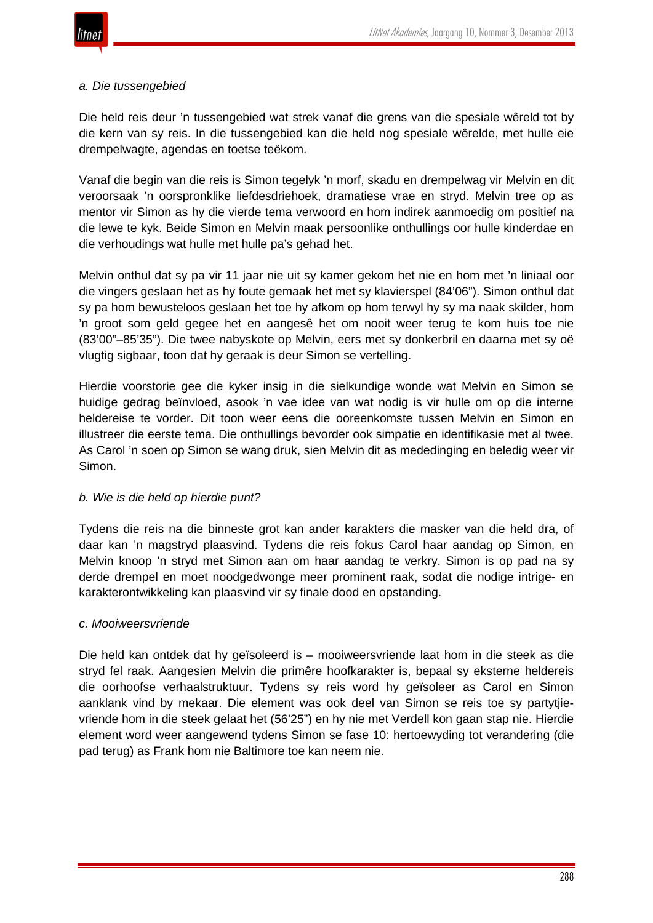![](_page_32_Picture_0.jpeg)

#### *a. Die tussengebied*

Die held reis deur 'n tussengebied wat strek vanaf die grens van die spesiale wêreld tot by die kern van sy reis. In die tussengebied kan die held nog spesiale wêrelde, met hulle eie drempelwagte, agendas en toetse teëkom.

Vanaf die begin van die reis is Simon tegelyk 'n morf, skadu en drempelwag vir Melvin en dit veroorsaak 'n oorspronklike liefdesdriehoek, dramatiese vrae en stryd. Melvin tree op as mentor vir Simon as hy die vierde tema verwoord en hom indirek aanmoedig om positief na die lewe te kyk. Beide Simon en Melvin maak persoonlike onthullings oor hulle kinderdae en die verhoudings wat hulle met hulle pa's gehad het.

Melvin onthul dat sy pa vir 11 jaar nie uit sy kamer gekom het nie en hom met 'n liniaal oor die vingers geslaan het as hy foute gemaak het met sy klavierspel (84'06"). Simon onthul dat sy pa hom bewusteloos geslaan het toe hy afkom op hom terwyl hy sy ma naak skilder, hom 'n groot som geld gegee het en aangesê het om nooit weer terug te kom huis toe nie (83'00"–85'35"). Die twee nabyskote op Melvin, eers met sy donkerbril en daarna met sy oë vlugtig sigbaar, toon dat hy geraak is deur Simon se vertelling.

Hierdie voorstorie gee die kyker insig in die sielkundige wonde wat Melvin en Simon se huidige gedrag beïnvloed, asook 'n vae idee van wat nodig is vir hulle om op die interne heldereise te vorder. Dit toon weer eens die ooreenkomste tussen Melvin en Simon en illustreer die eerste tema. Die onthullings bevorder ook simpatie en identifikasie met al twee. As Carol 'n soen op Simon se wang druk, sien Melvin dit as mededinging en beledig weer vir Simon.

## *b. Wie is die held op hierdie punt?*

Tydens die reis na die binneste grot kan ander karakters die masker van die held dra, of daar kan 'n magstryd plaasvind. Tydens die reis fokus Carol haar aandag op Simon, en Melvin knoop 'n stryd met Simon aan om haar aandag te verkry. Simon is op pad na sy derde drempel en moet noodgedwonge meer prominent raak, sodat die nodige intrige- en karakterontwikkeling kan plaasvind vir sy finale dood en opstanding.

#### *c. Mooiweersvriende*

Die held kan ontdek dat hy geïsoleerd is – mooiweersvriende laat hom in die steek as die stryd fel raak. Aangesien Melvin die primêre hoofkarakter is, bepaal sy eksterne heldereis die oorhoofse verhaalstruktuur. Tydens sy reis word hy geïsoleer as Carol en Simon aanklank vind by mekaar. Die element was ook deel van Simon se reis toe sy partytjievriende hom in die steek gelaat het (56'25") en hy nie met Verdell kon gaan stap nie. Hierdie element word weer aangewend tydens Simon se fase 10: hertoewyding tot verandering (die pad terug) as Frank hom nie Baltimore toe kan neem nie.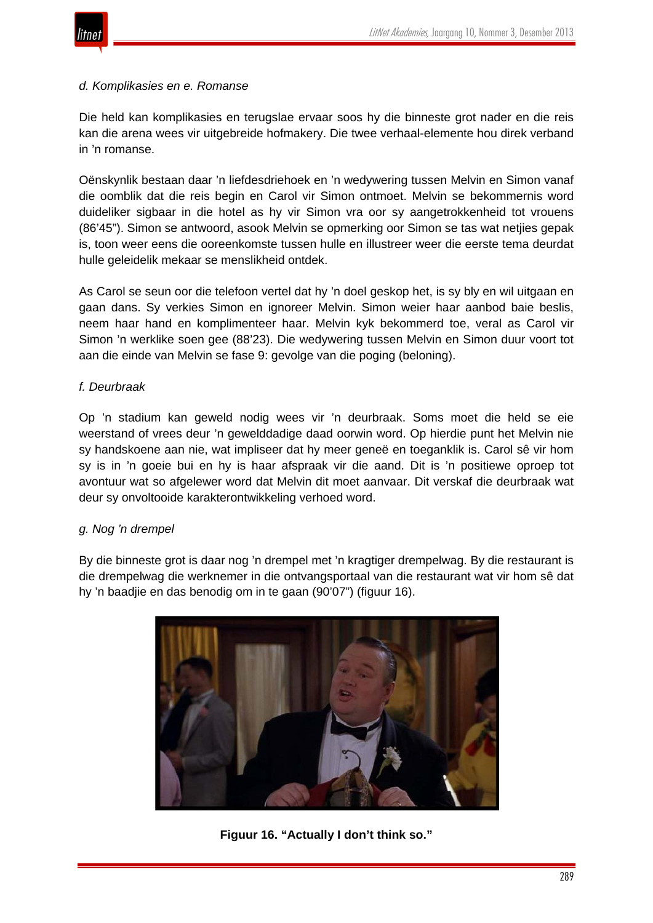![](_page_33_Picture_0.jpeg)

#### *d. Komplikasies en e. Romanse*

Die held kan komplikasies en terugslae ervaar soos hy die binneste grot nader en die reis kan die arena wees vir uitgebreide hofmakery. Die twee verhaal-elemente hou direk verband in 'n romanse.

Oënskynlik bestaan daar 'n liefdesdriehoek en 'n wedywering tussen Melvin en Simon vanaf die oomblik dat die reis begin en Carol vir Simon ontmoet. Melvin se bekommernis word duideliker sigbaar in die hotel as hy vir Simon vra oor sy aangetrokkenheid tot vrouens (86'45"). Simon se antwoord, asook Melvin se opmerking oor Simon se tas wat netjies gepak is, toon weer eens die ooreenkomste tussen hulle en illustreer weer die eerste tema deurdat hulle geleidelik mekaar se menslikheid ontdek.

As Carol se seun oor die telefoon vertel dat hy 'n doel geskop het, is sy bly en wil uitgaan en gaan dans. Sy verkies Simon en ignoreer Melvin. Simon weier haar aanbod baie beslis, neem haar hand en komplimenteer haar. Melvin kyk bekommerd toe, veral as Carol vir Simon 'n werklike soen gee (88'23). Die wedywering tussen Melvin en Simon duur voort tot aan die einde van Melvin se fase 9: gevolge van die poging (beloning).

## *f. Deurbraak*

Op 'n stadium kan geweld nodig wees vir 'n deurbraak. Soms moet die held se eie weerstand of vrees deur 'n gewelddadige daad oorwin word. Op hierdie punt het Melvin nie sy handskoene aan nie, wat impliseer dat hy meer geneë en toeganklik is. Carol sê vir hom sy is in 'n goeie bui en hy is haar afspraak vir die aand. Dit is 'n positiewe oproep tot avontuur wat so afgelewer word dat Melvin dit moet aanvaar. Dit verskaf die deurbraak wat deur sy onvoltooide karakterontwikkeling verhoed word.

## *g. Nog 'n drempel*

By die binneste grot is daar nog 'n drempel met 'n kragtiger drempelwag. By die restaurant is die drempelwag die werknemer in die ontvangsportaal van die restaurant wat vir hom sê dat hy 'n baadjie en das benodig om in te gaan (90'07") (figuur 16).

![](_page_33_Picture_10.jpeg)

**Figuur 16. "Actually I don't think so."**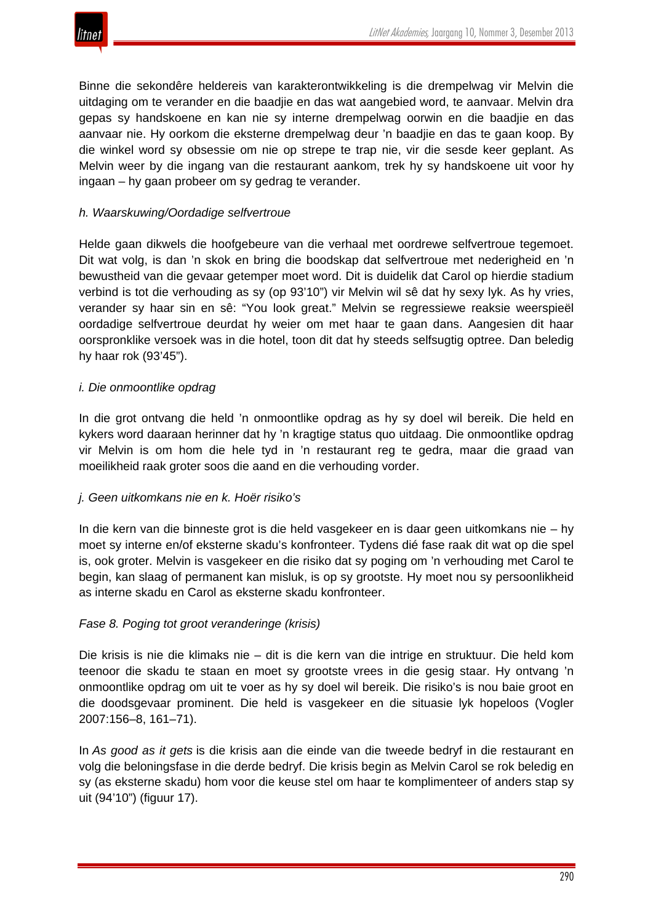![](_page_34_Picture_0.jpeg)

Binne die sekondêre heldereis van karakterontwikkeling is die drempelwag vir Melvin die uitdaging om te verander en die baadjie en das wat aangebied word, te aanvaar. Melvin dra gepas sy handskoene en kan nie sy interne drempelwag oorwin en die baadjie en das aanvaar nie. Hy oorkom die eksterne drempelwag deur 'n baadjie en das te gaan koop. By die winkel word sy obsessie om nie op strepe te trap nie, vir die sesde keer geplant. As Melvin weer by die ingang van die restaurant aankom, trek hy sy handskoene uit voor hy ingaan – hy gaan probeer om sy gedrag te verander.

## *h. Waarskuwing/Oordadige selfvertroue*

Helde gaan dikwels die hoofgebeure van die verhaal met oordrewe selfvertroue tegemoet. Dit wat volg, is dan 'n skok en bring die boodskap dat selfvertroue met nederigheid en 'n bewustheid van die gevaar getemper moet word. Dit is duidelik dat Carol op hierdie stadium verbind is tot die verhouding as sy (op 93'10") vir Melvin wil sê dat hy sexy lyk. As hy vries, verander sy haar sin en sê: "You look great." Melvin se regressiewe reaksie weerspieël oordadige selfvertroue deurdat hy weier om met haar te gaan dans. Aangesien dit haar oorspronklike versoek was in die hotel, toon dit dat hy steeds selfsugtig optree. Dan beledig hy haar rok (93'45").

## *i. Die onmoontlike opdrag*

In die grot ontvang die held 'n onmoontlike opdrag as hy sy doel wil bereik. Die held en kykers word daaraan herinner dat hy 'n kragtige status quo uitdaag. Die onmoontlike opdrag vir Melvin is om hom die hele tyd in 'n restaurant reg te gedra, maar die graad van moeilikheid raak groter soos die aand en die verhouding vorder.

## *j. Geen uitkomkans nie en k. Hoër risiko's*

In die kern van die binneste grot is die held vasgekeer en is daar geen uitkomkans nie – hy moet sy interne en/of eksterne skadu's konfronteer. Tydens dié fase raak dit wat op die spel is, ook groter. Melvin is vasgekeer en die risiko dat sy poging om 'n verhouding met Carol te begin, kan slaag of permanent kan misluk, is op sy grootste. Hy moet nou sy persoonlikheid as interne skadu en Carol as eksterne skadu konfronteer.

## *Fase 8. Poging tot groot veranderinge (krisis)*

Die krisis is nie die klimaks nie – dit is die kern van die intrige en struktuur. Die held kom teenoor die skadu te staan en moet sy grootste vrees in die gesig staar. Hy ontvang 'n onmoontlike opdrag om uit te voer as hy sy doel wil bereik. Die risiko's is nou baie groot en die doodsgevaar prominent. Die held is vasgekeer en die situasie lyk hopeloos (Vogler 2007:156–8, 161–71).

In *As good as it gets* is die krisis aan die einde van die tweede bedryf in die restaurant en volg die beloningsfase in die derde bedryf. Die krisis begin as Melvin Carol se rok beledig en sy (as eksterne skadu) hom voor die keuse stel om haar te komplimenteer of anders stap sy uit (94'10") (figuur 17).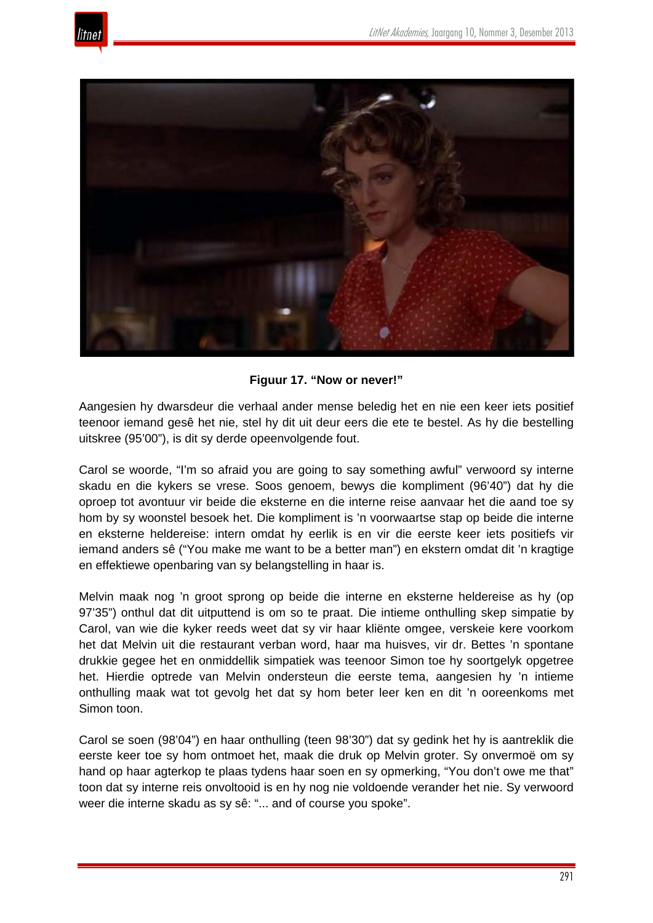![](_page_35_Picture_1.jpeg)

![](_page_35_Picture_2.jpeg)

**Figuur 17. "Now or never!"**

Aangesien hy dwarsdeur die verhaal ander mense beledig het en nie een keer iets positief teenoor iemand gesê het nie, stel hy dit uit deur eers die ete te bestel. As hy die bestelling uitskree (95'00"), is dit sy derde opeenvolgende fout.

Carol se woorde, "I'm so afraid you are going to say something awful" verwoord sy interne skadu en die kykers se vrese. Soos genoem, bewys die kompliment (96'40") dat hy die oproep tot avontuur vir beide die eksterne en die interne reise aanvaar het die aand toe sy hom by sy woonstel besoek het. Die kompliment is 'n voorwaartse stap op beide die interne en eksterne heldereise: intern omdat hy eerlik is en vir die eerste keer iets positiefs vir iemand anders sê ("You make me want to be a better man") en ekstern omdat dit 'n kragtige en effektiewe openbaring van sy belangstelling in haar is.

Melvin maak nog 'n groot sprong op beide die interne en eksterne heldereise as hy (op 97'35") onthul dat dit uitputtend is om so te praat. Die intieme onthulling skep simpatie by Carol, van wie die kyker reeds weet dat sy vir haar kliënte omgee, verskeie kere voorkom het dat Melvin uit die restaurant verban word, haar ma huisves, vir dr. Bettes 'n spontane drukkie gegee het en onmiddellik simpatiek was teenoor Simon toe hy soortgelyk opgetree het. Hierdie optrede van Melvin ondersteun die eerste tema, aangesien hy 'n intieme onthulling maak wat tot gevolg het dat sy hom beter leer ken en dit 'n ooreenkoms met Simon toon.

Carol se soen (98'04") en haar onthulling (teen 98'30") dat sy gedink het hy is aantreklik die eerste keer toe sy hom ontmoet het, maak die druk op Melvin groter. Sy onvermoë om sy hand op haar agterkop te plaas tydens haar soen en sy opmerking, "You don't owe me that" toon dat sy interne reis onvoltooid is en hy nog nie voldoende verander het nie. Sy verwoord weer die interne skadu as sy sê: "... and of course you spoke".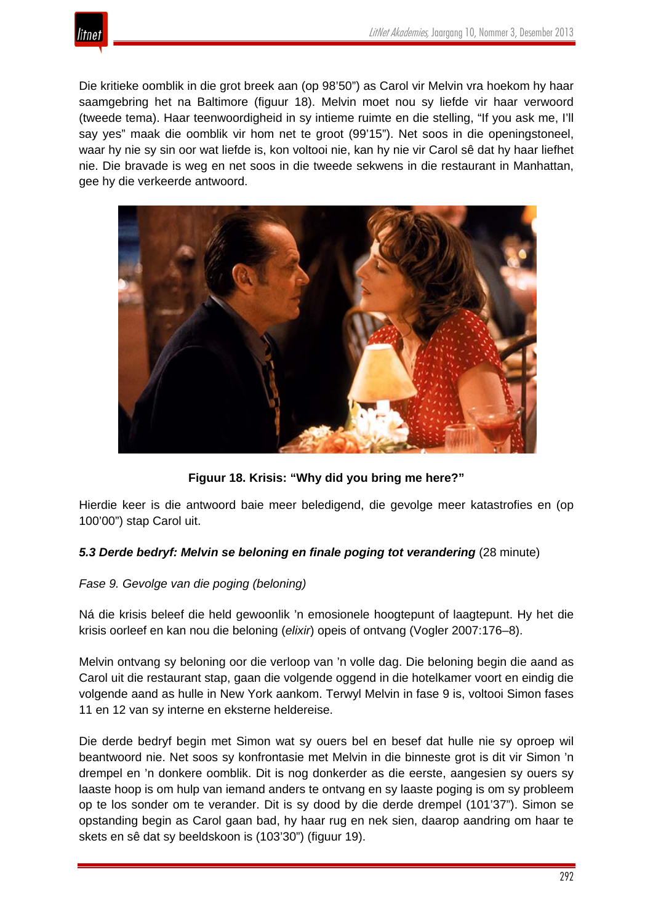![](_page_36_Picture_1.jpeg)

Die kritieke oomblik in die grot breek aan (op 98'50") as Carol vir Melvin vra hoekom hy haar saamgebring het na Baltimore (figuur 18). Melvin moet nou sy liefde vir haar verwoord (tweede tema). Haar teenwoordigheid in sy intieme ruimte en die stelling, "If you ask me, I'll say yes" maak die oomblik vir hom net te groot (99'15"). Net soos in die openingstoneel, waar hy nie sy sin oor wat liefde is, kon voltooi nie, kan hy nie vir Carol sê dat hy haar liefhet nie. Die bravade is weg en net soos in die tweede sekwens in die restaurant in Manhattan, gee hy die verkeerde antwoord.

![](_page_36_Picture_3.jpeg)

**Figuur 18. Krisis: "Why did you bring me here?"**

Hierdie keer is die antwoord baie meer beledigend, die gevolge meer katastrofies en (op 100'00") stap Carol uit.

# *5.3 Derde bedryf: Melvin se beloning en finale poging tot verandering* (28 minute)

## *Fase 9. Gevolge van die poging (beloning)*

Ná die krisis beleef die held gewoonlik 'n emosionele hoogtepunt of laagtepunt. Hy het die krisis oorleef en kan nou die beloning (*elixir*) opeis of ontvang (Vogler 2007:176–8).

Melvin ontvang sy beloning oor die verloop van 'n volle dag. Die beloning begin die aand as Carol uit die restaurant stap, gaan die volgende oggend in die hotelkamer voort en eindig die volgende aand as hulle in New York aankom. Terwyl Melvin in fase 9 is, voltooi Simon fases 11 en 12 van sy interne en eksterne heldereise.

Die derde bedryf begin met Simon wat sy ouers bel en besef dat hulle nie sy oproep wil beantwoord nie. Net soos sy konfrontasie met Melvin in die binneste grot is dit vir Simon 'n drempel en 'n donkere oomblik. Dit is nog donkerder as die eerste, aangesien sy ouers sy laaste hoop is om hulp van iemand anders te ontvang en sy laaste poging is om sy probleem op te los sonder om te verander. Dit is sy dood by die derde drempel (101'37"). Simon se opstanding begin as Carol gaan bad, hy haar rug en nek sien, daarop aandring om haar te skets en sê dat sy beeldskoon is (103'30") (figuur 19).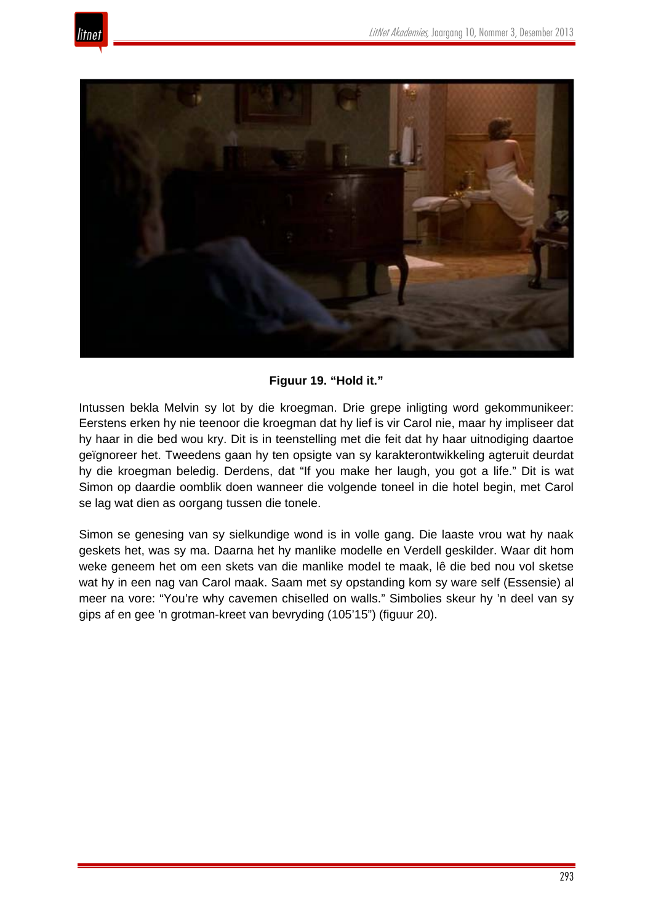![](_page_37_Picture_1.jpeg)

![](_page_37_Picture_2.jpeg)

**Figuur 19. "Hold it."**

Intussen bekla Melvin sy lot by die kroegman. Drie grepe inligting word gekommunikeer: Eerstens erken hy nie teenoor die kroegman dat hy lief is vir Carol nie, maar hy impliseer dat hy haar in die bed wou kry. Dit is in teenstelling met die feit dat hy haar uitnodiging daartoe geïgnoreer het. Tweedens gaan hy ten opsigte van sy karakterontwikkeling agteruit deurdat hy die kroegman beledig. Derdens, dat "If you make her laugh, you got a life." Dit is wat Simon op daardie oomblik doen wanneer die volgende toneel in die hotel begin, met Carol se lag wat dien as oorgang tussen die tonele.

Simon se genesing van sy sielkundige wond is in volle gang. Die laaste vrou wat hy naak geskets het, was sy ma. Daarna het hy manlike modelle en Verdell geskilder. Waar dit hom weke geneem het om een skets van die manlike model te maak, lê die bed nou vol sketse wat hy in een nag van Carol maak. Saam met sy opstanding kom sy ware self (Essensie) al meer na vore: "You're why cavemen chiselled on walls." Simbolies skeur hy 'n deel van sy gips af en gee 'n grotman-kreet van bevryding (105'15") (figuur 20).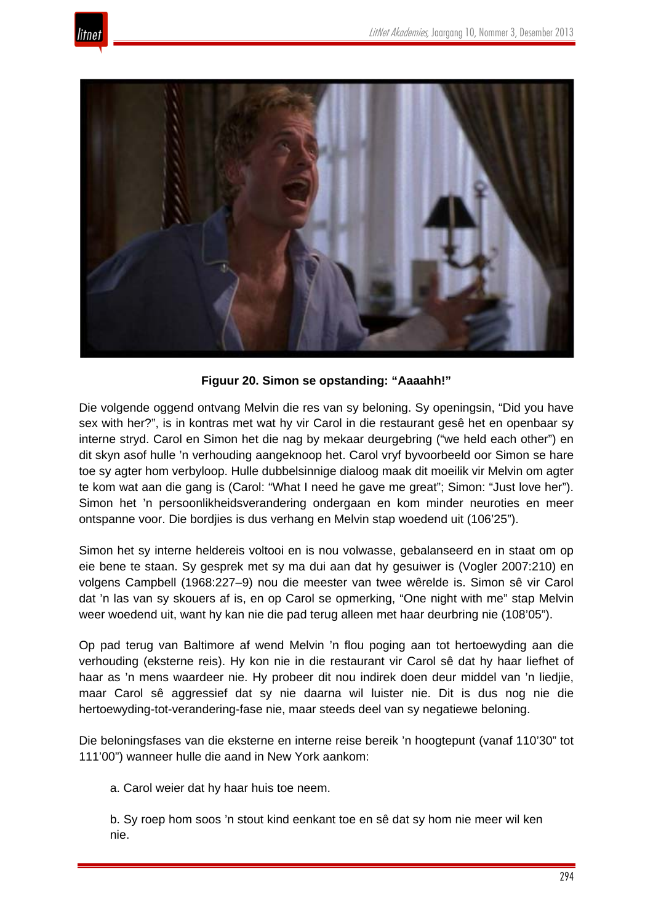![](_page_38_Picture_1.jpeg)

![](_page_38_Picture_2.jpeg)

**Figuur 20. Simon se opstanding: "Aaaahh!"**

Die volgende oggend ontvang Melvin die res van sy beloning. Sy openingsin, "Did you have sex with her?", is in kontras met wat hy vir Carol in die restaurant gesê het en openbaar sy interne stryd. Carol en Simon het die nag by mekaar deurgebring ("we held each other") en dit skyn asof hulle 'n verhouding aangeknoop het. Carol vryf byvoorbeeld oor Simon se hare toe sy agter hom verbyloop. Hulle dubbelsinnige dialoog maak dit moeilik vir Melvin om agter te kom wat aan die gang is (Carol: "What I need he gave me great"; Simon: "Just love her"). Simon het 'n persoonlikheidsverandering ondergaan en kom minder neuroties en meer ontspanne voor. Die bordjies is dus verhang en Melvin stap woedend uit (106'25").

Simon het sy interne heldereis voltooi en is nou volwasse, gebalanseerd en in staat om op eie bene te staan. Sy gesprek met sy ma dui aan dat hy gesuiwer is (Vogler 2007:210) en volgens Campbell (1968:227–9) nou die meester van twee wêrelde is. Simon sê vir Carol dat 'n las van sy skouers af is, en op Carol se opmerking, "One night with me" stap Melvin weer woedend uit, want hy kan nie die pad terug alleen met haar deurbring nie (108'05").

Op pad terug van Baltimore af wend Melvin 'n flou poging aan tot hertoewyding aan die verhouding (eksterne reis). Hy kon nie in die restaurant vir Carol sê dat hy haar liefhet of haar as 'n mens waardeer nie. Hy probeer dit nou indirek doen deur middel van 'n liedjie, maar Carol sê aggressief dat sy nie daarna wil luister nie. Dit is dus nog nie die hertoewyding-tot-verandering-fase nie, maar steeds deel van sy negatiewe beloning.

Die beloningsfases van die eksterne en interne reise bereik 'n hoogtepunt (vanaf 110'30" tot 111'00") wanneer hulle die aand in New York aankom:

a. Carol weier dat hy haar huis toe neem.

b. Sy roep hom soos 'n stout kind eenkant toe en sê dat sy hom nie meer wil ken nie.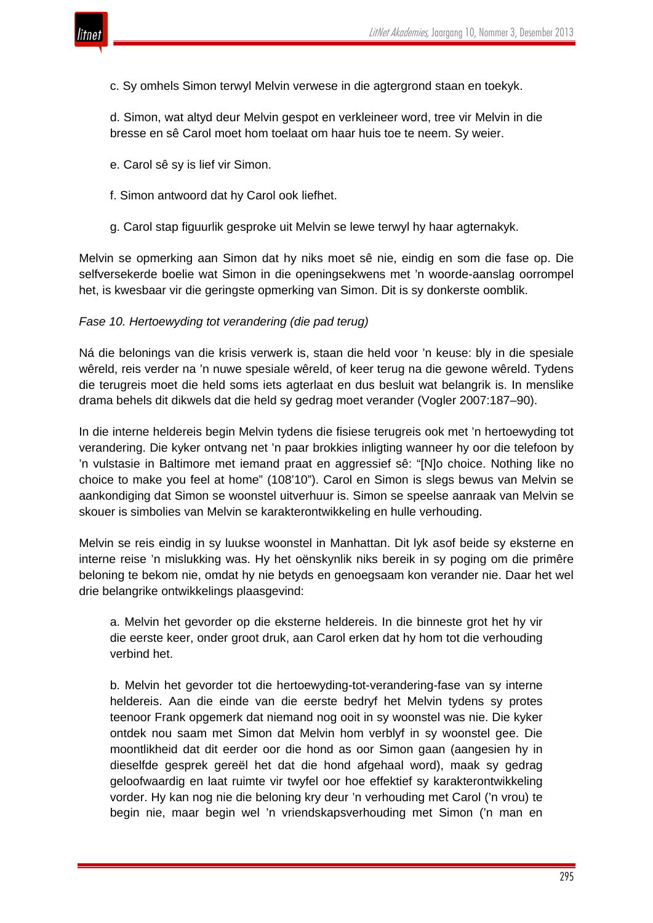![](_page_39_Picture_1.jpeg)

c. Sy omhels Simon terwyl Melvin verwese in die agtergrond staan en toekyk.

d. Simon, wat altyd deur Melvin gespot en verkleineer word, tree vir Melvin in die bresse en sê Carol moet hom toelaat om haar huis toe te neem. Sy weier.

- e. Carol sê sy is lief vir Simon.
- f. Simon antwoord dat hy Carol ook liefhet.
- g. Carol stap figuurlik gesproke uit Melvin se lewe terwyl hy haar agternakyk.

Melvin se opmerking aan Simon dat hy niks moet sê nie, eindig en som die fase op. Die selfversekerde boelie wat Simon in die openingsekwens met 'n woorde-aanslag oorrompel het, is kwesbaar vir die geringste opmerking van Simon. Dit is sy donkerste oomblik.

#### *Fase 10. Hertoewyding tot verandering (die pad terug)*

Ná die belonings van die krisis verwerk is, staan die held voor 'n keuse: bly in die spesiale wêreld, reis verder na 'n nuwe spesiale wêreld, of keer terug na die gewone wêreld. Tydens die terugreis moet die held soms iets agterlaat en dus besluit wat belangrik is. In menslike drama behels dit dikwels dat die held sy gedrag moet verander (Vogler 2007:187–90).

In die interne heldereis begin Melvin tydens die fisiese terugreis ook met 'n hertoewyding tot verandering. Die kyker ontvang net 'n paar brokkies inligting wanneer hy oor die telefoon by 'n vulstasie in Baltimore met iemand praat en aggressief sê: "[N]o choice. Nothing like no choice to make you feel at home" (108'10"). Carol en Simon is slegs bewus van Melvin se aankondiging dat Simon se woonstel uitverhuur is. Simon se speelse aanraak van Melvin se skouer is simbolies van Melvin se karakterontwikkeling en hulle verhouding.

Melvin se reis eindig in sy luukse woonstel in Manhattan. Dit lyk asof beide sy eksterne en interne reise 'n mislukking was. Hy het oënskynlik niks bereik in sy poging om die primêre beloning te bekom nie, omdat hy nie betyds en genoegsaam kon verander nie. Daar het wel drie belangrike ontwikkelings plaasgevind:

a. Melvin het gevorder op die eksterne heldereis. In die binneste grot het hy vir die eerste keer, onder groot druk, aan Carol erken dat hy hom tot die verhouding verbind het.

b. Melvin het gevorder tot die hertoewyding-tot-verandering-fase van sy interne heldereis. Aan die einde van die eerste bedryf het Melvin tydens sy protes teenoor Frank opgemerk dat niemand nog ooit in sy woonstel was nie. Die kyker ontdek nou saam met Simon dat Melvin hom verblyf in sy woonstel gee. Die moontlikheid dat dit eerder oor die hond as oor Simon gaan (aangesien hy in dieselfde gesprek gereël het dat die hond afgehaal word), maak sy gedrag geloofwaardig en laat ruimte vir twyfel oor hoe effektief sy karakterontwikkeling vorder. Hy kan nog nie die beloning kry deur 'n verhouding met Carol ('n vrou) te begin nie, maar begin wel 'n vriendskapsverhouding met Simon ('n man en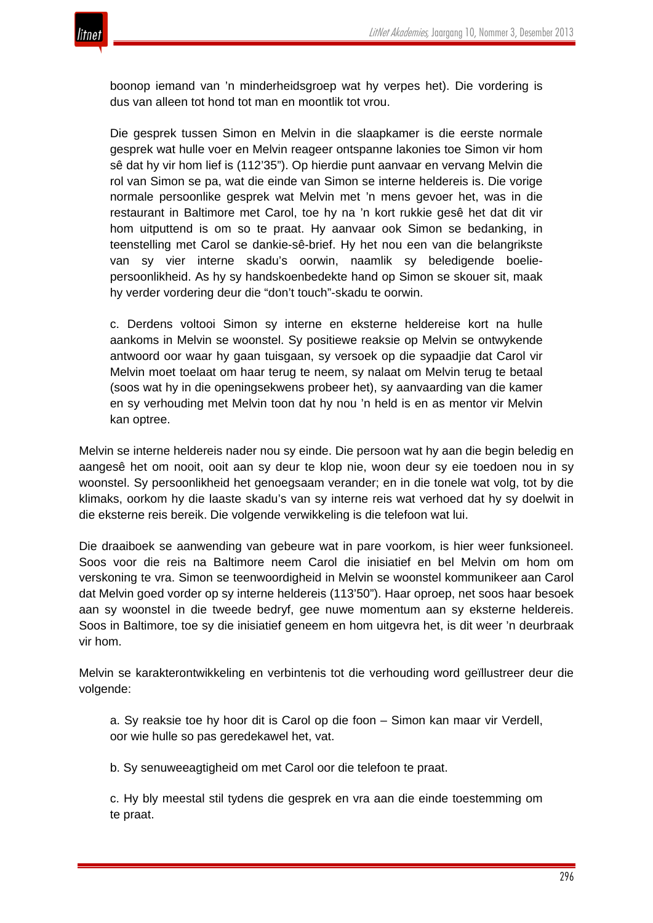![](_page_40_Picture_1.jpeg)

boonop iemand van 'n minderheidsgroep wat hy verpes het). Die vordering is dus van alleen tot hond tot man en moontlik tot vrou.

Die gesprek tussen Simon en Melvin in die slaapkamer is die eerste normale gesprek wat hulle voer en Melvin reageer ontspanne lakonies toe Simon vir hom sê dat hy vir hom lief is (112'35"). Op hierdie punt aanvaar en vervang Melvin die rol van Simon se pa, wat die einde van Simon se interne heldereis is. Die vorige normale persoonlike gesprek wat Melvin met 'n mens gevoer het, was in die restaurant in Baltimore met Carol, toe hy na 'n kort rukkie gesê het dat dit vir hom uitputtend is om so te praat. Hy aanvaar ook Simon se bedanking, in teenstelling met Carol se dankie-sê-brief. Hy het nou een van die belangrikste van sy vier interne skadu's oorwin, naamlik sy beledigende boeliepersoonlikheid. As hy sy handskoenbedekte hand op Simon se skouer sit, maak hy verder vordering deur die "don't touch"-skadu te oorwin.

c. Derdens voltooi Simon sy interne en eksterne heldereise kort na hulle aankoms in Melvin se woonstel. Sy positiewe reaksie op Melvin se ontwykende antwoord oor waar hy gaan tuisgaan, sy versoek op die sypaadjie dat Carol vir Melvin moet toelaat om haar terug te neem, sy nalaat om Melvin terug te betaal (soos wat hy in die openingsekwens probeer het), sy aanvaarding van die kamer en sy verhouding met Melvin toon dat hy nou 'n held is en as mentor vir Melvin kan optree.

Melvin se interne heldereis nader nou sy einde. Die persoon wat hy aan die begin beledig en aangesê het om nooit, ooit aan sy deur te klop nie, woon deur sy eie toedoen nou in sy woonstel. Sy persoonlikheid het genoegsaam verander; en in die tonele wat volg, tot by die klimaks, oorkom hy die laaste skadu's van sy interne reis wat verhoed dat hy sy doelwit in die eksterne reis bereik. Die volgende verwikkeling is die telefoon wat lui.

Die draaiboek se aanwending van gebeure wat in pare voorkom, is hier weer funksioneel. Soos voor die reis na Baltimore neem Carol die inisiatief en bel Melvin om hom om verskoning te vra. Simon se teenwoordigheid in Melvin se woonstel kommunikeer aan Carol dat Melvin goed vorder op sy interne heldereis (113'50"). Haar oproep, net soos haar besoek aan sy woonstel in die tweede bedryf, gee nuwe momentum aan sy eksterne heldereis. Soos in Baltimore, toe sy die inisiatief geneem en hom uitgevra het, is dit weer 'n deurbraak vir hom.

Melvin se karakterontwikkeling en verbintenis tot die verhouding word geïllustreer deur die volgende:

a. Sy reaksie toe hy hoor dit is Carol op die foon – Simon kan maar vir Verdell, oor wie hulle so pas geredekawel het, vat.

b. Sy senuweeagtigheid om met Carol oor die telefoon te praat.

c. Hy bly meestal stil tydens die gesprek en vra aan die einde toestemming om te praat.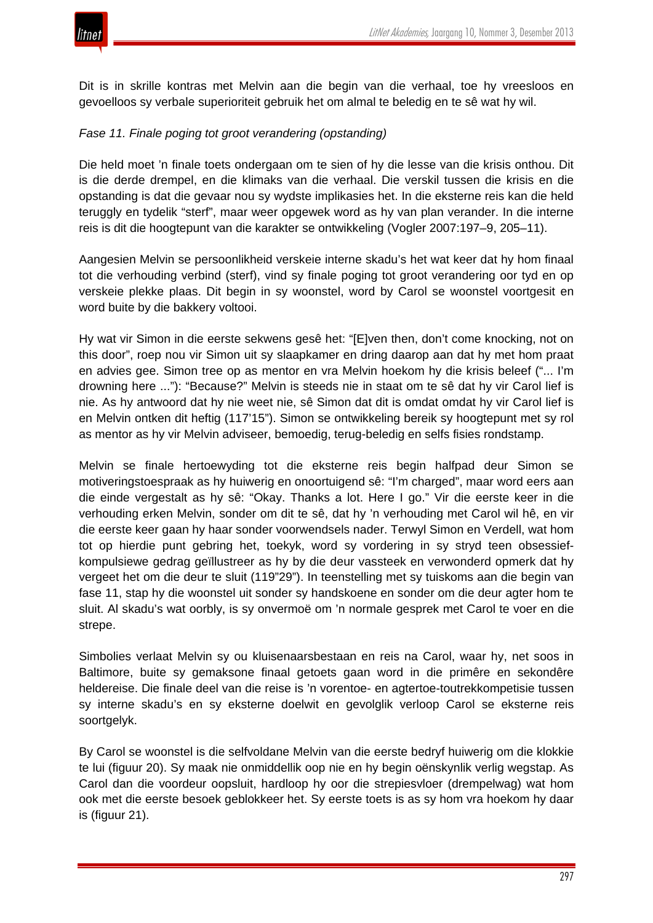![](_page_41_Picture_1.jpeg)

Dit is in skrille kontras met Melvin aan die begin van die verhaal, toe hy vreesloos en gevoelloos sy verbale superioriteit gebruik het om almal te beledig en te sê wat hy wil.

# *Fase 11. Finale poging tot groot verandering (opstanding)*

Die held moet 'n finale toets ondergaan om te sien of hy die lesse van die krisis onthou. Dit is die derde drempel, en die klimaks van die verhaal. Die verskil tussen die krisis en die opstanding is dat die gevaar nou sy wydste implikasies het. In die eksterne reis kan die held teruggly en tydelik "sterf", maar weer opgewek word as hy van plan verander. In die interne reis is dit die hoogtepunt van die karakter se ontwikkeling (Vogler 2007:197–9, 205–11).

Aangesien Melvin se persoonlikheid verskeie interne skadu's het wat keer dat hy hom finaal tot die verhouding verbind (sterf), vind sy finale poging tot groot verandering oor tyd en op verskeie plekke plaas. Dit begin in sy woonstel, word by Carol se woonstel voortgesit en word buite by die bakkery voltooi.

Hy wat vir Simon in die eerste sekwens gesê het: "[E]ven then, don't come knocking, not on this door", roep nou vir Simon uit sy slaapkamer en dring daarop aan dat hy met hom praat en advies gee. Simon tree op as mentor en vra Melvin hoekom hy die krisis beleef ("... I'm drowning here ..."): "Because?" Melvin is steeds nie in staat om te sê dat hy vir Carol lief is nie. As hy antwoord dat hy nie weet nie, sê Simon dat dit is omdat omdat hy vir Carol lief is en Melvin ontken dit heftig (117'15"). Simon se ontwikkeling bereik sy hoogtepunt met sy rol as mentor as hy vir Melvin adviseer, bemoedig, terug-beledig en selfs fisies rondstamp.

Melvin se finale hertoewyding tot die eksterne reis begin halfpad deur Simon se motiveringstoespraak as hy huiwerig en onoortuigend sê: "I'm charged", maar word eers aan die einde vergestalt as hy sê: "Okay. Thanks a lot. Here I go." Vir die eerste keer in die verhouding erken Melvin, sonder om dit te sê, dat hy 'n verhouding met Carol wil hê, en vir die eerste keer gaan hy haar sonder voorwendsels nader. Terwyl Simon en Verdell, wat hom tot op hierdie punt gebring het, toekyk, word sy vordering in sy stryd teen obsessiefkompulsiewe gedrag geïllustreer as hy by die deur vassteek en verwonderd opmerk dat hy vergeet het om die deur te sluit (119"29"). In teenstelling met sy tuiskoms aan die begin van fase 11, stap hy die woonstel uit sonder sy handskoene en sonder om die deur agter hom te sluit. Al skadu's wat oorbly, is sy onvermoë om 'n normale gesprek met Carol te voer en die strepe.

Simbolies verlaat Melvin sy ou kluisenaarsbestaan en reis na Carol, waar hy, net soos in Baltimore, buite sy gemaksone finaal getoets gaan word in die primêre en sekondêre heldereise. Die finale deel van die reise is 'n vorentoe- en agtertoe-toutrekkompetisie tussen sy interne skadu's en sy eksterne doelwit en gevolglik verloop Carol se eksterne reis soortgelyk.

By Carol se woonstel is die selfvoldane Melvin van die eerste bedryf huiwerig om die klokkie te lui (figuur 20). Sy maak nie onmiddellik oop nie en hy begin oënskynlik verlig wegstap. As Carol dan die voordeur oopsluit, hardloop hy oor die strepiesvloer (drempelwag) wat hom ook met die eerste besoek geblokkeer het. Sy eerste toets is as sy hom vra hoekom hy daar is (figuur 21).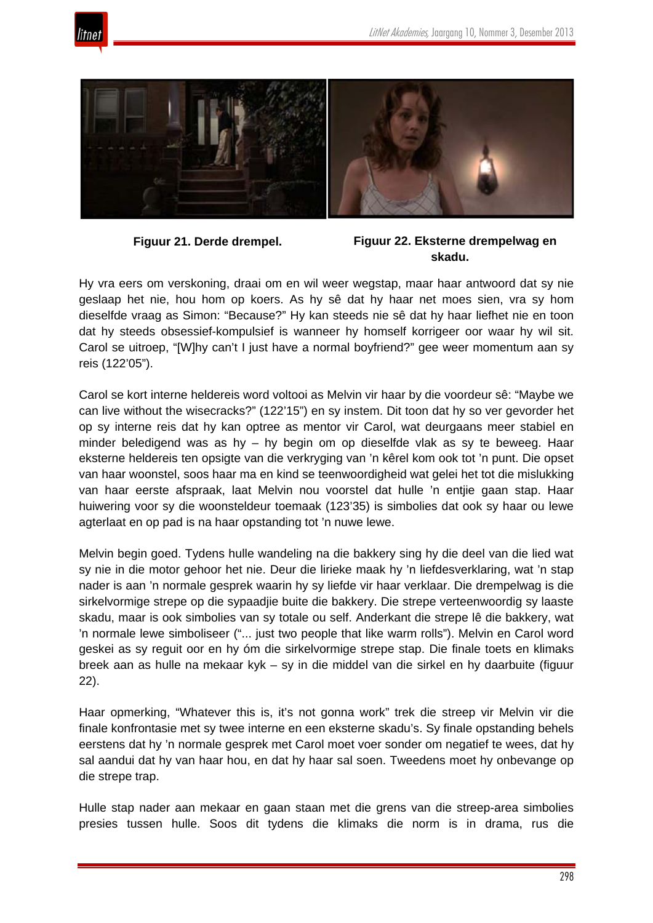![](_page_42_Picture_1.jpeg)

![](_page_42_Picture_2.jpeg)

## **Figuur 21. Derde drempel. Figuur 22. Eksterne drempelwag en skadu.**

Hy vra eers om verskoning, draai om en wil weer wegstap, maar haar antwoord dat sy nie geslaap het nie, hou hom op koers. As hy sê dat hy haar net moes sien, vra sy hom dieselfde vraag as Simon: "Because?" Hy kan steeds nie sê dat hy haar liefhet nie en toon dat hy steeds obsessief-kompulsief is wanneer hy homself korrigeer oor waar hy wil sit. Carol se uitroep, "[W]hy can't I just have a normal boyfriend?" gee weer momentum aan sy reis (122'05").

Carol se kort interne heldereis word voltooi as Melvin vir haar by die voordeur sê: "Maybe we can live without the wisecracks?" (122'15") en sy instem. Dit toon dat hy so ver gevorder het op sy interne reis dat hy kan optree as mentor vir Carol, wat deurgaans meer stabiel en minder beledigend was as hy – hy begin om op dieselfde vlak as sy te beweeg. Haar eksterne heldereis ten opsigte van die verkryging van 'n kêrel kom ook tot 'n punt. Die opset van haar woonstel, soos haar ma en kind se teenwoordigheid wat gelei het tot die mislukking van haar eerste afspraak, laat Melvin nou voorstel dat hulle 'n entjie gaan stap. Haar huiwering voor sy die woonsteldeur toemaak (123'35) is simbolies dat ook sy haar ou lewe agterlaat en op pad is na haar opstanding tot 'n nuwe lewe.

Melvin begin goed. Tydens hulle wandeling na die bakkery sing hy die deel van die lied wat sy nie in die motor gehoor het nie. Deur die lirieke maak hy 'n liefdesverklaring, wat 'n stap nader is aan 'n normale gesprek waarin hy sy liefde vir haar verklaar. Die drempelwag is die sirkelvormige strepe op die sypaadjie buite die bakkery. Die strepe verteenwoordig sy laaste skadu, maar is ook simbolies van sy totale ou self. Anderkant die strepe lê die bakkery, wat 'n normale lewe simboliseer ("... just two people that like warm rolls"). Melvin en Carol word geskei as sy reguit oor en hy óm die sirkelvormige strepe stap. Die finale toets en klimaks breek aan as hulle na mekaar kyk – sy in die middel van die sirkel en hy daarbuite (figuur 22).

Haar opmerking, "Whatever this is, it's not gonna work" trek die streep vir Melvin vir die finale konfrontasie met sy twee interne en een eksterne skadu's. Sy finale opstanding behels eerstens dat hy 'n normale gesprek met Carol moet voer sonder om negatief te wees, dat hy sal aandui dat hy van haar hou, en dat hy haar sal soen. Tweedens moet hy onbevange op die strepe trap.

Hulle stap nader aan mekaar en gaan staan met die grens van die streep-area simbolies presies tussen hulle. Soos dit tydens die klimaks die norm is in drama, rus die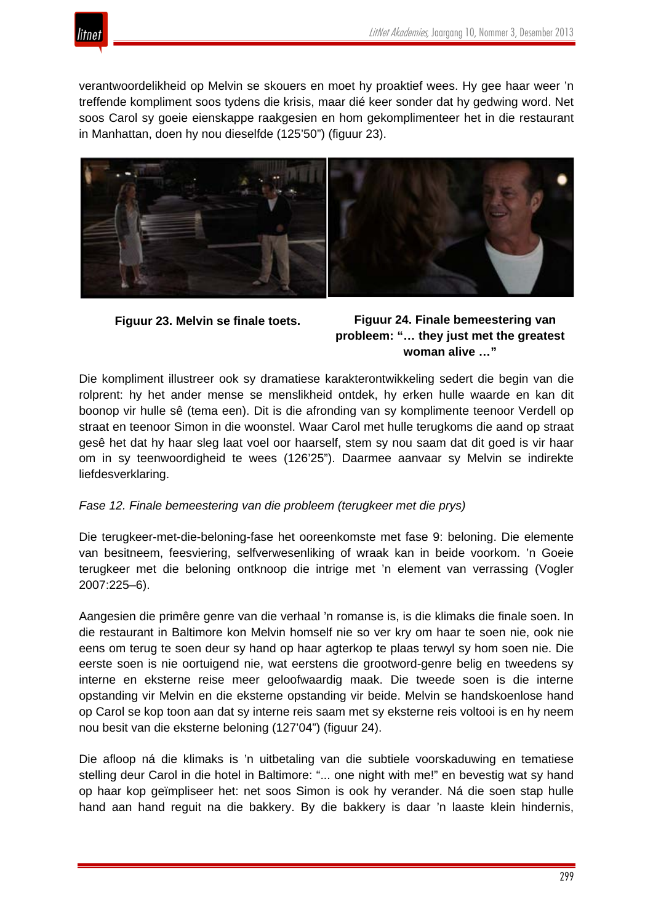![](_page_43_Picture_1.jpeg)

verantwoordelikheid op Melvin se skouers en moet hy proaktief wees. Hy gee haar weer 'n treffende kompliment soos tydens die krisis, maar dié keer sonder dat hy gedwing word. Net soos Carol sy goeie eienskappe raakgesien en hom gekomplimenteer het in die restaurant in Manhattan, doen hy nou dieselfde (125'50") (figuur 23).

![](_page_43_Picture_3.jpeg)

# **Figuur 23. Melvin se finale toets. Figuur 24. Finale bemeestering van probleem: "… they just met the greatest woman alive …"**

Die kompliment illustreer ook sy dramatiese karakterontwikkeling sedert die begin van die rolprent: hy het ander mense se menslikheid ontdek, hy erken hulle waarde en kan dit boonop vir hulle sê (tema een). Dit is die afronding van sy komplimente teenoor Verdell op straat en teenoor Simon in die woonstel. Waar Carol met hulle terugkoms die aand op straat gesê het dat hy haar sleg laat voel oor haarself, stem sy nou saam dat dit goed is vir haar om in sy teenwoordigheid te wees (126'25"). Daarmee aanvaar sy Melvin se indirekte liefdesverklaring.

# *Fase 12. Finale bemeestering van die probleem (terugkeer met die prys)*

Die terugkeer-met-die-beloning-fase het ooreenkomste met fase 9: beloning. Die elemente van besitneem, feesviering, selfverwesenliking of wraak kan in beide voorkom. 'n Goeie terugkeer met die beloning ontknoop die intrige met 'n element van verrassing (Vogler 2007:225–6).

Aangesien die primêre genre van die verhaal 'n romanse is, is die klimaks die finale soen. In die restaurant in Baltimore kon Melvin homself nie so ver kry om haar te soen nie, ook nie eens om terug te soen deur sy hand op haar agterkop te plaas terwyl sy hom soen nie. Die eerste soen is nie oortuigend nie, wat eerstens die grootword-genre belig en tweedens sy interne en eksterne reise meer geloofwaardig maak. Die tweede soen is die interne opstanding vir Melvin en die eksterne opstanding vir beide. Melvin se handskoenlose hand op Carol se kop toon aan dat sy interne reis saam met sy eksterne reis voltooi is en hy neem nou besit van die eksterne beloning (127'04") (figuur 24).

Die afloop ná die klimaks is 'n uitbetaling van die subtiele voorskaduwing en tematiese stelling deur Carol in die hotel in Baltimore: "... one night with me!" en bevestig wat sy hand op haar kop geïmpliseer het: net soos Simon is ook hy verander. Ná die soen stap hulle hand aan hand reguit na die bakkery. By die bakkery is daar 'n laaste klein hindernis,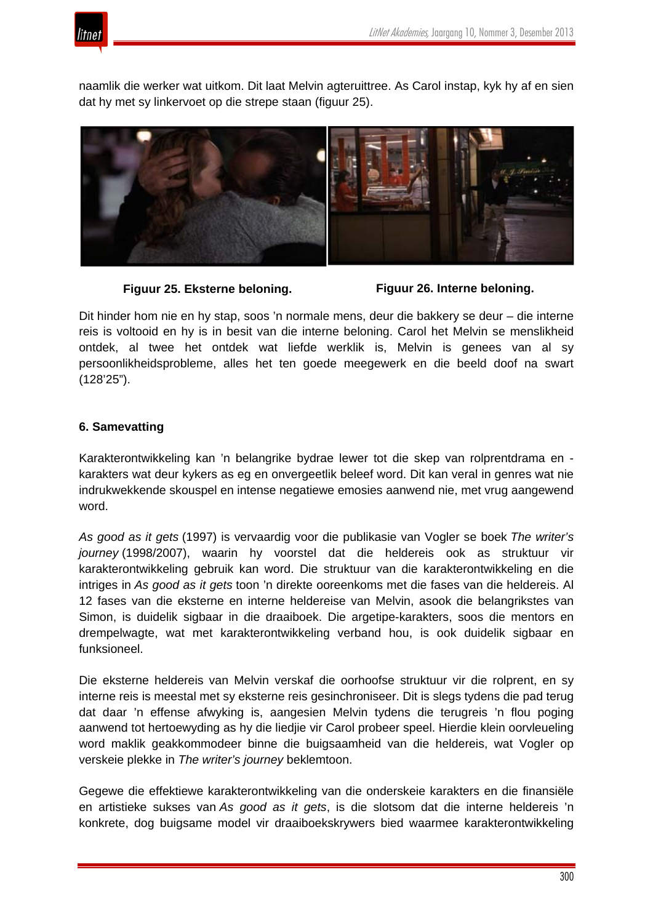![](_page_44_Picture_1.jpeg)

naamlik die werker wat uitkom. Dit laat Melvin agteruittree. As Carol instap, kyk hy af en sien dat hy met sy linkervoet op die strepe staan (figuur 25).

![](_page_44_Picture_3.jpeg)

**Figuur 25. Eksterne beloning. Figuur 26. Interne beloning.**

Dit hinder hom nie en hy stap, soos 'n normale mens, deur die bakkery se deur – die interne reis is voltooid en hy is in besit van die interne beloning. Carol het Melvin se menslikheid ontdek, al twee het ontdek wat liefde werklik is, Melvin is genees van al sy persoonlikheidsprobleme, alles het ten goede meegewerk en die beeld doof na swart (128'25").

## **6. Samevatting**

Karakterontwikkeling kan 'n belangrike bydrae lewer tot die skep van rolprentdrama en karakters wat deur kykers as eg en onvergeetlik beleef word. Dit kan veral in genres wat nie indrukwekkende skouspel en intense negatiewe emosies aanwend nie, met vrug aangewend word.

*As good as it gets* (1997) is vervaardig voor die publikasie van Vogler se boek *The writer's journey* (1998/2007), waarin hy voorstel dat die heldereis ook as struktuur vir karakterontwikkeling gebruik kan word. Die struktuur van die karakterontwikkeling en die intriges in *As good as it gets* toon 'n direkte ooreenkoms met die fases van die heldereis. Al 12 fases van die eksterne en interne heldereise van Melvin, asook die belangrikstes van Simon, is duidelik sigbaar in die draaiboek. Die argetipe-karakters, soos die mentors en drempelwagte, wat met karakterontwikkeling verband hou, is ook duidelik sigbaar en funksioneel.

Die eksterne heldereis van Melvin verskaf die oorhoofse struktuur vir die rolprent, en sy interne reis is meestal met sy eksterne reis gesinchroniseer. Dit is slegs tydens die pad terug dat daar 'n effense afwyking is, aangesien Melvin tydens die terugreis 'n flou poging aanwend tot hertoewyding as hy die liedjie vir Carol probeer speel. Hierdie klein oorvleueling word maklik geakkommodeer binne die buigsaamheid van die heldereis, wat Vogler op verskeie plekke in *The writer's journey* beklemtoon.

Gegewe die effektiewe karakterontwikkeling van die onderskeie karakters en die finansiële en artistieke sukses van *As good as it gets*, is die slotsom dat die interne heldereis 'n konkrete, dog buigsame model vir draaiboekskrywers bied waarmee karakterontwikkeling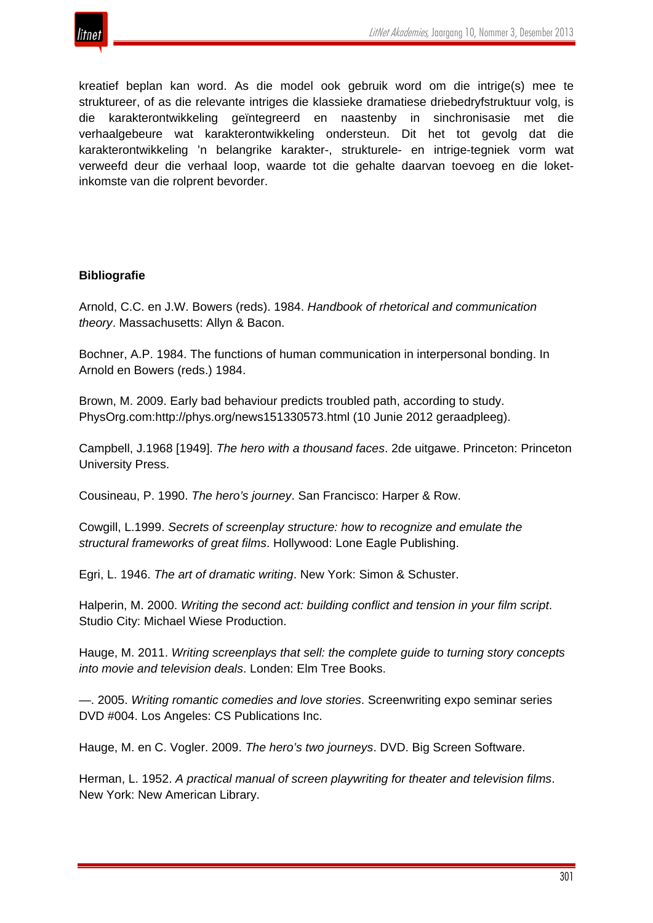![](_page_45_Picture_0.jpeg)

kreatief beplan kan word. As die model ook gebruik word om die intrige(s) mee te struktureer, of as die relevante intriges die klassieke dramatiese driebedryfstruktuur volg, is die karakterontwikkeling geïntegreerd en naastenby in sinchronisasie met die verhaalgebeure wat karakterontwikkeling ondersteun. Dit het tot gevolg dat die karakterontwikkeling 'n belangrike karakter-, strukturele- en intrige-tegniek vorm wat verweefd deur die verhaal loop, waarde tot die gehalte daarvan toevoeg en die loketinkomste van die rolprent bevorder.

## **Bibliografie**

Arnold, C.C. en J.W. Bowers (reds). 1984. *Handbook of rhetorical and communication theory*. Massachusetts: Allyn & Bacon.

Bochner, A.P. 1984. The functions of human communication in interpersonal bonding. In Arnold en Bowers (reds.) 1984.

Brown, M. 2009. Early bad behaviour predicts troubled path, according to study. PhysOrg.com:http://phys.org/news151330573.html (10 Junie 2012 geraadpleeg).

Campbell, J.1968 [1949]. *The hero with a thousand faces*. 2de uitgawe. Princeton: Princeton University Press.

Cousineau, P. 1990. *The hero's journey*. San Francisco: Harper & Row.

Cowgill, L.1999. *Secrets of screenplay structure: how to recognize and emulate the structural frameworks of great films*. Hollywood: Lone Eagle Publishing.

Egri, L. 1946. *The art of dramatic writing*. New York: Simon & Schuster.

Halperin, M. 2000. *Writing the second act: building conflict and tension in your film script*. Studio City: Michael Wiese Production.

Hauge, M. 2011. *Writing screenplays that sell: the complete guide to turning story concepts into movie and television deals*. Londen: Elm Tree Books.

—. 2005. *Writing romantic comedies and love stories*. Screenwriting expo seminar series DVD #004. Los Angeles: CS Publications Inc.

Hauge, M. en C. Vogler. 2009. *The hero's two journeys*. DVD. Big Screen Software.

Herman, L. 1952. *A practical manual of screen playwriting for theater and television films*. New York: New American Library.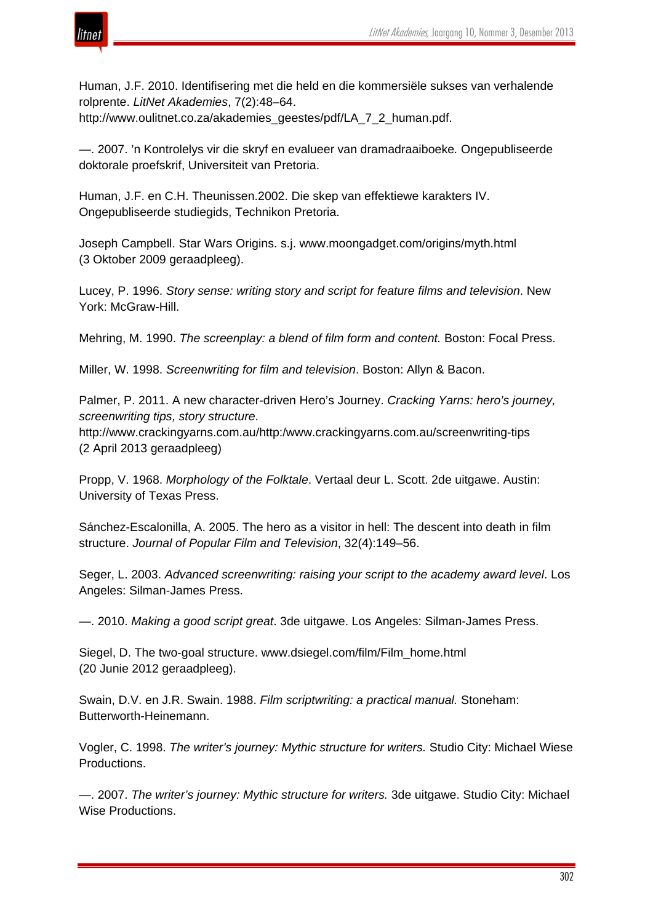![](_page_46_Picture_1.jpeg)

Human, J.F. 2010. Identifisering met die held en die kommersiële sukses van verhalende rolprente. *LitNet Akademies*, 7(2):48–64. http://www.oulitnet.co.za/akademies\_geestes/pdf/LA\_7\_2\_human.pdf.

—. 2007. 'n Kontrolelys vir die skryf en evalueer van dramadraaiboeke*.* Ongepubliseerde doktorale proefskrif, Universiteit van Pretoria.

Human, J.F. en C.H. Theunissen.2002. Die skep van effektiewe karakters IV. Ongepubliseerde studiegids, Technikon Pretoria.

Joseph Campbell. Star Wars Origins. s.j. www.moongadget.com/origins/myth.html (3 Oktober 2009 geraadpleeg).

Lucey, P. 1996. *Story sense: writing story and script for feature films and television*. New York: McGraw-Hill.

Mehring, M. 1990. *The screenplay: a blend of film form and content.* Boston: Focal Press.

Miller, W. 1998. *Screenwriting for film and television*. Boston: Allyn & Bacon.

Palmer, P. 2011. A new character-driven Hero's Journey. *Cracking Yarns: hero's journey, screenwriting tips, story structure*.

http://www.crackingyarns.com.au/http:/www.crackingyarns.com.au/screenwriting-tips (2 April 2013 geraadpleeg)

Propp, V. 1968. *Morphology of the Folktale*. Vertaal deur L. Scott. 2de uitgawe. Austin: University of Texas Press.

Sánchez-Escalonilla, A. 2005. The hero as a visitor in hell: The descent into death in film structure. *Journal of Popular Film and Television*, 32(4):149–56.

Seger, L. 2003. *Advanced screenwriting: raising your script to the academy award level*. Los Angeles: Silman-James Press.

—. 2010. *Making a good script great*. 3de uitgawe. Los Angeles: Silman-James Press.

Siegel, D. The two-goal structure. www.dsiegel.com/film/Film\_home.html (20 Junie 2012 geraadpleeg).

Swain, D.V. en J.R. Swain. 1988. *Film scriptwriting: a practical manual.* Stoneham: Butterworth-Heinemann.

Vogler, C. 1998. *The writer's journey: Mythic structure for writers.* Studio City: Michael Wiese Productions.

—. 2007. *The writer's journey: Mythic structure for writers.* 3de uitgawe. Studio City: Michael Wise Productions.